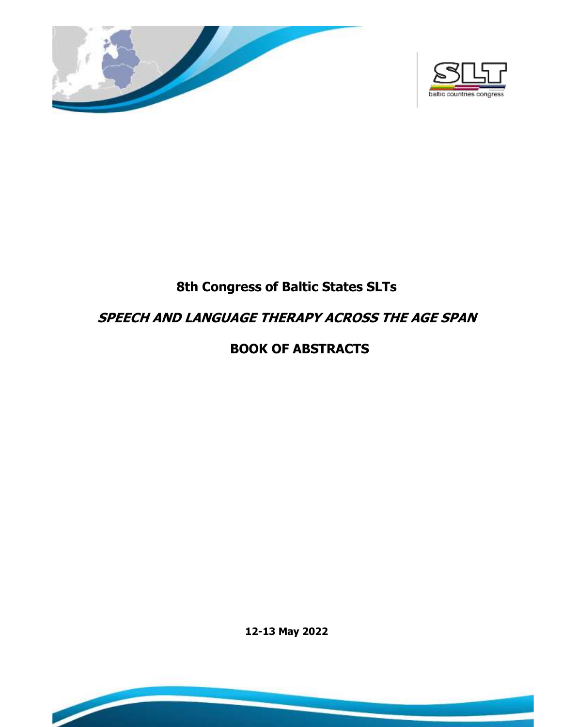



# **8th Congress of Baltic States SLTs**

# **SPEECH AND LANGUAGE THERAPY ACROSS THE AGE SPAN**

# **BOOK OF ABSTRACTS**

**12-13 May 2022**

**College** 

 $\overline{\phantom{a}}$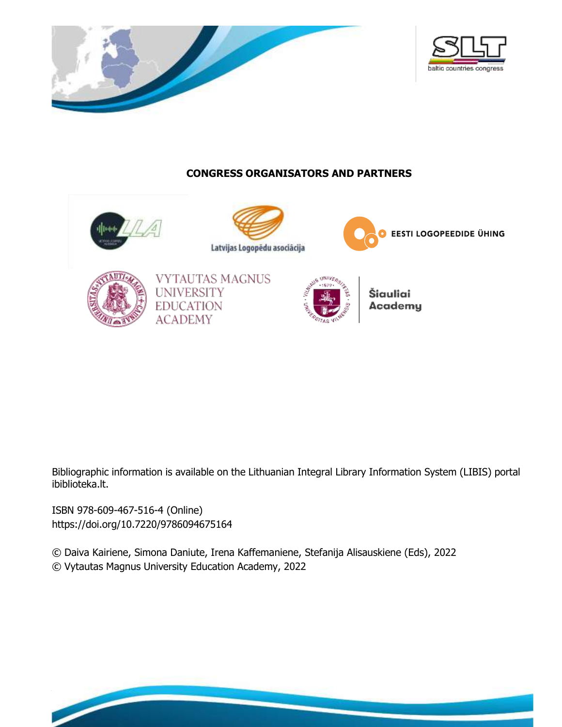



# **CONGRESS ORGANISATORS AND PARTNERS**



Bibliographic information is available on the Lithuanian Integral Library Information System (LIBIS) portal ibiblioteka.lt.

ISBN 978-609-467-516-4 (Online) [https://doi.org/10.7220/9](https://doi.org/10.7220/)786094675164

 **SPEECH AND LANGUAGE THERAPY ACCURACING** 

**th Congress of the Baltic States SLTs**

© Daiva Kairiene, Simona Daniute, Irena Kaffemaniene, Stefanija Alisauskiene (Eds), 2022 © Vytautas Magnus University Education Academy, 2022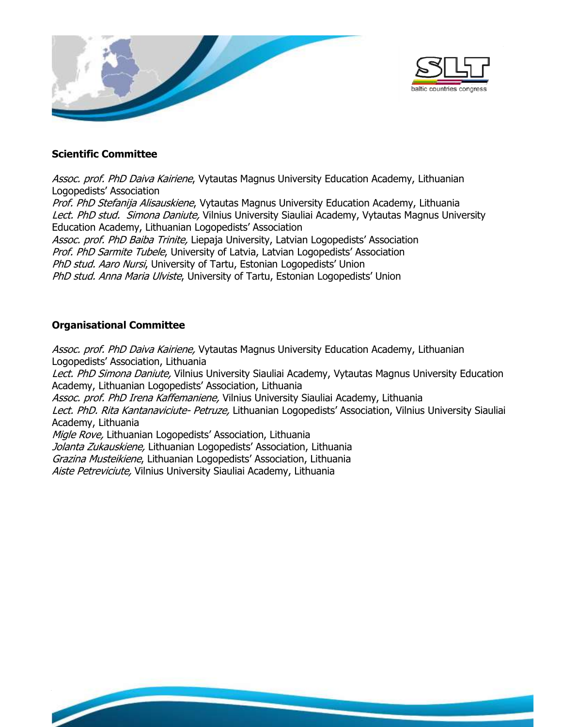



## **Scientific Committee**

Assoc. prof. PhD Daiva Kairiene, Vytautas Magnus University Education Academy, Lithuanian Logopedists' Association Prof. PhD Stefanija Alisauskiene, Vytautas Magnus University Education Academy, Lithuania Lect. PhD stud. Simona Daniute, Vilnius University Siauliai Academy, Vytautas Magnus University Education Academy, Lithuanian Logopedists' Association Assoc. prof. PhD Baiba Trinite, Liepaja University, Latvian Logopedists' Association Prof. PhD Sarmite Tubele, University of Latvia, Latvian Logopedists' Association PhD stud. Aaro Nursi, University of Tartu, Estonian Logopedists' Union PhD stud. Anna Maria Ulviste, University of Tartu, Estonian Logopedists' Union

# **Organisational Committee**

**the Baltic States SLTs** 

 **SPEECH AND LANGUAGE THERAPY ACCURACING** 

Assoc. prof. PhD Daiva Kairiene, Vytautas Magnus University Education Academy, Lithuanian Logopedists' Association, Lithuania Lect. PhD Simona Daniute, Vilnius University Siauliai Academy, Vytautas Magnus University Education Academy, Lithuanian Logopedists' Association, Lithuania Assoc. prof. PhD Irena Kaffemaniene, Vilnius University Siauliai Academy, Lithuania Lect. PhD. Rita Kantanaviciute- Petruze, Lithuanian Logopedists' Association, Vilnius University Siauliai Academy, Lithuania Migle Rove, Lithuanian Logopedists' Association, Lithuania Jolanta Zukauskiene, Lithuanian Logopedists' Association, Lithuania Grazina Musteikiene, Lithuanian Logopedists' Association, Lithuania Aiste Petreviciute, Vilnius University Siauliai Academy, Lithuania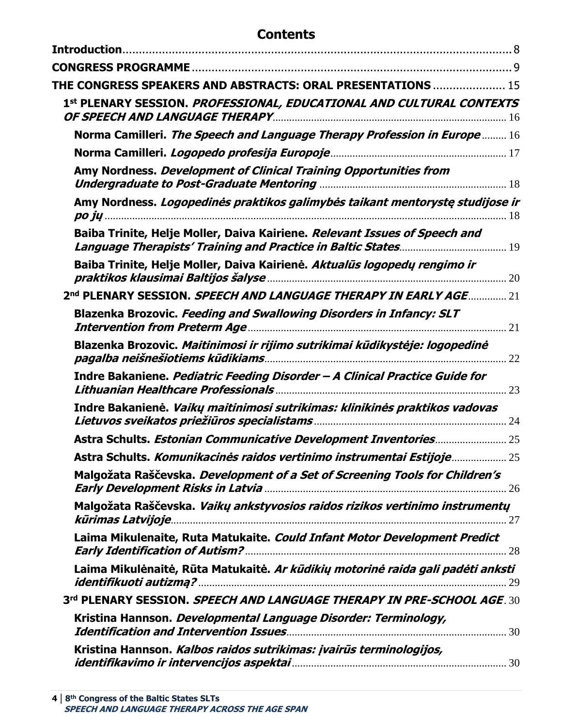# **Contents**

| THE CONGRESS SPEAKERS AND ABSTRACTS: ORAL PRESENTATIONS  15                            |  |
|----------------------------------------------------------------------------------------|--|
| 1st PLENARY SESSION. <i>PROFESSIONAL, EDUCATIONAL AND CULTURAL CONTEXTS</i>            |  |
| Norma Camilleri. The Speech and Language Therapy Profession in Europe  16              |  |
|                                                                                        |  |
| Amy Nordness. Development of Clinical Training Opportunities from                      |  |
| Amy Nordness. Logopedinės praktikos galimybės taikant mentorystę studijose ir          |  |
| Baiba Trinite, Helje Moller, Daiva Kairiene. Relevant Issues of Speech and             |  |
| Baiba Trinite, Helje Moller, Daiva Kairienė. Aktualūs logopedų rengimo ir              |  |
| 2nd PLENARY SESSION, SPEECH AND LANGUAGE THERAPY IN EARLY AGE 21                       |  |
| Blazenka Brozovic. Feeding and Swallowing Disorders in Infancy: SLT                    |  |
| Blazenka Brozovic. Maitinimosi ir rijimo sutrikimai kūdikystėje: logopedinė            |  |
| Indre Bakaniene. Pediatric Feeding Disorder - A Clinical Practice Guide for<br>23      |  |
| Indre Bakanienė. <i>Vaikų maitinimosi sutrikimas: klinikinės praktikos vadovas</i>     |  |
| Astra Schults. Estonian Communicative Development Inventories 25                       |  |
| Astra Schults. Komunikacinės raidos vertinimo instrumentai Estijoje 25                 |  |
| Malgožata Raščevska. Development of a Set of Screening Tools for Children's            |  |
| Malgožata Raščevska. Vaikų ankstyvosios raidos rizikos vertinimo instrumentų           |  |
| Laima Mikulenaite, Ruta Matukaite. Could Infant Motor Development Predict              |  |
| Laima Mikulėnaitė, Rūta Matukaitė. <i>Ar kūdikių motorinė raida gali padėti anksti</i> |  |
| 3rd PLENARY SESSION. SPEECH AND LANGUAGE THERAPY IN PRE-SCHOOL AGE. 30                 |  |
| Kristina Hannson. Developmental Language Disorder: Terminology,                        |  |
| Kristina Hannson. Kalbos raidos sutrikimas: įvairūs terminologijos,                    |  |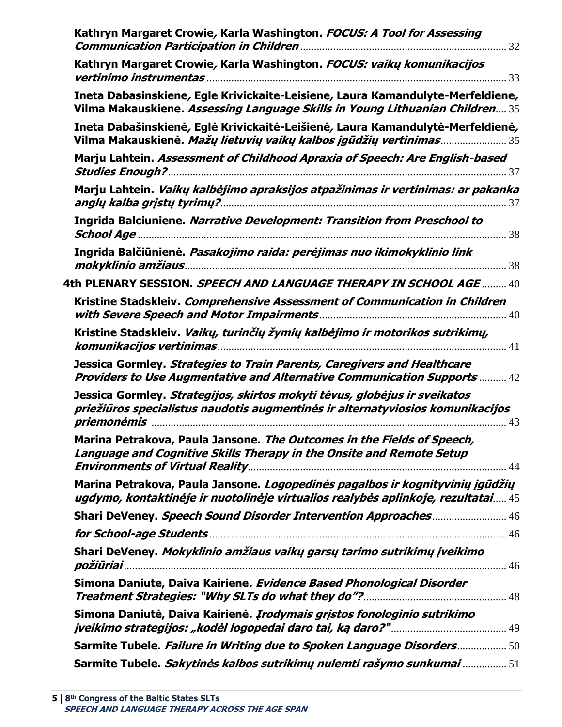| Kathryn Margaret Crowie, Karla Washington. FOCUS: A Tool for Assessing                                                                                                                                                                                                                                                                                                                                                                                                   |
|--------------------------------------------------------------------------------------------------------------------------------------------------------------------------------------------------------------------------------------------------------------------------------------------------------------------------------------------------------------------------------------------------------------------------------------------------------------------------|
| Kathryn Margaret Crowie, Karla Washington. FOCUS: vaikų komunikacijos                                                                                                                                                                                                                                                                                                                                                                                                    |
| Ineta Dabasinskiene, Egle Krivickaite-Leisiene, Laura Kamandulyte-Merfeldiene,<br>Vilma Makauskiene. Assessing Language Skills in Young Lithuanian Children 35                                                                                                                                                                                                                                                                                                           |
| Ineta Dabašinskienė, Eglė Krivickaitė-Leišienė, Laura Kamandulytė-Merfeldienė,<br>Vilma Makauskienė. Mažų lietuvių vaikų kalbos įgūdžių vertinimas 35                                                                                                                                                                                                                                                                                                                    |
| Marju Lahtein. Assessment of Childhood Apraxia of Speech: Are English-based                                                                                                                                                                                                                                                                                                                                                                                              |
| Marju Lahtein. Vaikų kalbėjimo apraksijos atpažinimas ir vertinimas: ar pakanka                                                                                                                                                                                                                                                                                                                                                                                          |
| Ingrida Balciuniene. Narrative Development: Transition from Preschool to                                                                                                                                                                                                                                                                                                                                                                                                 |
| Ingrida Balčiūnienė. Pasakojimo raida: perėjimas nuo ikimokyklinio link                                                                                                                                                                                                                                                                                                                                                                                                  |
| 4th PLENARY SESSION. <i>SPEECH AND LANGUAGE THERAPY IN SCHOOL AGE</i> 40                                                                                                                                                                                                                                                                                                                                                                                                 |
| Kristine Stadskleiv. Comprehensive Assessment of Communication in Children                                                                                                                                                                                                                                                                                                                                                                                               |
| Kristine Stadskleiv. Vaikų, turinčių žymių kalbėjimo ir motorikos sutrikimų,                                                                                                                                                                                                                                                                                                                                                                                             |
| Jessica Gormley. Strategies to Train Parents, Caregivers and Healthcare<br><b>Providers to Use Augmentative and Alternative Communication Supports  42</b>                                                                                                                                                                                                                                                                                                               |
| Jessica Gormley. Strategijos, skirtos mokyti tėvus, globėjus ir sveikatos<br>priežiūros specialistus naudotis augmentinės ir alternatyviosios komunikacijos                                                                                                                                                                                                                                                                                                              |
| Marina Petrakova, Paula Jansone. The Outcomes in the Fields of Speech,<br>Language and Cognitive Skills Therapy in the Onsite and Remote Setup                                                                                                                                                                                                                                                                                                                           |
| Marina Petrakova, Paula Jansone. Logopedinės pagalbos ir kognityvinių įgūdžių<br>ugdymo, kontaktinėje ir nuotolinėje virtualios realybės aplinkoje, rezultatai 45                                                                                                                                                                                                                                                                                                        |
| Shari DeVeney. Speech Sound Disorder Intervention Approaches 46                                                                                                                                                                                                                                                                                                                                                                                                          |
|                                                                                                                                                                                                                                                                                                                                                                                                                                                                          |
| Shari DeVeney. Mokyklinio amžiaus vaikų garsų tarimo sutrikimų įveikimo<br>$\overline{{\bm p}{\bm o}{\bm z}{\bm i}{\bm v}{\bm i}}$ and $\overline{{\bm u}{\bm v}{\bm i}}$ and $\overline{{\bm v}{\bm v}}$ and $\overline{{\bm v}{\bm v}}$ and $\overline{{\bm v}{\bm v}{\bm v}}$ and $\overline{{\bm v}{\bm v}{\bm v}}$ and $\overline{{\bm v}{\bm v}{\bm v}}$ and $\overline{{\bm v}{\bm v}{\bm v}{\bm v}}$ and $\overline{{\bm v}{\bm v}{\bm v}{\bm v}{\bm v}{\bm v}{$ |
| Simona Daniute, Daiva Kairiene. Evidence Based Phonological Disorder                                                                                                                                                                                                                                                                                                                                                                                                     |
| Simona Daniutė, Daiva Kairienė. Įrodymais grįstos fonologinio sutrikimo                                                                                                                                                                                                                                                                                                                                                                                                  |
| Sarmite Tubele. Failure in Writing due to Spoken Language Disorders 50                                                                                                                                                                                                                                                                                                                                                                                                   |
| Sarmite Tubele. Sakytinės kalbos sutrikimų nulemti rašymo sunkumai  51                                                                                                                                                                                                                                                                                                                                                                                                   |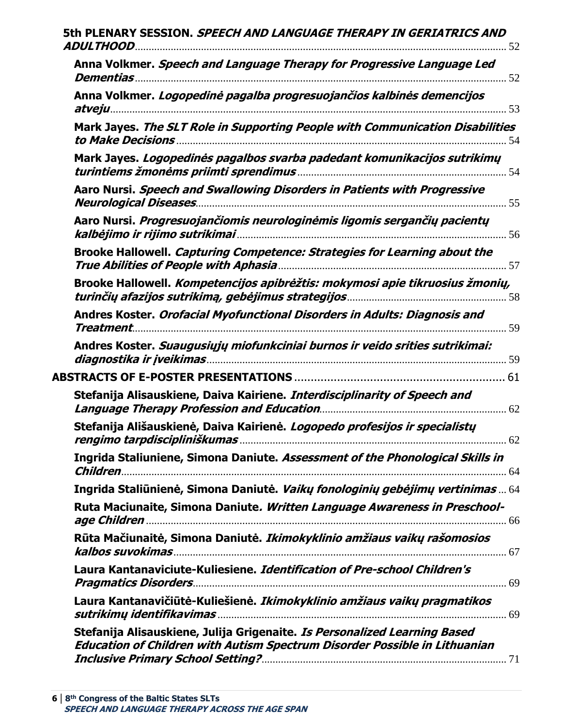| 5th PLENARY SESSION. SPEECH AND LANGUAGE THERAPY IN GERIATRICS AND                                                                                      |
|---------------------------------------------------------------------------------------------------------------------------------------------------------|
| Anna Volkmer. Speech and Language Therapy for Progressive Language Led                                                                                  |
| Anna Volkmer. Logopedinė pagalba progresuojančios kalbinės demencijos                                                                                   |
| Mark Jayes. The SLT Role in Supporting People with Communication Disabilities                                                                           |
| Mark Jayes. Logopedinės pagalbos svarba padedant komunikacijos sutrikimų                                                                                |
| Aaro Nursi. Speech and Swallowing Disorders in Patients with Progressive                                                                                |
| Aaro Nursi. Progresuojančiomis neurologinėmis ligomis sergančių pacientų                                                                                |
| Brooke Hallowell. Capturing Competence: Strategies for Learning about the                                                                               |
| Brooke Hallowell. Kompetencijos apibrėžtis: mokymosi apie tikruosius žmonių,                                                                            |
| Andres Koster. Orofacial Myofunctional Disorders in Adults: Diagnosis and                                                                               |
| Andres Koster. Suaugusiųjų miofunkciniai burnos ir veido srities sutrikimai:                                                                            |
|                                                                                                                                                         |
| Stefanija Alisauskiene, Daiva Kairiene. Interdisciplinarity of Speech and                                                                               |
| Stefanija Ališauskienė, Daiva Kairienė. Logopedo profesijos ir specialistų                                                                              |
| Ingrida Staliuniene, Simona Daniute. Assessment of the Phonological Skills in                                                                           |
| Ingrida Staliūnienė, Simona Daniutė. Vaikų fonologinių gebėjimų vertinimas  64                                                                          |
| Ruta Maciunaite, Simona Daniute. Written Language Awareness in Preschool-                                                                               |
| Rūta Mačiunaitė, Simona Daniutė. Ikimokyklinio amžiaus vaikų rašomosios                                                                                 |
| Laura Kantanaviciute-Kuliesiene. Identification of Pre-school Children's                                                                                |
| Laura Kantanavičiūtė-Kuliešienė. Ikimokyklinio amžiaus vaikų pragmatikos                                                                                |
| Stefanija Alisauskiene, Julija Grigenaite. Is Personalized Learning Based<br>Education of Children with Autism Spectrum Disorder Possible in Lithuanian |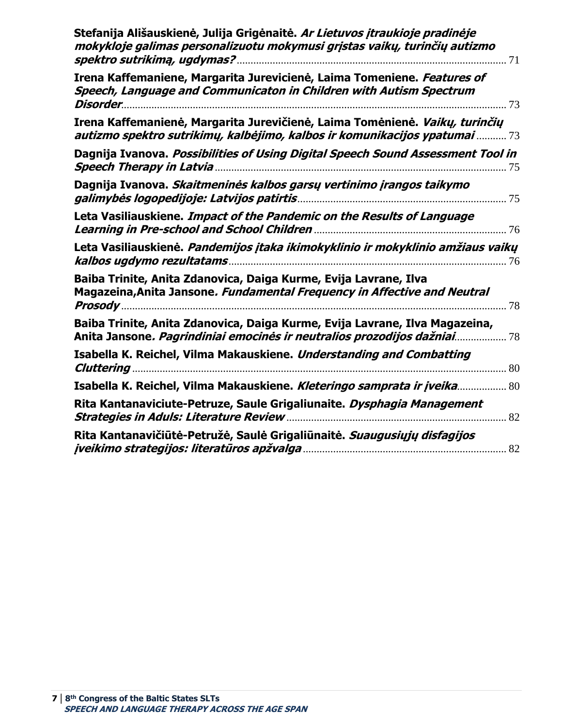| Stefanija Ališauskienė, Julija Grigėnaitė. Ar Lietuvos įtraukioje pradinėje<br>mokykloje galimas personalizuotu mokymusi grįstas vaikų, turinčių autizmo  |
|-----------------------------------------------------------------------------------------------------------------------------------------------------------|
| Irena Kaffemaniene, Margarita Jurevicienė, Laima Tomeniene. Features of<br>Speech, Language and Communicaton in Children with Autism Spectrum<br>Disorder |
| Irena Kaffemanienė, Margarita Jurevičienė, Laima Tomėnienė. Vaikų, turinčių<br>autizmo spektro sutrikimų, kalbėjimo, kalbos ir komunikacijos ypatumai  73 |
| Dagnija Ivanova. Possibilities of Using Digital Speech Sound Assessment Tool in<br>75                                                                     |
| Dagnija Ivanova. Skaitmeninės kalbos garsų vertinimo įrangos taikymo                                                                                      |
| Leta Vasiliauskiene. Impact of the Pandemic on the Results of Language                                                                                    |
| Leta Vasiliauskienė. Pandemijos įtaka ikimokyklinio ir mokyklinio amžiaus vaikų<br>kalbos ugdymo rezultatams                                              |
| Baiba Trinite, Anita Zdanovica, Daiga Kurme, Evija Lavrane, Ilva<br>Magazeina, Anita Jansone. Fundamental Frequency in Affective and Neutral<br>. 78      |
| Baiba Trinite, Anita Zdanovica, Daiga Kurme, Evija Lavrane, Ilva Magazeina,<br>Anita Jansone. Pagrindiniai emocinės ir neutralios prozodijos dažniai      |
| Isabella K. Reichel, Vilma Makauskiene. Understanding and Combatting                                                                                      |
| Isabella K. Reichel, Vilma Makauskiene. Kleteringo samprata ir įveika 80                                                                                  |
| Rita Kantanaviciute-Petruze, Saule Grigaliunaite. Dysphagia Management                                                                                    |
| Rita Kantanavičiūtė-Petružė, Saulė Grigaliūnaitė. Suaugusiųjų disfagijos                                                                                  |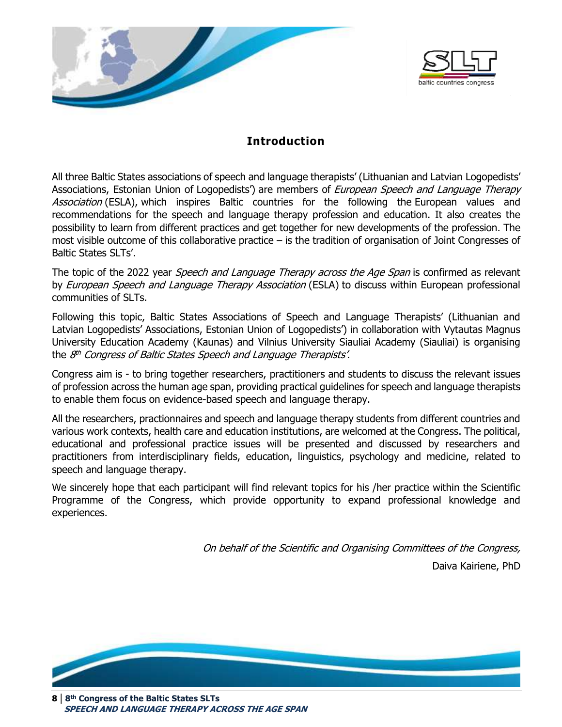<span id="page-7-0"></span>



# **Introduction**

All three Baltic States associations of speech and language therapists' (Lithuanian and Latvian Logopedists' Associations, Estonian Union of Logopedists') are members of *European Speech and Language Therapy* Association (ESLA), which inspires Baltic countries for the following the European values and recommendations for the speech and language therapy profession and education. It also creates the possibility to learn from different practices and get together for new developments of the profession. The most visible outcome of this collaborative practice – is the tradition of organisation of Joint Congresses of Baltic States SLTs'.

The topic of the 2022 year Speech and Language Therapy across the Age Span is confirmed as relevant by *European Speech and Language Therapy Association* (ESLA) to discuss within European professional communities of SLTs.

Following this topic, Baltic States Associations of Speech and Language Therapists' (Lithuanian and Latvian Logopedists' Associations, Estonian Union of Logopedists') in collaboration with Vytautas Magnus University Education Academy (Kaunas) and Vilnius University Siauliai Academy (Siauliai) is organising the 8<sup>th</sup> Congress of Baltic States Speech and Language Therapists'.

Congress aim is - to bring together researchers, practitioners and students to discuss the relevant issues of profession across the human age span, providing practical guidelines for speech and language therapists to enable them focus on evidence-based speech and language therapy.

All the researchers, practionnaires and speech and language therapy students from different countries and various work contexts, health care and education institutions, are welcomed at the Congress. The political, educational and professional practice issues will be presented and discussed by researchers and practitioners from interdisciplinary fields, education, linguistics, psychology and medicine, related to speech and language therapy.

We sincerely hope that each participant will find relevant topics for his /her practice within the Scientific Programme of the Congress, which provide opportunity to expand professional knowledge and experiences.

> On behalf of the Scientific and Organising Committees of the Congress, Daiva Kairiene, PhD



 **SPEECH AND LANGUAGE THERAPY ACROSS THE AGE SPAN**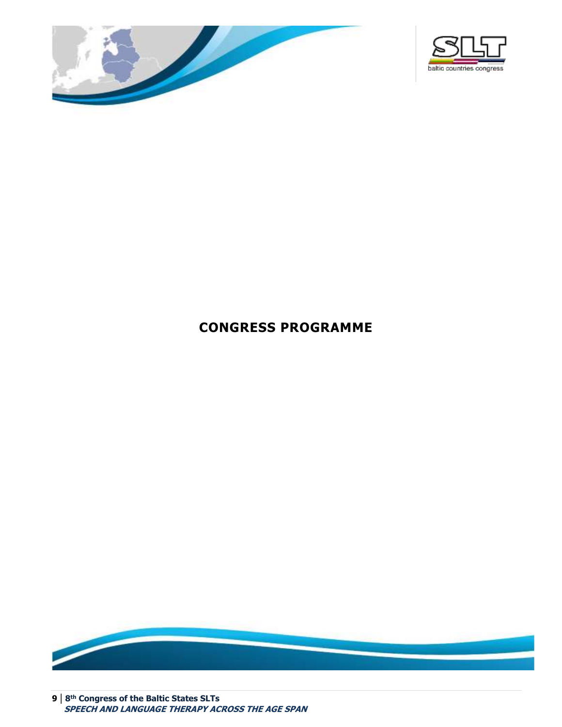



# <span id="page-8-0"></span>**CONGRESS PROGRAMME**



**9 | 8 th Congress of the Baltic States SLTs SPEECH AND LANGUAGE THERAPY ACROSS THE AGE SPAN**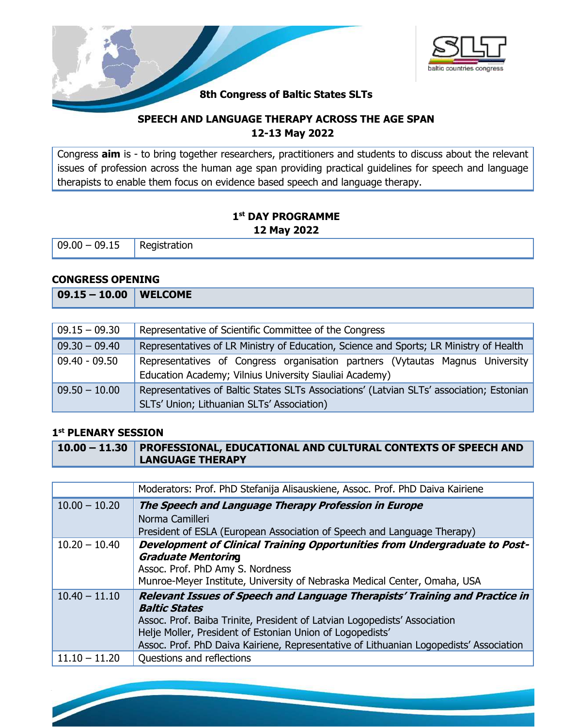



# **8th Congress of Baltic States SLTs**

# **SPEECH AND LANGUAGE THERAPY ACROSS THE AGE SPAN 12-13 May 2022**

Congress **aim** is - to bring together researchers, practitioners and students to discuss about the relevant issues of profession across the human age span providing practical guidelines for speech and language therapists to enable them focus on evidence based speech and language therapy.

# **1 st DAY PROGRAMME 12 May 2022**

 $09.00 - 09.15$  Registration

#### **CONGRESS OPENING**

| $09.15 - 10.00$ WELCOME |  |
|-------------------------|--|
|                         |  |

| $09.15 - 09.30$ | Representative of Scientific Committee of the Congress                                                                                   |
|-----------------|------------------------------------------------------------------------------------------------------------------------------------------|
| $09.30 - 09.40$ | Representatives of LR Ministry of Education, Science and Sports; LR Ministry of Health                                                   |
| $09.40 - 09.50$ | Representatives of Congress organisation partners (Vytautas Magnus University<br>Education Academy; Vilnius University Siauliai Academy) |
| $09.50 - 10.00$ | Representatives of Baltic States SLTs Associations' (Latvian SLTs' association; Estonian<br>SLTs' Union; Lithuanian SLTs' Association)   |

#### **1 st PLENARY SESSION**

**10 | 8 th Congress of the Baltic States SLTs**

 **SPEECH AND LANGUAGE THERAPY ACCURACING** 

| $\mid$ 10.00 – 11.30 $\mid$ PROFESSIONAL, EDUCATIONAL AND CULTURAL CONTEXTS OF SPEECH AND |  |
|-------------------------------------------------------------------------------------------|--|
| <b>LANGUAGE THERAPY</b>                                                                   |  |

|                 | Moderators: Prof. PhD Stefanija Alisauskiene, Assoc. Prof. PhD Daiva Kairiene                                                                                                                                                                                                                                                           |
|-----------------|-----------------------------------------------------------------------------------------------------------------------------------------------------------------------------------------------------------------------------------------------------------------------------------------------------------------------------------------|
| $10.00 - 10.20$ | The Speech and Language Therapy Profession in Europe<br>Norma Camilleri<br>President of ESLA (European Association of Speech and Language Therapy)                                                                                                                                                                                      |
| $10.20 - 10.40$ | Development of Clinical Training Opportunities from Undergraduate to Post-<br><b>Graduate Mentoring</b><br>Assoc. Prof. PhD Amy S. Nordness<br>Munroe-Meyer Institute, University of Nebraska Medical Center, Omaha, USA                                                                                                                |
| $10.40 - 11.10$ | Relevant Issues of Speech and Language Therapists' Training and Practice in<br><b>Baltic States</b><br>Assoc. Prof. Baiba Trinite, President of Latvian Logopedists' Association<br>Helje Moller, President of Estonian Union of Logopedists'<br>Assoc. Prof. PhD Daiva Kairiene, Representative of Lithuanian Logopedists' Association |
| $11.10 - 11.20$ | Questions and reflections                                                                                                                                                                                                                                                                                                               |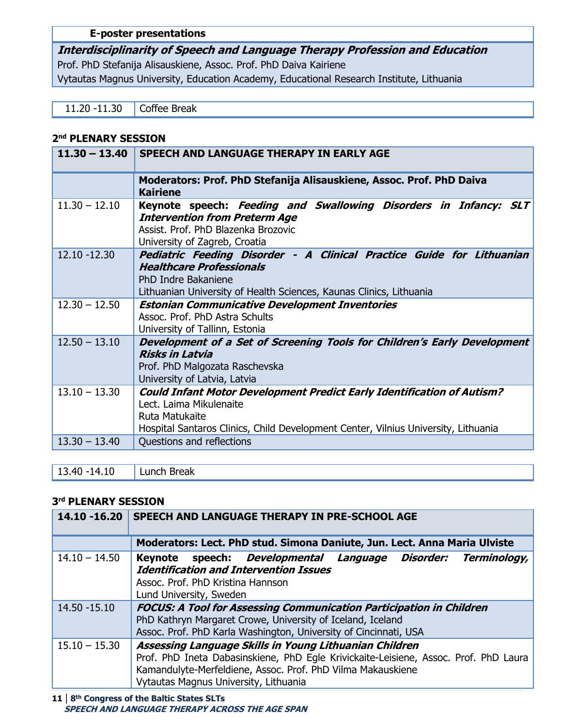## **E-poster presentations**

**Interdisciplinarity of Speech and Language Therapy Profession and Education** Prof. PhD Stefanija Alisauskiene, Assoc. Prof. PhD Daiva Kairiene Vytautas Magnus University, Education Academy, Educational Research Institute, Lithuania

11.20 -11.30 **Coffee Break** 

#### **2 nd PLENARY SESSION**

|                 | 11.30 - 13.40 SPEECH AND LANGUAGE THERAPY IN EARLY AGE                                                                                                                                                           |
|-----------------|------------------------------------------------------------------------------------------------------------------------------------------------------------------------------------------------------------------|
|                 | Moderators: Prof. PhD Stefanija Alisauskiene, Assoc. Prof. PhD Daiva<br><b>Kairiene</b>                                                                                                                          |
| $11.30 - 12.10$ | Keynote speech: Feeding and Swallowing Disorders in Infancy: SLT<br><b>Intervention from Preterm Age</b><br>Assist, Prof. PhD Blazenka Brozovic<br>University of Zagreb, Croatia                                 |
| 12.10 -12.30    | Pediatric Feeding Disorder - A Clinical Practice Guide for Lithuanian<br><b>Healthcare Professionals</b><br>PhD Indre Bakaniene<br>Lithuanian University of Health Sciences, Kaunas Clinics, Lithuania           |
| $12.30 - 12.50$ | <b>Estonian Communicative Development Inventories</b><br>Assoc. Prof. PhD Astra Schults<br>University of Tallinn, Estonia                                                                                        |
| $12.50 - 13.10$ | Development of a Set of Screening Tools for Children's Early Development<br><b>Risks in Latvia</b><br>Prof. PhD Malgozata Raschevska<br>University of Latvia, Latvia                                             |
| $13.10 - 13.30$ | <b>Could Infant Motor Development Predict Early Identification of Autism?</b><br>Lect. Laima Mikulenaite<br>Ruta Matukaite<br>Hospital Santaros Clinics, Child Development Center, Vilnius University, Lithuania |
| $13.30 - 13.40$ | Questions and reflections                                                                                                                                                                                        |

13.40 -14.10 Lunch Break

#### **3 rd PLENARY SESSION**

| 14.10 -16.20    | SPEECH AND LANGUAGE THERAPY IN PRE-SCHOOL AGE                                                                                                                                                                                                          |
|-----------------|--------------------------------------------------------------------------------------------------------------------------------------------------------------------------------------------------------------------------------------------------------|
|                 | Moderators: Lect. PhD stud. Simona Daniute, Jun. Lect. Anna Maria Ulviste                                                                                                                                                                              |
| $14.10 - 14.50$ | speech: Developmental Language Disorder: Terminology,<br><b>Keynote</b><br><b>Identification and Intervention Issues</b><br>Assoc. Prof. PhD Kristina Hannson<br>Lund University, Sweden                                                               |
| 14.50 - 15.10   | <b>FOCUS: A Tool for Assessing Communication Participation in Children</b><br>PhD Kathryn Margaret Crowe, University of Iceland, Iceland<br>Assoc. Prof. PhD Karla Washington, University of Cincinnati, USA                                           |
| $15.10 - 15.30$ | Assessing Language Skills in Young Lithuanian Children<br>Prof. PhD Ineta Dabasinskiene, PhD Egle Krivickaite-Leisiene, Assoc. Prof. PhD Laura<br>Kamandulyte-Merfeldiene, Assoc. Prof. PhD Vilma Makauskiene<br>Vytautas Magnus University, Lithuania |

**11 | 8 th Congress of the Baltic States SLTs SPEECH AND LANGUAGE THERAPY ACROSS THE AGE SPAN**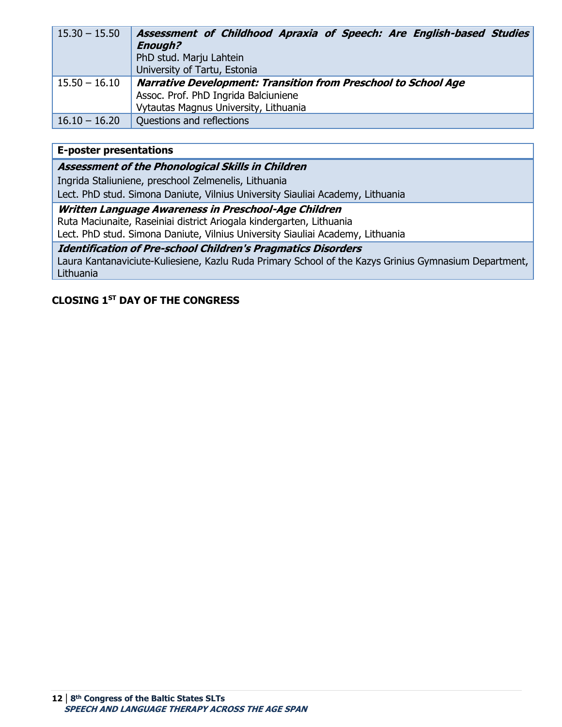| $15.30 - 15.50$ | Assessment of Childhood Apraxia of Speech: Are English-based Studies<br><b>Enough?</b><br>PhD stud. Marju Lahtein<br>University of Tartu, Estonia      |
|-----------------|--------------------------------------------------------------------------------------------------------------------------------------------------------|
| $15.50 - 16.10$ | <b>Narrative Development: Transition from Preschool to School Age</b><br>Assoc. Prof. PhD Ingrida Balciuniene<br>Vytautas Magnus University, Lithuania |
| $16.10 - 16.20$ | Questions and reflections                                                                                                                              |

#### **E-poster presentations**

**Assessment of the Phonological Skills in Children**

Ingrida Staliuniene, preschool Zelmenelis, Lithuania

Lect. PhD stud. Simona Daniute, Vilnius University Siauliai Academy, Lithuania

**Written Language Awareness in Preschool-Age Children** Ruta Maciunaite, Raseiniai district Ariogala kindergarten, Lithuania

Lect. PhD stud. Simona Daniute, Vilnius University Siauliai Academy, Lithuania

**Identification of Pre-school Children's Pragmatics Disorders**

Laura Kantanaviciute-Kuliesiene, Kazlu Ruda Primary School of the Kazys Grinius Gymnasium Department, Lithuania

# **CLOSING 1ST DAY OF THE CONGRESS**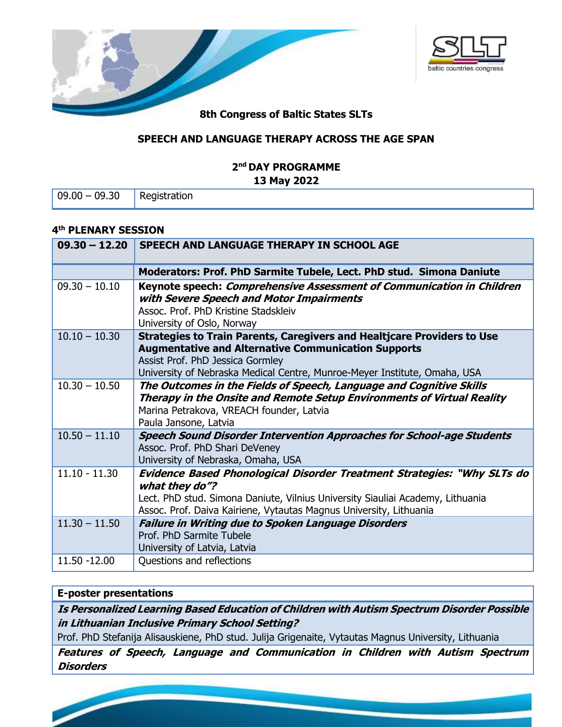



# **SPEECH AND LANGUAGE THERAPY ACROSS THE AGE SPAN**

#### **2 nd DAY PROGRAMME 13 May 2022**

|  | $09.00 - 09.30$ | Registration |
|--|-----------------|--------------|
|--|-----------------|--------------|

#### **4 th PLENARY SESSION**

| $09.30 - 12.20$ | SPEECH AND LANGUAGE THERAPY IN SCHOOL AGE                                                                                                                                                                                                                     |
|-----------------|---------------------------------------------------------------------------------------------------------------------------------------------------------------------------------------------------------------------------------------------------------------|
|                 | Moderators: Prof. PhD Sarmite Tubele, Lect. PhD stud. Simona Daniute                                                                                                                                                                                          |
| $09.30 - 10.10$ | Keynote speech: Comprehensive Assessment of Communication in Children<br>with Severe Speech and Motor Impairments<br>Assoc. Prof. PhD Kristine Stadskleiv<br>University of Oslo, Norway                                                                       |
| $10.10 - 10.30$ | <b>Strategies to Train Parents, Caregivers and Healtjcare Providers to Use</b><br><b>Augmentative and Alternative Communication Supports</b><br>Assist Prof. PhD Jessica Gormley<br>University of Nebraska Medical Centre, Munroe-Meyer Institute, Omaha, USA |
| $10.30 - 10.50$ | The Outcomes in the Fields of Speech, Language and Cognitive Skills<br>Therapy in the Onsite and Remote Setup Environments of Virtual Reality<br>Marina Petrakova, VREACH founder, Latvia<br>Paula Jansone, Latvia                                            |
| $10.50 - 11.10$ | <b>Speech Sound Disorder Intervention Approaches for School-age Students</b><br>Assoc. Prof. PhD Shari DeVeney<br>University of Nebraska, Omaha, USA                                                                                                          |
| $11.10 - 11.30$ | <b>Evidence Based Phonological Disorder Treatment Strategies: "Why SLTs do</b><br>what they do"?<br>Lect. PhD stud. Simona Daniute, Vilnius University Siauliai Academy, Lithuania<br>Assoc. Prof. Daiva Kairiene, Vytautas Magnus University, Lithuania      |
| $11.30 - 11.50$ | <b>Failure in Writing due to Spoken Language Disorders</b><br>Prof. PhD Sarmite Tubele<br>University of Latvia, Latvia                                                                                                                                        |
| 11.50 -12.00    | Questions and reflections                                                                                                                                                                                                                                     |

# **E-poster presentations**

**the Baltic States of the Baltic States SLTs** 

 **SPEECH AND LANGUAGE THERAPY ACCURACING** 

**13 | 8**

**Is Personalized Learning Based Education of Children with Autism Spectrum Disorder Possible in Lithuanian Inclusive Primary School Setting?**

Prof. PhD Stefanija Alisauskiene, PhD stud. Julija Grigenaite, Vytautas Magnus University, Lithuania

**Features of Speech, Language and Communication in Children with Autism Spectrum Disorders**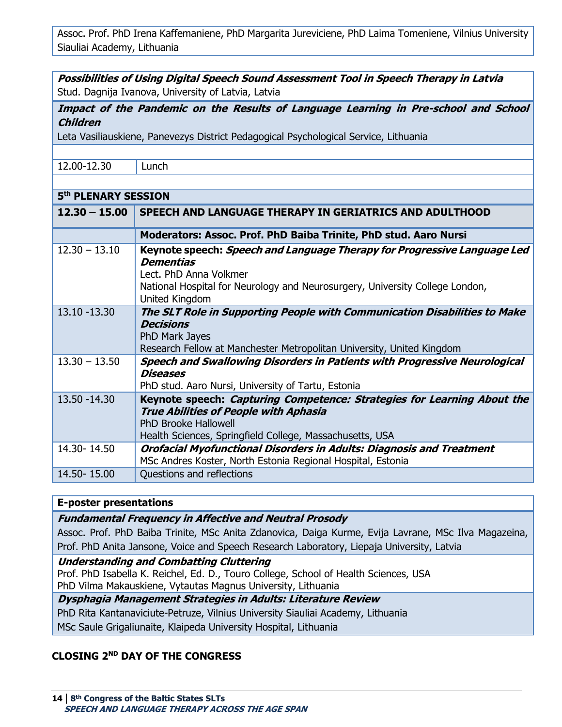Assoc. Prof. PhD Irena Kaffemaniene, PhD Margarita Jureviciene, PhD Laima Tomeniene, Vilnius University Siauliai Academy, Lithuania

**Possibilities of Using Digital Speech Sound Assessment Tool in Speech Therapy in Latvia** Stud. Dagnija Ivanova, University of Latvia, Latvia

**Impact of the Pandemic on the Results of Language Learning in Pre-school and School Children**

Leta Vasiliauskiene, Panevezys District Pedagogical Psychological Service, Lithuania

| .2.00-12.3 |  |
|------------|--|
|            |  |

Lunch

| 5 <sup>th</sup> PLENARY SESSION |                                                                                                                                                                                                                   |
|---------------------------------|-------------------------------------------------------------------------------------------------------------------------------------------------------------------------------------------------------------------|
| $12.30 - 15.00$                 | SPEECH AND LANGUAGE THERAPY IN GERIATRICS AND ADULTHOOD                                                                                                                                                           |
|                                 | Moderators: Assoc. Prof. PhD Baiba Trinite, PhD stud. Aaro Nursi                                                                                                                                                  |
| $12.30 - 13.10$                 | Keynote speech: Speech and Language Therapy for Progressive Language Led<br>Dementias<br>Lect. PhD Anna Volkmer<br>National Hospital for Neurology and Neurosurgery, University College London,<br>United Kingdom |
| 13.10 -13.30                    | The SLT Role in Supporting People with Communication Disabilities to Make<br><b>Decisions</b><br>PhD Mark Jayes<br>Research Fellow at Manchester Metropolitan University, United Kingdom                          |
| $13.30 - 13.50$                 | <b>Speech and Swallowing Disorders in Patients with Progressive Neurological</b>                                                                                                                                  |

**Diseases** PhD stud. Aaro Nursi, University of Tartu, Estonia 13.50 -14.30 **Keynote speech: Capturing Competence: Strategies for Learning About the True Abilities of People with Aphasia** PhD Brooke Hallowell Health Sciences, Springfield College, Massachusetts, USA 14.30- 14.50 **Orofacial Myofunctional Disorders in Adults: Diagnosis and Treatment**  MSc Andres Koster, North Estonia Regional Hospital, Estonia 14.50- 15.00 Questions and reflections

#### **E-poster presentations**

**Fundamental Frequency in Affective and Neutral Prosody**

Assoc. Prof. PhD Baiba Trinite, MSc Anita Zdanovica, Daiga Kurme, Evija Lavrane, MSc Ilva Magazeina, Prof. PhD Anita Jansone, Voice and Speech Research Laboratory, Liepaja University, Latvia

**Understanding and Combatting Cluttering**

Prof. PhD Isabella K. Reichel, Ed. D., Touro College, School of Health Sciences, USA PhD Vilma Makauskiene, Vytautas Magnus University, Lithuania

**Dysphagia Management Strategies in Adults: Literature Review**

PhD Rita Kantanaviciute-Petruze, Vilnius University Siauliai Academy, Lithuania

MSc Saule Grigaliunaite, Klaipeda University Hospital, Lithuania

# **CLOSING 2ND DAY OF THE CONGRESS**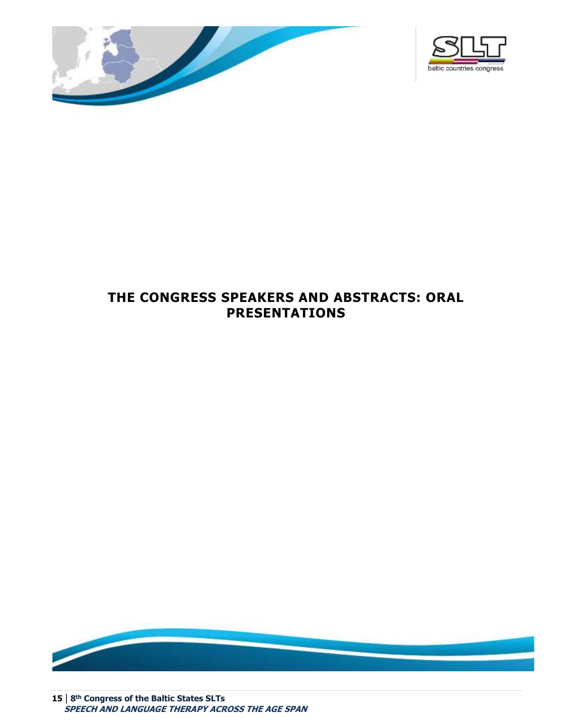



# <span id="page-14-0"></span>**THE CONGRESS SPEAKERS AND ABSTRACTS: ORAL PRESENTATIONS**



**15 | 8 th Congress of the Baltic States SLTs SPEECH AND LANGUAGE THERAPY ACROSS THE AGE SPAN**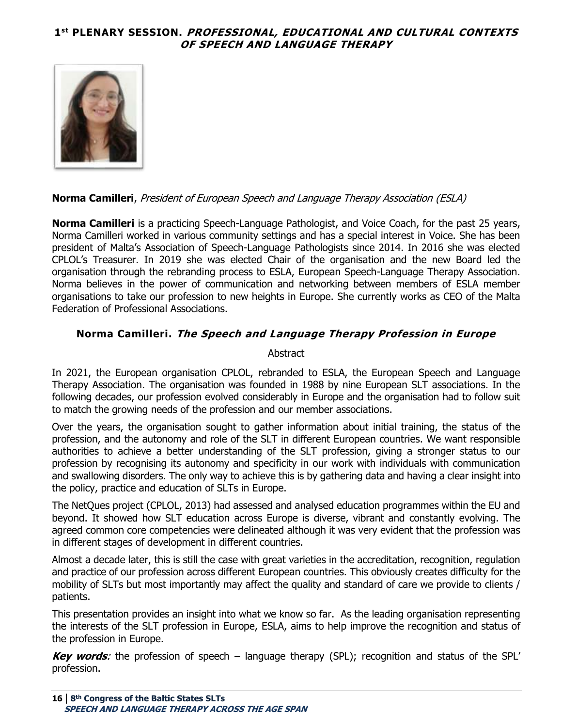# <span id="page-15-0"></span>**1 st PLENARY SESSION. PROFESSIONAL, EDUCATIONAL AND CULTURAL CONTEXTS OF SPEECH AND LANGUAGE THERAPY**



#### **Norma Camilleri**, President of European Speech and Language Therapy Association (ESLA)

**Norma Camilleri** is a practicing Speech-Language Pathologist, and Voice Coach, for the past 25 years, Norma Camilleri worked in various community settings and has a special interest in Voice. She has been president of Malta's Association of Speech-Language Pathologists since 2014. In 2016 she was elected CPLOL's Treasurer. In 2019 she was elected Chair of the organisation and the new Board led the organisation through the rebranding process to ESLA, European Speech-Language Therapy Association. Norma believes in the power of communication and networking between members of ESLA member organisations to take our profession to new heights in Europe. She currently works as CEO of the Malta Federation of Professional Associations.

#### <span id="page-15-1"></span>**Norma Camilleri. The Speech and Language Therapy Profession in Europe**

#### **Abstract**

In 2021, the European organisation CPLOL, rebranded to ESLA, the European Speech and Language Therapy Association. The organisation was founded in 1988 by nine European SLT associations. In the following decades, our profession evolved considerably in Europe and the organisation had to follow suit to match the growing needs of the profession and our member associations.

Over the years, the organisation sought to gather information about initial training, the status of the profession, and the autonomy and role of the SLT in different European countries. We want responsible authorities to achieve a better understanding of the SLT profession, giving a stronger status to our profession by recognising its autonomy and specificity in our work with individuals with communication and swallowing disorders. The only way to achieve this is by gathering data and having a clear insight into the policy, practice and education of SLTs in Europe.

The NetQues project (CPLOL, 2013) had assessed and analysed education programmes within the EU and beyond. It showed how SLT education across Europe is diverse, vibrant and constantly evolving. The agreed common core competencies were delineated although it was very evident that the profession was in different stages of development in different countries.

Almost a decade later, this is still the case with great varieties in the accreditation, recognition, regulation and practice of our profession across different European countries. This obviously creates difficulty for the mobility of SLTs but most importantly may affect the quality and standard of care we provide to clients / patients.

This presentation provides an insight into what we know so far. As the leading organisation representing the interests of the SLT profession in Europe, ESLA, aims to help improve the recognition and status of the profession in Europe.

**Key words**: the profession of speech – language therapy (SPL); recognition and status of the SPL' profession.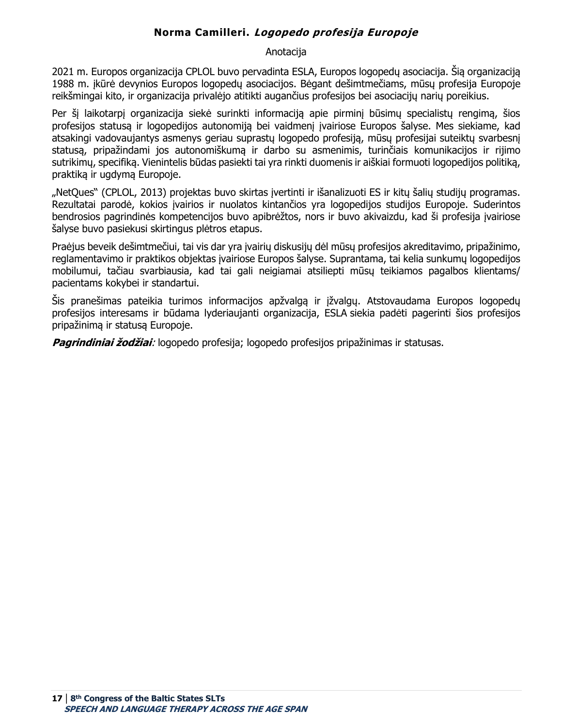# **Norma Camilleri. Logopedo profesija Europoje**

#### Anotacija

<span id="page-16-0"></span>2021 m. Europos organizacija CPLOL buvo pervadinta ESLA, Europos logopedų asociacija. Šią organizaciją 1988 m. įkūrė devynios Europos logopedų asociacijos. Bėgant dešimtmečiams, mūsų profesija Europoje reikšmingai kito, ir organizacija privalėjo atitikti augančius profesijos bei asociacijų narių poreikius.

Per šį laikotarpį organizacija siekė surinkti informacija apie pirminį būsimų specialistų rengimą, šios profesijos statusą ir logopedijos autonomiją bei vaidmenį įvairiose Europos šalyse. Mes siekiame, kad atsakingi vadovaujantys asmenys geriau suprastų logopedo profesiją, mūsų profesijąi suteiktų svarbesnį statusą, pripažindami jos autonomiškumą ir darbo su asmenimis, turinčiais komunikacijos ir rijimo sutrikimų, specifiką. Vienintelis būdas pasiekti tai yra rinkti duomenis ir aiškiai formuoti logopedijos politiką, praktiką ir ugdymą Europoje.

"NetQues" (CPLOL, 2013) projektas buvo skirtas įvertinti ir išanalizuoti ES ir kitų šalių studijų programas. Rezultatai parodė, kokios įvairios ir nuolatos kintančios yra logopedijos studijos Europoje. Suderintos bendrosios pagrindinės kompetencijos buvo apibrėžtos, nors ir buvo akivaizdu, kad ši profesija įvairiose šalyse buvo pasiekusi skirtingus plėtros etapus.

Praėjus beveik dešimtmečiui, tai vis dar yra įvairių diskusijų dėl mūsų profesijos akreditavimo, pripažinimo, reglamentavimo ir praktikos objektas įvairiose Europos šalyse. Suprantama, tai kelia sunkumų logopedijos mobilumui, tačiau svarbiausia, kad tai gali neigiamai atsiliepti mūsų teikiamos pagalbos klientams/ pacientams kokybei ir standartui.

Šis pranešimas pateikia turimos informacijos apžvalgą ir įžvalgų. Atstovaudama Europos logopedų profesijos interesams ir būdama lyderiaujanti organizacija, ESLA siekia padėti pagerinti šios profesijos pripažinimą ir statusą Europoje.

**Pagrindiniai žodžiai**: logopedo profesija; logopedo profesijos pripažinimas ir statusas.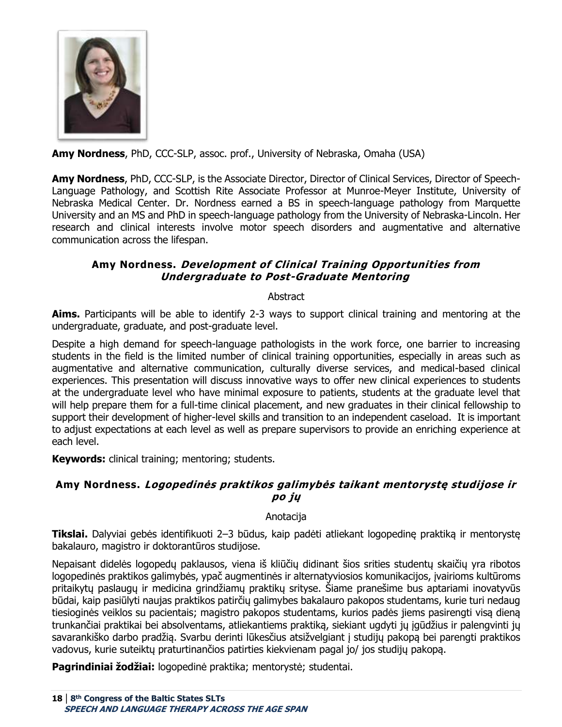

**Amy Nordness**, PhD, CCC-SLP, assoc. prof., University of Nebraska, Omaha (USA)

**Amy Nordness**, PhD, CCC-SLP, is the Associate Director, Director of Clinical Services, Director of Speech-Language Pathology, and Scottish Rite Associate Professor at Munroe-Meyer Institute, University of Nebraska Medical Center. Dr. Nordness earned a BS in speech-language pathology from Marquette University and an MS and PhD in speech-language pathology from the University of Nebraska-Lincoln. Her research and clinical interests involve motor speech disorders and augmentative and alternative communication across the lifespan.

# <span id="page-17-0"></span>**Amy Nordness. Development of Clinical Training Opportunities from Undergraduate to Post-Graduate Mentoring**

#### Abstract

**Aims.** Participants will be able to identify 2-3 ways to support clinical training and mentoring at the undergraduate, graduate, and post-graduate level.

Despite a high demand for speech-language pathologists in the work force, one barrier to increasing students in the field is the limited number of clinical training opportunities, especially in areas such as augmentative and alternative communication, culturally diverse services, and medical-based clinical experiences. This presentation will discuss innovative ways to offer new clinical experiences to students at the undergraduate level who have minimal exposure to patients, students at the graduate level that will help prepare them for a full-time clinical placement, and new graduates in their clinical fellowship to support their development of higher-level skills and transition to an independent caseload. It is important to adjust expectations at each level as well as prepare supervisors to provide an enriching experience at each level.

**Keywords:** clinical training; mentoring; students.

# <span id="page-17-1"></span>**Amy Nordness. Logopedinės praktikos galimybės taikant mentorystę studijose ir po jų**

Anotacija

**Tikslai.** Dalyviai gebės identifikuoti 2–3 būdus, kaip padėti atliekant logopedinę praktiką ir mentorystę bakalauro, magistro ir doktorantūros studijose.

Nepaisant didelės logopedų paklausos, viena iš kliūčių didinant šios srities studentų skaičių yra ribotos logopedinės praktikos galimybės, ypač augmentinės ir alternatyviosios komunikacijos, įvairioms kultūroms pritaikytų paslaugų ir medicina grindžiamų praktikų srityse. Šiame pranešime bus aptariami inovatyvūs būdai, kaip pasiūlyti naujas praktikos patirčių galimybes bakalauro pakopos studentams, kurie turi nedaug tiesioginės veiklos su pacientais; magistro pakopos studentams, kurios padės jiems pasirengti visą dieną trunkančiai praktikai bei absolventams, atliekantiems praktiką, siekiant ugdyti jų įgūdžius ir palengvinti jų savarankiško darbo pradžią. Svarbu derinti lūkesčius atsižvelgiant į studijų pakopą bei parengti praktikos vadovus, kurie suteiktų praturtinančios patirties kiekvienam pagal jo/ jos studijų pakopą.

**Pagrindiniai žodžiai:** logopedinė praktika; mentorystė; studentai.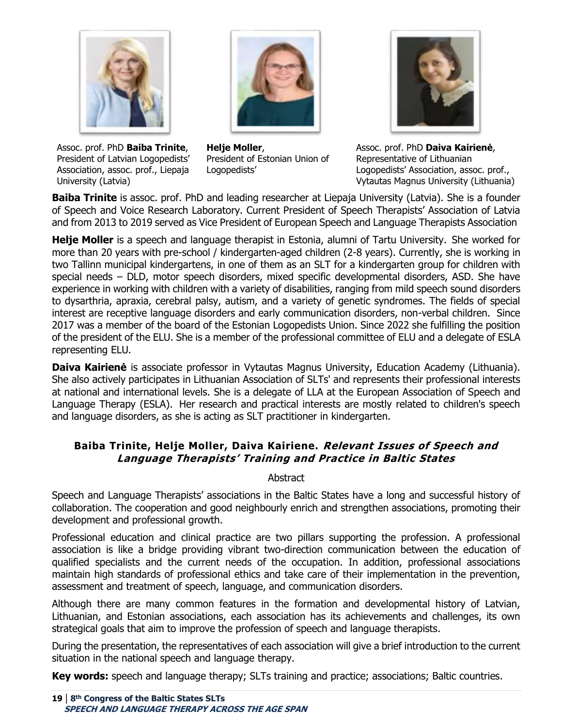

Assoc. prof. PhD **Baiba Trinite**, President of Latvian Logopedists' Association, assoc. prof., Liepaja University (Latvia)





Assoc. prof. PhD **Daiva Kairienė**, Representative of Lithuanian Logopedists' Association, assoc. prof., Vytautas Magnus University (Lithuania)

**Baiba Trinite** is assoc. prof. PhD and leading researcher at Liepaja University (Latvia). She is a founder of Speech and Voice Research Laboratory. Current President of Speech Therapists' Association of Latvia and from 2013 to 2019 served as Vice President of European Speech and Language Therapists Association

**Helje Moller** is a speech and language therapist in Estonia, alumni of Tartu University.  She worked for more than 20 years with pre-school / kindergarten-aged children (2-8 years). Currently, she is working in two Tallinn municipal kindergartens, in one of them as an SLT for a kindergarten group for children with special needs – DLD, motor speech disorders, mixed specific developmental disorders, ASD. She have experience in working with children with a variety of disabilities, ranging from mild speech sound disorders to dysarthria, apraxia, cerebral palsy, autism, and a variety of genetic syndromes. The fields of special interest are receptive language disorders and early communication disorders, non-verbal children. Since 2017 was a member of the board of the Estonian Logopedists Union. Since 2022 she fulfilling the position of the president of the ELU. She is a member of the professional committee of ELU and a delegate of ESLA representing ELU.

**Daiva Kairienė** is associate professor in Vytautas Magnus University, Education Academy (Lithuania). She also actively participates in Lithuanian Association of SLTs' and represents their professional interests at national and international levels. She is a delegate of LLA at the European Association of Speech and Language Therapy (ESLA). Her research and practical interests are mostly related to children's speech and language disorders, as she is acting as SLT practitioner in kindergarten.

# <span id="page-18-0"></span>**Baiba Trinite, Helje Moller, Daiva Kairiene. Relevant Issues of Speech and Language Therapists' Training and Practice in Baltic States**

Abstract

Speech and Language Therapists' associations in the Baltic States have a long and successful history of collaboration. The cooperation and good neighbourly enrich and strengthen associations, promoting their development and professional growth.

Professional education and clinical practice are two pillars supporting the profession. A professional association is like a bridge providing vibrant two-direction communication between the education of qualified specialists and the current needs of the occupation. In addition, professional associations maintain high standards of professional ethics and take care of their implementation in the prevention, assessment and treatment of speech, language, and communication disorders.

Although there are many common features in the formation and developmental history of Latvian, Lithuanian, and Estonian associations, each association has its achievements and challenges, its own strategical goals that aim to improve the profession of speech and language therapists.

During the presentation, the representatives of each association will give a brief introduction to the current situation in the national speech and language therapy.

**Key words:** speech and language therapy; SLTs training and practice; associations; Baltic countries.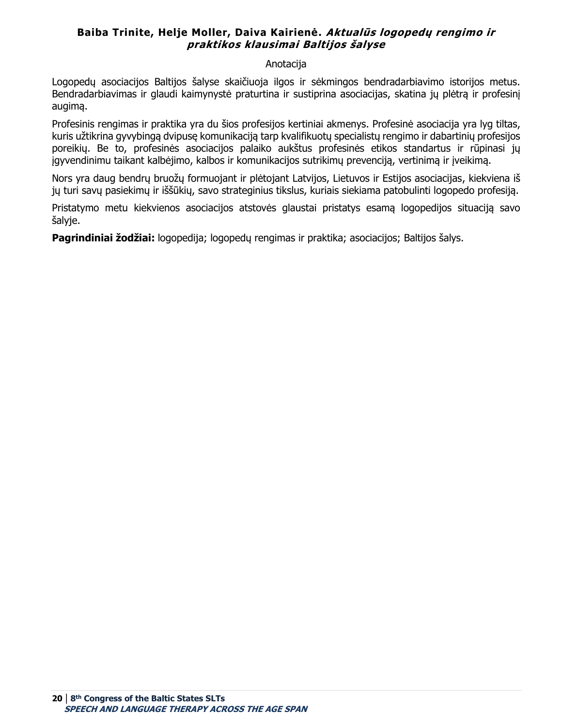# <span id="page-19-0"></span>**Baiba Trinite, Helje Moller, Daiva Kairienė. Aktualūs logopedų rengimo ir praktikos klausimai Baltijos šalyse**

#### Anotacija

Logopedų asociacijos Baltijos šalyse skaičiuoja ilgos ir sėkmingos bendradarbiavimo istorijos metus. Bendradarbiavimas ir glaudi kaimynystė praturtina ir sustiprina asociacijas, skatina jų plėtrą ir profesinį augimą.

Profesinis rengimas ir praktika yra du šios profesijos kertiniai akmenys. Profesinė asociacija yra lyg tiltas, kuris užtikrina gyvybingą dvipusę komunikaciją tarp kvalifikuotų specialistų rengimo ir dabartinių profesijos poreikių. Be to, profesinės asociacijos palaiko aukštus profesinės etikos standartus ir rūpinasi jų įgyvendinimu taikant kalbėjimo, kalbos ir komunikacijos sutrikimų prevenciją, vertinimą ir įveikimą.

Nors yra daug bendrų bruožų formuojant ir plėtojant Latvijos, Lietuvos ir Estijos asociacijas, kiekviena iš jų turi savų pasiekimų ir iššūkių, savo strateginius tikslus, kuriais siekiama patobulinti logopedo profesiją.

Pristatymo metu kiekvienos asociacijos atstovės glaustai pristatys esamą logopedijos situaciją savo šalyje.

**Pagrindiniai žodžiai:** logopedija; logopedų rengimas ir praktika; asociacijos; Baltijos šalys.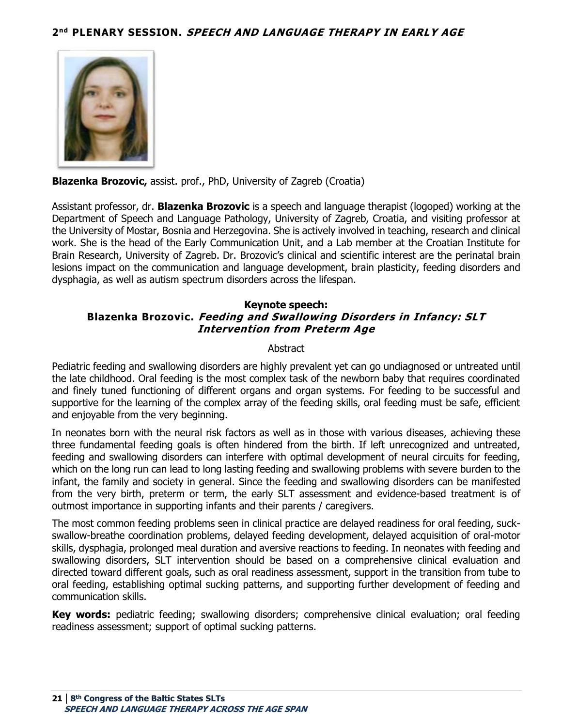<span id="page-20-0"></span>

**Blazenka Brozovic,** assist. prof., PhD, University of Zagreb (Croatia)

Assistant professor, dr. **Blazenka Brozovic** is a speech and language therapist (logoped) working at the Department of Speech and Language Pathology, University of Zagreb, Croatia, and visiting professor at the University of Mostar, Bosnia and Herzegovina. She is actively involved in teaching, research and clinical work. She is the head of the Early Communication Unit, and a Lab member at the Croatian Institute for Brain Research, University of Zagreb. Dr. Brozovic's clinical and scientific interest are the perinatal brain lesions impact on the communication and language development, brain plasticity, feeding disorders and dysphagia, as well as autism spectrum disorders across the lifespan.

#### <span id="page-20-1"></span>**Keynote speech: Blazenka Brozovic. Feeding and Swallowing Disorders in Infancy: SLT Intervention from Preterm Age**

#### Abstract

Pediatric feeding and swallowing disorders are highly prevalent yet can go undiagnosed or untreated until the late childhood. Oral feeding is the most complex task of the newborn baby that requires coordinated and finely tuned functioning of different organs and organ systems. For feeding to be successful and supportive for the learning of the complex array of the feeding skills, oral feeding must be safe, efficient and enjoyable from the very beginning.

In neonates born with the neural risk factors as well as in those with various diseases, achieving these three fundamental feeding goals is often hindered from the birth. If left unrecognized and untreated, feeding and swallowing disorders can interfere with optimal development of neural circuits for feeding, which on the long run can lead to long lasting feeding and swallowing problems with severe burden to the infant, the family and society in general. Since the feeding and swallowing disorders can be manifested from the very birth, preterm or term, the early SLT assessment and evidence-based treatment is of outmost importance in supporting infants and their parents / caregivers.

The most common feeding problems seen in clinical practice are delayed readiness for oral feeding, suckswallow-breathe coordination problems, delayed feeding development, delayed acquisition of oral-motor skills, dysphagia, prolonged meal duration and aversive reactions to feeding. In neonates with feeding and swallowing disorders, SLT intervention should be based on a comprehensive clinical evaluation and directed toward different goals, such as oral readiness assessment, support in the transition from tube to oral feeding, establishing optimal sucking patterns, and supporting further development of feeding and communication skills.

**Key words:** pediatric feeding; swallowing disorders; comprehensive clinical evaluation; oral feeding readiness assessment; support of optimal sucking patterns.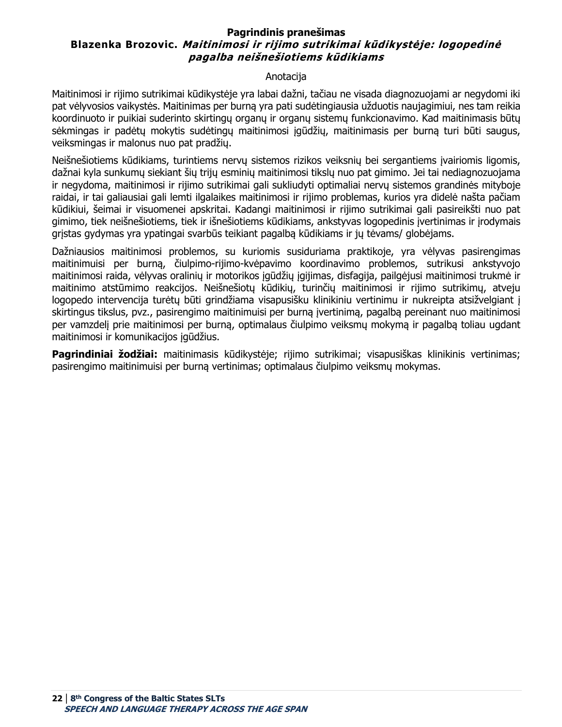#### <span id="page-21-0"></span>**Pagrindinis pranešimas Blazenka Brozovic. Maitinimosi ir rijimo sutrikimai kūdikystėje: logopedinė pagalba neišnešiotiems kūdikiams**

#### Anotacija

Maitinimosi ir rijimo sutrikimai kūdikystėje yra labai dažni, tačiau ne visada diagnozuojami ar negydomi iki pat vėlyvosios vaikystės. Maitinimas per burną yra pati sudėtingiausia užduotis naujagimiui, nes tam reikia koordinuoto ir puikiai suderinto skirtingų organų ir organų sistemų funkcionavimo. Kad maitinimasis būtų sėkmingas ir padėtų mokytis sudėtingų maitinimosi įgūdžių, maitinimasis per burną turi būti saugus, veiksmingas ir malonus nuo pat pradžių.

Neišnešiotiems kūdikiams, turintiems nervų sistemos rizikos veiksnių bei sergantiems įvairiomis ligomis, dažnai kyla sunkumų siekiant šių trijų esminių maitinimosi tikslų nuo pat gimimo. Jei tai nediagnozuojama ir negydoma, maitinimosi ir rijimo sutrikimai gali sukliudyti optimaliai nervų sistemos grandinės mityboje raidai, ir tai galiausiai gali lemti ilgalaikes maitinimosi ir rijimo problemas, kurios yra didelė našta pačiam kūdikiui, šeimai ir visuomenei apskritai. Kadangi maitinimosi ir rijimo sutrikimai gali pasireikšti nuo pat gimimo, tiek neišnešiotiems, tiek ir išnešiotiems kūdikiams, ankstyvas logopedinis įvertinimas ir įrodymais grįstas gydymas yra ypatingai svarbūs teikiant pagalbą kūdikiams ir jų tėvams/ globėjams.

Dažniausios maitinimosi problemos, su kuriomis susiduriama praktikoje, yra vėlyvas pasirengimas maitinimuisi per burną, čiulpimo-rijimo-kvėpavimo koordinavimo problemos, sutrikusi ankstyvojo maitinimosi raida, vėlyvas oralinių ir motorikos įgūdžių įgijimas, disfagija, pailgėjusi maitinimosi trukmė ir maitinimo atstūmimo reakcijos. Neišnešiotų kūdikių, turinčių maitinimosi ir rijimo sutrikimų, atveju logopedo intervencija turėtų būti grindžiama visapusišku klinikiniu vertinimu ir nukreipta atsižvelgiant į skirtingus tikslus, pvz., pasirengimo maitinimuisi per burną įvertinimą, pagalbą pereinant nuo maitinimosi per vamzdelį prie maitinimosi per burną, optimalaus čiulpimo veiksmų mokymą ir pagalbą toliau ugdant maitinimosi ir komunikacijos įgūdžius.

**Pagrindiniai žodžiai:** maitinimasis kūdikystėje; rijimo sutrikimai; visapusiškas klinikinis vertinimas; pasirengimo maitinimuisi per burną vertinimas; optimalaus čiulpimo veiksmų mokymas.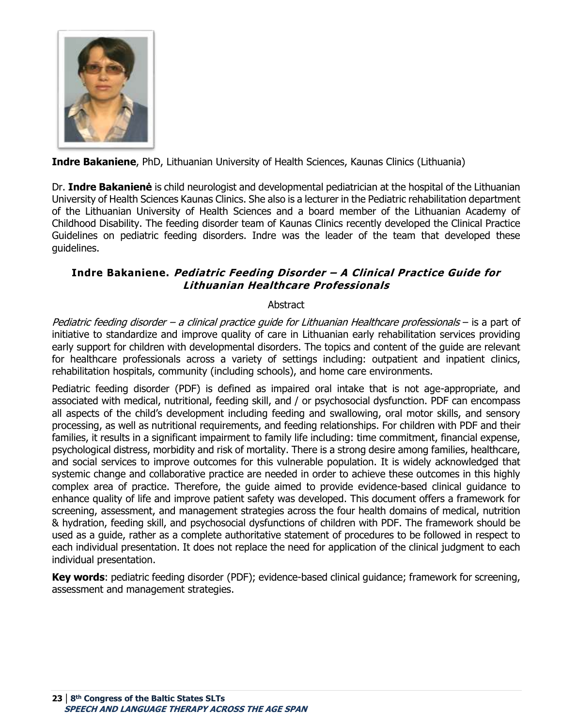

**Indre Bakaniene**, PhD, Lithuanian University of Health Sciences, Kaunas Clinics (Lithuania)

Dr. **Indre Bakanienė** is child neurologist and developmental pediatrician at the hospital of the Lithuanian University of Health Sciences Kaunas Clinics. She also is a lecturer in the Pediatric rehabilitation department of the Lithuanian University of Health Sciences and a board member of the Lithuanian Academy of Childhood Disability. The feeding disorder team of Kaunas Clinics recently developed the Clinical Practice Guidelines on pediatric feeding disorders. Indre was the leader of the team that developed these guidelines. 

# <span id="page-22-0"></span>**Indre Bakaniene. Pediatric Feeding Disorder – A Clinical Practice Guide for Lithuanian Healthcare Professionals**

# **Abstract**

Pediatric feeding disorder – a clinical practice guide for Lithuanian Healthcare professionals – is a part of initiative to standardize and improve quality of care in Lithuanian early rehabilitation services providing early support for children with developmental disorders. The topics and content of the guide are relevant for healthcare professionals across a variety of settings including: outpatient and inpatient clinics, rehabilitation hospitals, community (including schools), and home care environments.

Pediatric feeding disorder (PDF) is defined as impaired oral intake that is not age-appropriate, and associated with medical, nutritional, feeding skill, and / or psychosocial dysfunction. PDF can encompass all aspects of the child's development including feeding and swallowing, oral motor skills, and sensory processing, as well as nutritional requirements, and feeding relationships. For children with PDF and their families, it results in a significant impairment to family life including: time commitment, financial expense, psychological distress, morbidity and risk of mortality. There is a strong desire among families, healthcare, and social services to improve outcomes for this vulnerable population. It is widely acknowledged that systemic change and collaborative practice are needed in order to achieve these outcomes in this highly complex area of practice. Therefore, the guide aimed to provide evidence-based clinical guidance to enhance quality of life and improve patient safety was developed. This document offers a framework for screening, assessment, and management strategies across the four health domains of medical, nutrition & hydration, feeding skill, and psychosocial dysfunctions of children with PDF. The framework should be used as a guide, rather as a complete authoritative statement of procedures to be followed in respect to each individual presentation. It does not replace the need for application of the clinical judgment to each individual presentation.

**Key words**: pediatric feeding disorder (PDF); evidence-based clinical guidance; framework for screening, assessment and management strategies.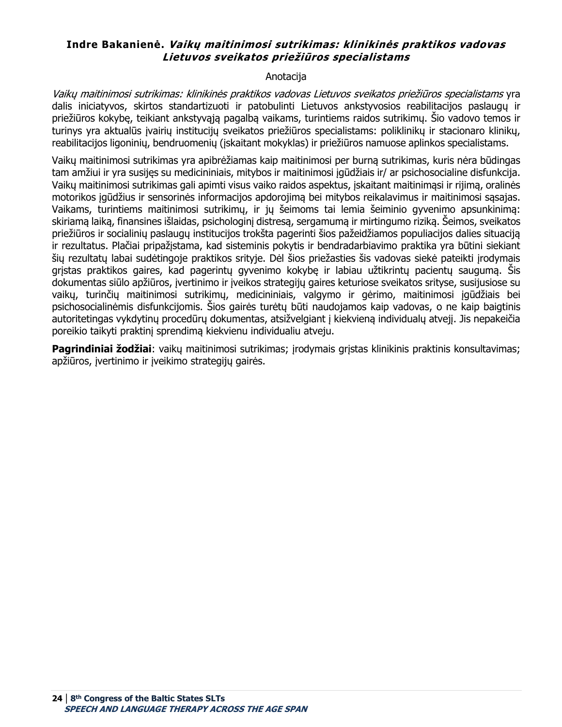## <span id="page-23-0"></span>**Indre Bakanienė. Vaikų maitinimosi sutrikimas: klinikinės praktikos vadovas Lietuvos sveikatos priežiūros specialistams**

#### Anotacija

Vaikų maitinimosi sutrikimas: klinikinės praktikos vadovas Lietuvos sveikatos priežiūros specialistams yra dalis iniciatyvos, skirtos standartizuoti ir patobulinti Lietuvos ankstyvosios reabilitacijos paslaugų ir priežiūros kokybę, teikiant ankstyvąją pagalbą vaikams, turintiems raidos sutrikimų. Šio vadovo temos ir turinys yra aktualūs įvairių institucijų sveikatos priežiūros specialistams: poliklinikų ir stacionaro klinikų, reabilitacijos ligoninių, bendruomenių (įskaitant mokyklas) ir priežiūros namuose aplinkos specialistams.

Vaikų maitinimosi sutrikimas yra apibrėžiamas kaip maitinimosi per burną sutrikimas, kuris nėra būdingas tam amžiui ir yra susijęs su medicininiais, mitybos ir maitinimosi įgūdžiais ir/ ar psichosocialine disfunkcija. Vaikų maitinimosi sutrikimas gali apimti visus vaiko raidos aspektus, įskaitant maitinimąsi ir rijimą, oralinės motorikos įgūdžius ir sensorinės informacijos apdorojimą bei mitybos reikalavimus ir maitinimosi sąsajas. Vaikams, turintiems maitinimosi sutrikimų, ir jų šeimoms tai lemia šeiminio gyvenimo apsunkinimą: skiriamą laiką, finansines išlaidas, psichologinį distresą, sergamumą ir mirtingumo riziką. Šeimos, sveikatos priežiūros ir socialinių paslaugų institucijos trokšta pagerinti šios pažeidžiamos populiacijos dalies situaciją ir rezultatus. Plačiai pripažįstama, kad sisteminis pokytis ir bendradarbiavimo praktika yra būtini siekiant šių rezultatų labai sudėtingoje praktikos srityje. Dėl šios priežasties šis vadovas siekė pateikti įrodymais grįstas praktikos gaires, kad pagerintų gyvenimo kokybę ir labiau užtikrintų pacientų saugumą. Šis dokumentas siūlo apžiūros, įvertinimo ir įveikos strategijų gaires keturiose sveikatos srityse, susijusiose su vaikų, turinčių maitinimosi sutrikimų, medicininiais, valgymo ir gėrimo, maitinimosi įgūdžiais bei psichosocialinėmis disfunkcijomis. Šios gairės turėtų būti naudojamos kaip vadovas, o ne kaip baigtinis autoritetingas vykdytinų procedūrų dokumentas, atsižvelgiant į kiekvieną individualų atvejį. Jis nepakeičia poreikio taikyti praktinį sprendimą kiekvienu individualiu atveju.

**Pagrindiniai žodžiai**: vaikų maitinimosi sutrikimas; įrodymais grįstas klinikinis praktinis konsultavimas; apžiūros, įvertinimo ir įveikimo strategijų gairės.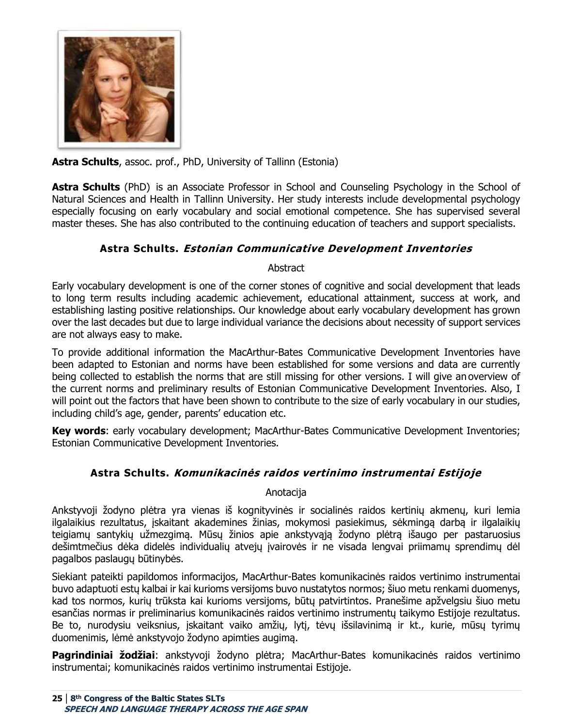

**Astra Schults**, assoc. prof., PhD, University of Tallinn (Estonia)

**Astra Schults** (PhD)  is an Associate Professor in School and Counseling Psychology in the School of Natural Sciences and Health in Tallinn University. Her study interests include developmental psychology especially focusing on early vocabulary and social emotional competence. She has supervised several master theses. She has also contributed to the continuing education of teachers and support specialists.

# **Astra Schults. Estonian Communicative Development Inventories**

**Abstract** 

<span id="page-24-0"></span>Early vocabulary development is one of the corner stones of cognitive and social development that leads to long term results including academic achievement, educational attainment, success at work, and establishing lasting positive relationships. Our knowledge about early vocabulary development has grown over the last decades but due to large individual variance the decisions about necessity of support services are not always easy to make.

To provide additional information the MacArthur-Bates Communicative Development Inventories have been adapted to Estonian and norms have been established for some versions and data are currently being collected to establish the norms that are still missing for other versions. I will give an overview of the current norms and preliminary results of Estonian Communicative Development Inventories. Also, I will point out the factors that have been shown to contribute to the size of early vocabulary in our studies, including child's age, gender, parents' education etc.

**Key words**: early vocabulary development; MacArthur-Bates Communicative Development Inventories; Estonian Communicative Development Inventories.

# **Astra Schults. Komunikacinės raidos vertinimo instrumentai Estijoje**

# Anotacija

<span id="page-24-1"></span>Ankstyvoji žodyno plėtra yra vienas iš kognityvinės ir socialinės raidos kertinių akmenų, kuri lemia ilgalaikius rezultatus, įskaitant akademines žinias, mokymosi pasiekimus, sėkmingą darbą ir ilgalaikių teigiamų santykių užmezgimą. Mūsų žinios apie ankstyvąją žodyno plėtrą išaugo per pastaruosius dešimtmečius dėka didelės individualių atvejų įvairovės ir ne visada lengvai priimamų sprendimų dėl pagalbos paslaugų būtinybės.

Siekiant pateikti papildomos informacijos, MacArthur-Bates komunikacinės raidos vertinimo instrumentai buvo adaptuoti estų kalbai ir kai kurioms versijoms buvo nustatytos normos; šiuo metu renkami duomenys, kad tos normos, kurių trūksta kai kurioms versijoms, būtų patvirtintos. Pranešime apžvelgsiu šiuo metu esančias normas ir preliminarius komunikacinės raidos vertinimo instrumentų taikymo Estijoje rezultatus. Be to, nurodysiu veiksnius, įskaitant vaiko amžių, lytį, tėvų išsilavinimą ir kt., kurie, mūsų tyrimų duomenimis, lėmė ankstyvojo žodyno apimties augimą.

**Pagrindiniai žodžiai**: ankstyvoji žodyno plėtra; MacArthur-Bates komunikacinės raidos vertinimo instrumentai; komunikacinės raidos vertinimo instrumentai Estijoje.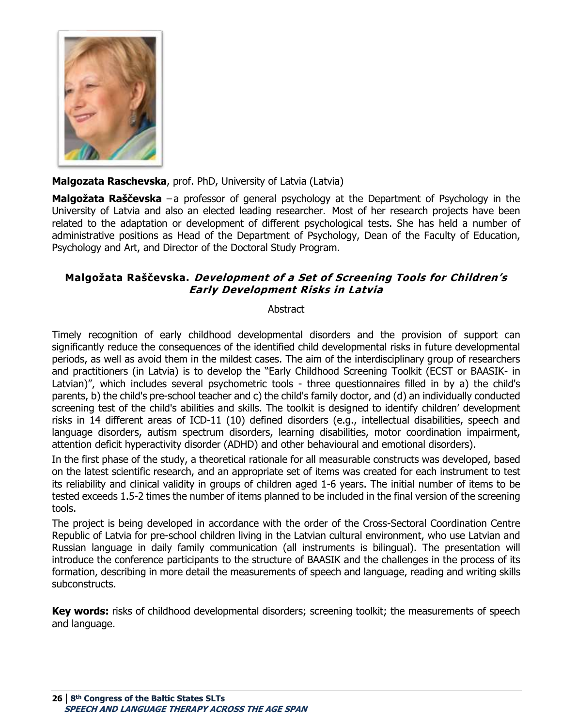

# **Malgozata Raschevska**, prof. PhD, University of Latvia (Latvia)

**Malgožata Raščevska** −a professor of general psychology at the Department of Psychology in the University of Latvia and also an elected leading researcher.  Most of her research projects have been related to the adaptation or development of different psychological tests. She has held a number of administrative positions as Head of the Department of Psychology, Dean of the Faculty of Education, Psychology and Art, and Director of the Doctoral Study Program.

# <span id="page-25-0"></span>**Malgožata Raščevska. Development of a Set of Screening Tools for Children's Early Development Risks in Latvia**

#### **Abstract**

Timely recognition of early childhood developmental disorders and the provision of support can significantly reduce the consequences of the identified child developmental risks in future developmental periods, as well as avoid them in the mildest cases. The aim of the interdisciplinary group of researchers and practitioners (in Latvia) is to develop the "Early Childhood Screening Toolkit (ECST or BAASIK- in Latvian)", which includes several psychometric tools - three questionnaires filled in by a) the child's parents, b) the child's pre-school teacher and c) the child's family doctor, and (d) an individually conducted screening test of the child's abilities and skills. The toolkit is designed to identify children' development risks in 14 different areas of ICD-11 (10) defined disorders (e.g., intellectual disabilities, speech and language disorders, autism spectrum disorders, learning disabilities, motor coordination impairment, attention deficit hyperactivity disorder (ADHD) and other behavioural and emotional disorders).

In the first phase of the study, a theoretical rationale for all measurable constructs was developed, based on the latest scientific research, and an appropriate set of items was created for each instrument to test its reliability and clinical validity in groups of children aged 1-6 years. The initial number of items to be tested exceeds 1.5-2 times the number of items planned to be included in the final version of the screening tools.

The project is being developed in accordance with the order of the Cross-Sectoral Coordination Centre Republic of Latvia for pre-school children living in the Latvian cultural environment, who use Latvian and Russian language in daily family communication (all instruments is bilingual). The presentation will introduce the conference participants to the structure of BAASIK and the challenges in the process of its formation, describing in more detail the measurements of speech and language, reading and writing skills subconstructs.

**Key words:** risks of childhood developmental disorders; screening toolkit; the measurements of speech and language.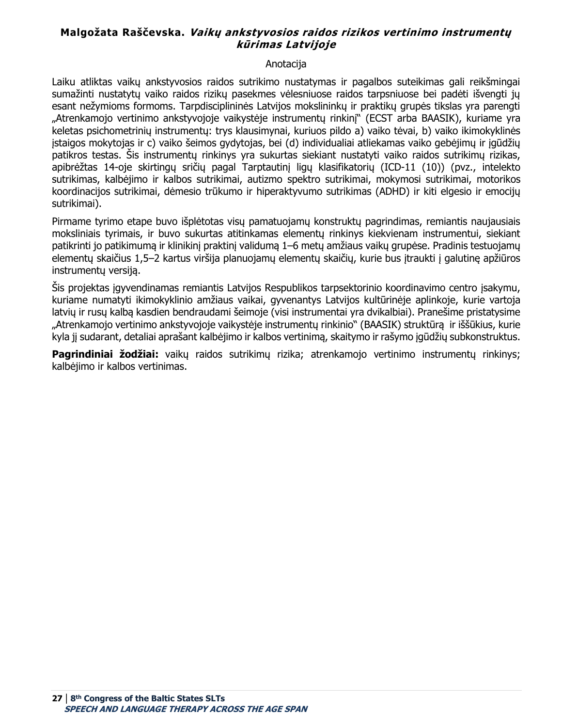# <span id="page-26-0"></span>**Malgožata Raščevska. Vaikų ankstyvosios raidos rizikos vertinimo instrumentų kūrimas Latvijoje**

#### Anotacija

Laiku atliktas vaikų ankstyvosios raidos sutrikimo nustatymas ir pagalbos suteikimas gali reikšmingai sumažinti nustatytų vaiko raidos rizikų pasekmes vėlesniuose raidos tarpsniuose bei padėti išvengti jų esant nežymioms formoms. Tarpdisciplininės Latvijos mokslininkų ir praktikų grupės tikslas yra parengti "Atrenkamojo vertinimo ankstyvojoje vaikystėje instrumentų rinkinį" (ECST arba BAASIK), kuriame yra keletas psichometrinių instrumentų: trys klausimynai, kuriuos pildo a) vaiko tėvai, b) vaiko ikimokyklinės įstaigos mokytojas ir c) vaiko šeimos gydytojas, bei (d) individualiai atliekamas vaiko gebėjimų ir įgūdžių patikros testas. Šis instrumentų rinkinys yra sukurtas siekiant nustatyti vaiko raidos sutrikimų rizikas, apibrėžtas 14-oje skirtingų sričių pagal Tarptautinį ligų klasifikatorių (ICD-11 (10)) (pvz., intelekto sutrikimas, kalbėjimo ir kalbos sutrikimai, autizmo spektro sutrikimai, mokymosi sutrikimai, motorikos koordinacijos sutrikimai, dėmesio trūkumo ir hiperaktyvumo sutrikimas (ADHD) ir kiti elgesio ir emocijų sutrikimai).

Pirmame tyrimo etape buvo išplėtotas visų pamatuojamų konstruktų pagrindimas, remiantis naujausiais moksliniais tyrimais, ir buvo sukurtas atitinkamas elementų rinkinys kiekvienam instrumentui, siekiant patikrinti jo patikimumą ir klinikinį praktinį validumą 1–6 metų amžiaus vaikų grupėse. Pradinis testuojamų elementų skaičius 1,5–2 kartus viršija planuojamų elementų skaičių, kurie bus įtraukti į galutinę apžiūros instrumentų versiją.

Šis projektas įgyvendinamas remiantis Latvijos Respublikos tarpsektorinio koordinavimo centro įsakymu, kuriame numatyti ikimokyklinio amžiaus vaikai, gyvenantys Latvijos kultūrinėje aplinkoje, kurie vartoja latvių ir rusų kalbą kasdien bendraudami šeimoje (visi instrumentai yra dvikalbiai). Pranešime pristatysime "Atrenkamojo vertinimo ankstyvojoje vaikystėje instrumentų rinkinio" (BAASIK) struktūrą ir iššūkius, kurie kyla jį sudarant, detaliai aprašant kalbėjimo ir kalbos vertinimą, skaitymo ir rašymo įgūdžių subkonstruktus.

**Pagrindiniai žodžiai:** vaikų raidos sutrikimų rizika; atrenkamojo vertinimo instrumentų rinkinys; kalbėjimo ir kalbos vertinimas.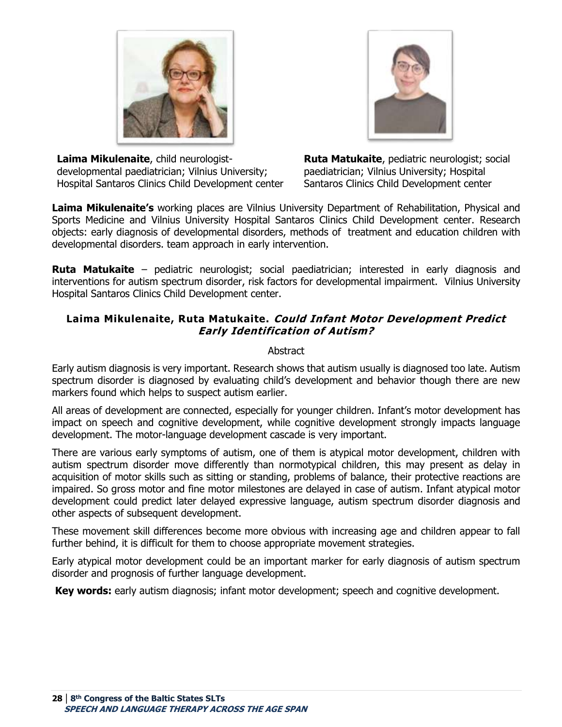



**Laima Mikulenaite**, child neurologistdevelopmental paediatrician; Vilnius University; Hospital Santaros Clinics Child Development center **Ruta Matukaite**, pediatric neurologist; social paediatrician; Vilnius University; Hospital Santaros Clinics Child Development center

**Laima Mikulenaite's** working places are Vilnius University Department of Rehabilitation, Physical and Sports Medicine and Vilnius University Hospital Santaros Clinics Child Development center. Research objects: early diagnosis of developmental disorders, methods of treatment and education children with developmental disorders. team approach in early intervention.

**Ruta Matukaite** – pediatric neurologist; social paediatrician; interested in early diagnosis and interventions for autism spectrum disorder, risk factors for developmental impairment. Vilnius University Hospital Santaros Clinics Child Development center.

# <span id="page-27-0"></span>**Laima Mikulenaite, Ruta Matukaite. Could Infant Motor Development Predict Early Identification of Autism?**

#### Abstract

Early autism diagnosis is very important. Research shows that autism usually is diagnosed too late. Autism spectrum disorder is diagnosed by evaluating child's development and behavior though there are new markers found which helps to suspect autism earlier.

All areas of development are connected, especially for younger children. Infant's motor development has impact on speech and cognitive development, while cognitive development strongly impacts language development. The motor-language development cascade is very important.

There are various early symptoms of autism, one of them is atypical motor development, children with autism spectrum disorder move differently than normotypical children, this may present as delay in acquisition of motor skills such as sitting or standing, problems of balance, their protective reactions are impaired. So gross motor and fine motor milestones are delayed in case of autism. Infant atypical motor development could predict later delayed expressive language, autism spectrum disorder diagnosis and other aspects of subsequent development.

These movement skill differences become more obvious with increasing age and children appear to fall further behind, it is difficult for them to choose appropriate movement strategies.

Early atypical motor development could be an important marker for early diagnosis of autism spectrum disorder and prognosis of further language development.

**Key words:** early autism diagnosis; infant motor development; speech and cognitive development.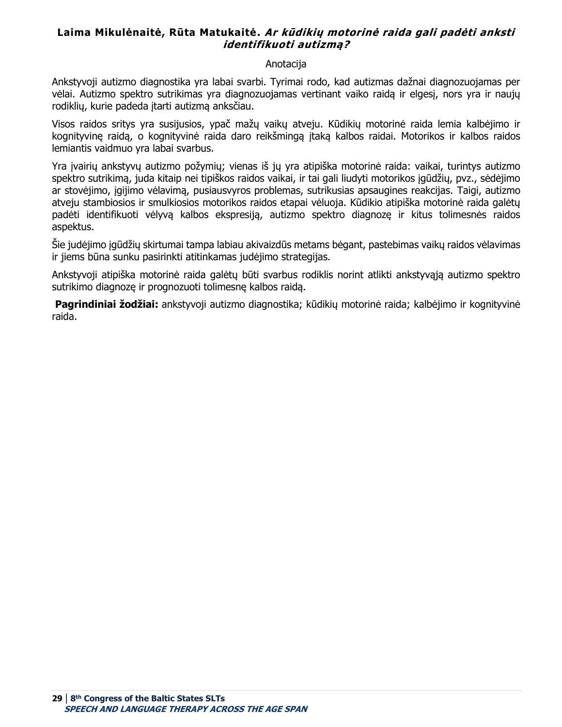# <span id="page-28-0"></span>**Laima Mikulėnaitė, Rūta Matukaitė. Ar kūdikių motorinė raida gali padėti anksti identifikuoti autizmą?**

#### Anotacija

Ankstyvoji autizmo diagnostika yra labai svarbi. Tyrimai rodo, kad autizmas dažnai diagnozuojamas per vėlai. Autizmo spektro sutrikimas yra diagnozuojamas vertinant vaiko raidą ir elgesį, nors yra ir naujų rodiklių, kurie padeda įtarti autizmą anksčiau.

Visos raidos sritys yra susijusios, ypač mažų vaikų atveju. Kūdikių motorinė raida lemia kalbėjimo ir kognityvinę raidą, o kognityvinė raida daro reikšmingą įtaką kalbos raidai. Motorikos ir kalbos raidos lemiantis vaidmuo yra labai svarbus.

Yra įvairių ankstyvų autizmo požymių; vienas iš jų yra atipiška motorinė raida: vaikai, turintys autizmo spektro sutrikimą, juda kitaip nei tipiškos raidos vaikai, ir tai gali liudyti motorikos įgūdžių, pvz., sėdėjimo ar stovėjimo, įgijimo vėlavimą, pusiausvyros problemas, sutrikusias apsaugines reakcijas. Taigi, autizmo atveju stambiosios ir smulkiosios motorikos raidos etapai vėluoja. Kūdikio atipiška motorinė raida galėtų padėti identifikuoti vėlyvą kalbos ekspresiją, autizmo spektro diagnozę ir kitus tolimesnės raidos aspektus.

Šie judėjimo įgūdžių skirtumai tampa labiau akivaizdūs metams bėgant, pastebimas vaikų raidos vėlavimas ir jiems būna sunku pasirinkti atitinkamas judėjimo strategijas.

Ankstyvoji atipiška motorinė raida galėtų būti svarbus rodiklis norint atlikti ankstyvąją autizmo spektro sutrikimo diagnozę ir prognozuoti tolimesnę kalbos raidą.

**Pagrindiniai žodžiai:** ankstyvoji autizmo diagnostika; kūdikių motorinė raida; kalbėjimo ir kognityvinė raida.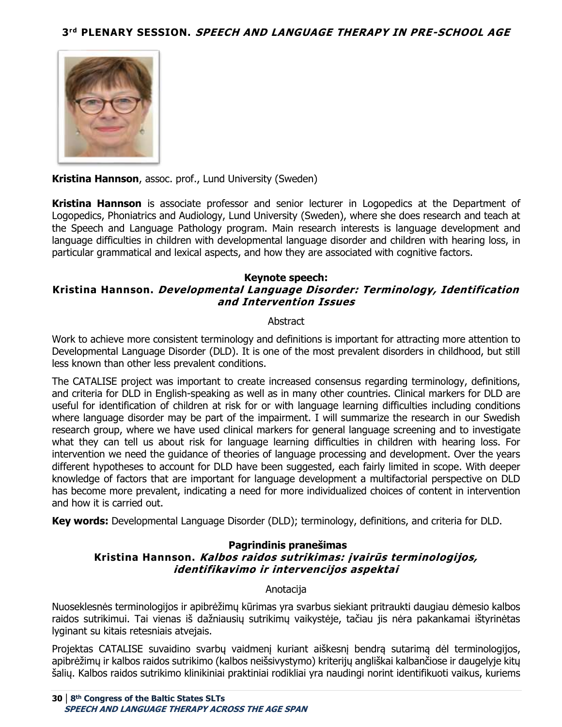<span id="page-29-0"></span>

**Kristina Hannson**, assoc. prof., Lund University (Sweden)

**Kristina Hannson** is associate professor and senior lecturer in Logopedics at the Department of Logopedics, Phoniatrics and Audiology, Lund University (Sweden), where she does research and teach at the Speech and Language Pathology program. Main research interests is language development and language difficulties in children with developmental language disorder and children with hearing loss, in particular grammatical and lexical aspects, and how they are associated with cognitive factors.

#### **Keynote speech:**

## <span id="page-29-1"></span>**Kristina Hannson. Developmental Language Disorder: Terminology, Identification and Intervention Issues**

#### **Abstract**

Work to achieve more consistent terminology and definitions is important for attracting more attention to Developmental Language Disorder (DLD). It is one of the most prevalent disorders in childhood, but still less known than other less prevalent conditions.

The CATALISE project was important to create increased consensus regarding terminology, definitions, and criteria for DLD in English-speaking as well as in many other countries. Clinical markers for DLD are useful for identification of children at risk for or with language learning difficulties including conditions where language disorder may be part of the impairment. I will summarize the research in our Swedish research group, where we have used clinical markers for general language screening and to investigate what they can tell us about risk for language learning difficulties in children with hearing loss. For intervention we need the guidance of theories of language processing and development. Over the years different hypotheses to account for DLD have been suggested, each fairly limited in scope. With deeper knowledge of factors that are important for language development a multifactorial perspective on DLD has become more prevalent, indicating a need for more individualized choices of content in intervention and how it is carried out.

<span id="page-29-2"></span>**Key words:** Developmental Language Disorder (DLD); terminology, definitions, and criteria for DLD.

#### **Pagrindinis pranešimas Kristina Hannson. Kalbos raidos sutrikimas: įvairūs terminologijos, identifikavimo ir intervencijos aspektai**

#### **Anotacija**

Nuoseklesnės terminologijos ir apibrėžimų kūrimas yra svarbus siekiant pritraukti daugiau dėmesio kalbos raidos sutrikimui. Tai vienas iš dažniausių sutrikimų vaikystėje, tačiau jis nėra pakankamai ištyrinėtas lyginant su kitais retesniais atvejais.

Projektas CATALISE suvaidino svarbų vaidmenį kuriant aiškesnį bendrą sutarimą dėl terminologijos, apibrėžimų ir kalbos raidos sutrikimo (kalbos neišsivystymo) kriterijų angliškai kalbančiose ir daugelyje kitų šalių. Kalbos raidos sutrikimo klinikiniai praktiniai rodikliai yra naudingi norint identifikuoti vaikus, kuriems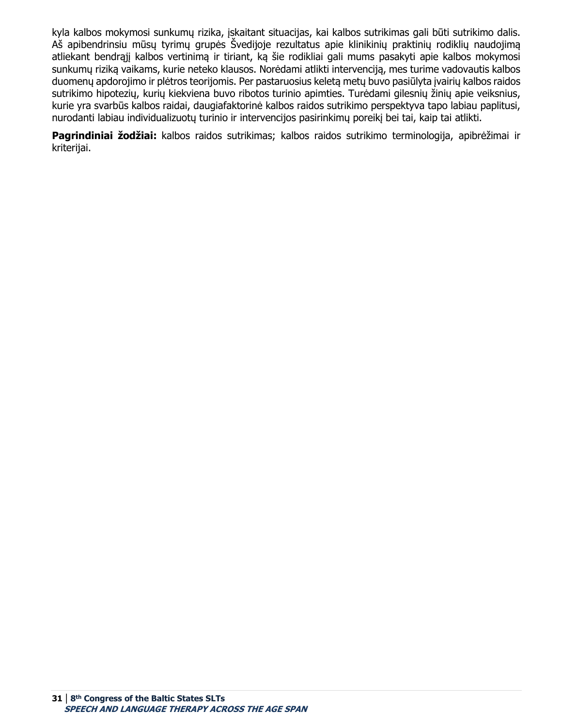kyla kalbos mokymosi sunkumų rizika, įskaitant situacijas, kai kalbos sutrikimas gali būti sutrikimo dalis. Aš apibendrinsiu mūsų tyrimų grupės Švedijoje rezultatus apie klinikinių praktinių rodiklių naudojimą atliekant bendrąjį kalbos vertinimą ir tiriant, ką šie rodikliai gali mums pasakyti apie kalbos mokymosi sunkumų riziką vaikams, kurie neteko klausos. Norėdami atlikti intervenciją, mes turime vadovautis kalbos duomenų apdorojimo ir plėtros teorijomis. Per pastaruosius keletą metų buvo pasiūlyta įvairių kalbos raidos sutrikimo hipotezių, kurių kiekviena buvo ribotos turinio apimties. Turėdami gilesnių žinių apie veiksnius, kurie yra svarbūs kalbos raidai, daugiafaktorinė kalbos raidos sutrikimo perspektyva tapo labiau paplitusi, nurodanti labiau individualizuotų turinio ir intervencijos pasirinkimų poreikį bei tai, kaip tai atlikti.

**Pagrindiniai žodžiai:** kalbos raidos sutrikimas; kalbos raidos sutrikimo terminologija, apibrėžimai ir kriterijai.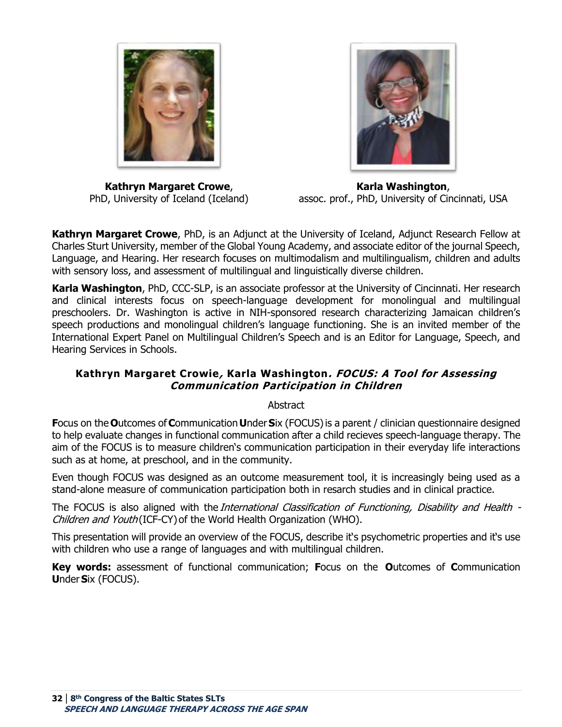

**Kathryn Margaret Crowe**, PhD, University of Iceland (Iceland)

**Karla Washington**, assoc. prof., PhD, University of Cincinnati, USA

**Kathryn Margaret Crowe**, PhD, is an Adjunct at the University of Iceland, Adjunct Research Fellow at Charles Sturt University, member of the Global Young Academy, and associate editor of the journal Speech, Language, and Hearing. Her research focuses on multimodalism and multilingualism, children and adults with sensory loss, and assessment of multilingual and linguistically diverse children. 

**Karla Washington**, PhD, CCC-SLP, is an associate professor at the University of Cincinnati. Her research and clinical interests focus on speech-language development for monolingual and multilingual preschoolers. Dr. Washington is active in NIH-sponsored research characterizing Jamaican children's speech productions and monolingual children's language functioning. She is an invited member of the International Expert Panel on Multilingual Children's Speech and is an Editor for Language, Speech, and Hearing Services in Schools.

# <span id="page-31-0"></span>**Kathryn Margaret Crowie, Karla Washington. FOCUS: A Tool for Assessing Communication Participation in Children**

Abstract

**F**ocus on the **O**utcomes of **C**ommunication **U**nder **S**ix (FOCUS) is a parent / clinician questionnaire designed to help evaluate changes in functional communication after a child recieves speech-language therapy. The aim of the FOCUS is to measure children's communication participation in their everyday life interactions such as at home, at preschool, and in the community.

Even though FOCUS was designed as an outcome measurement tool, it is increasingly being used as a stand-alone measure of communication participation both in resarch studies and in clinical practice.

The FOCUS is also aligned with the *International Classification of Functioning, Disability and Health -*Children and Youth (ICF-CY) of the World Health Organization (WHO).

This presentation will provide an overview of the FOCUS, describe it's psychometric properties and it's use with children who use a range of languages and with multilingual children.

**Key words:** assessment of functional communication; **F**ocus on the **O**utcomes of **C**ommunication **U**nder **S**ix (FOCUS).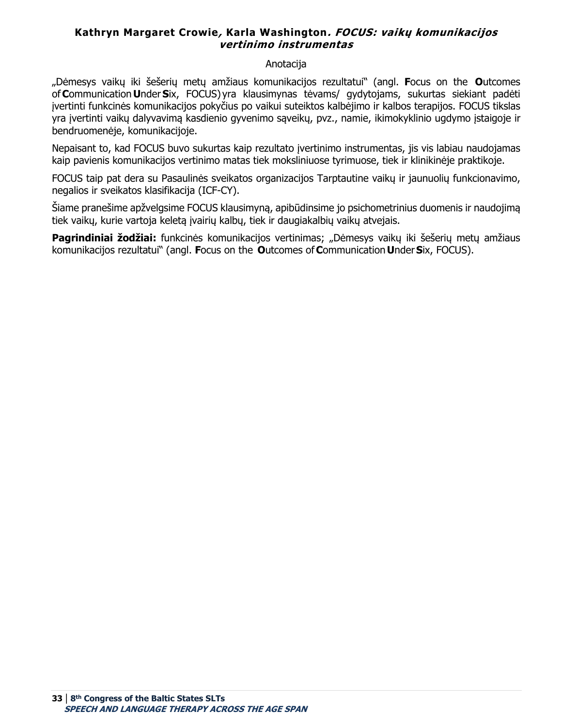## <span id="page-32-0"></span>**Kathryn Margaret Crowie, Karla Washington. FOCUS: vaikų komunikacijos vertinimo instrumentas**

#### Anotacija

"Dėmesys vaikų iki šešerių metų amžiaus komunikacijos rezultatui" (angl. **F**ocus on the  **O**utcomes of **C**ommunication **U**nder **S**ix, FOCUS) yra klausimynas tėvams/ gydytojams, sukurtas siekiant padėti įvertinti funkcinės komunikacijos pokyčius po vaikui suteiktos kalbėjimo ir kalbos terapijos. FOCUS tikslas yra įvertinti vaikų dalyvavimą kasdienio gyvenimo sąveikų, pvz., namie, ikimokyklinio ugdymo įstaigoje ir bendruomenėje, komunikacijoje.

Nepaisant to, kad FOCUS buvo sukurtas kaip rezultato įvertinimo instrumentas, jis vis labiau naudojamas kaip pavienis komunikacijos vertinimo matas tiek moksliniuose tyrimuose, tiek ir klinikinėje praktikoje.

FOCUS taip pat dera su Pasaulinės sveikatos organizacijos Tarptautine vaikų ir jaunuolių funkcionavimo, negalios ir sveikatos klasifikacija (ICF-CY).

Šiame pranešime apžvelgsime FOCUS klausimyną, apibūdinsime jo psichometrinius duomenis ir naudojimą tiek vaikų, kurie vartoja keletą įvairių kalbų, tiek ir daugiakalbių vaikų atvejais.

**Pagrindiniai žodžiai:** funkcinės komunikacijos vertinimas; "Dėmesys vaikų iki šešerių metų amžiaus komunikacijos rezultatui" (angl. **F**ocus on the  **O**utcomes of **C**ommunication **U**nder **S**ix, FOCUS).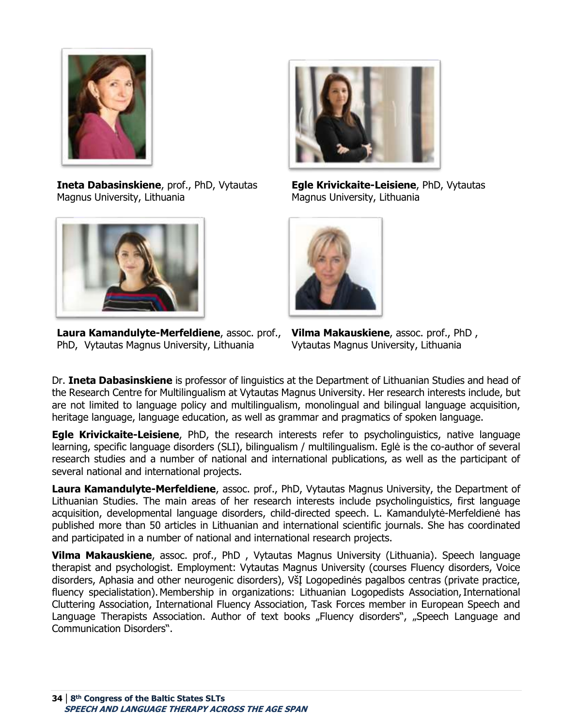

**Ineta Dabasinskiene**, prof., PhD, Vytautas Magnus University, Lithuania



**Laura Kamandulyte-Merfeldiene**, assoc. prof., PhD, Vytautas Magnus University, Lithuania



**Egle Krivickaite-Leisiene**, PhD, Vytautas Magnus University, Lithuania



**Vilma Makauskiene**, assoc. prof., PhD , Vytautas Magnus University, Lithuania

Dr. **Ineta Dabasinskiene** is professor of linguistics at the Department of Lithuanian Studies and head of the Research Centre for Multilingualism at Vytautas Magnus University. Her research interests include, but are not limited to language policy and multilingualism, monolingual and bilingual language acquisition, heritage language, language education, as well as grammar and pragmatics of spoken language.

**Egle Krivickaite-Leisiene**, PhD, the research interests refer to psycholinguistics, native language learning, specific language disorders (SLI), bilingualism / multilingualism. Eglė is the co-author of several research studies and a number of national and international publications, as well as the participant of several national and international projects.

**Laura Kamandulyte-Merfeldiene**, assoc. prof., PhD, Vytautas Magnus University, the Department of Lithuanian Studies. The main areas of her research interests include psycholinguistics, first language acquisition, developmental language disorders, child-directed speech. L. Kamandulytė-Merfeldienė has published more than 50 articles in Lithuanian and international scientific journals. She has coordinated and participated in a number of national and international research projects.

**Vilma Makauskiene**, assoc. prof., PhD , Vytautas Magnus University (Lithuania). Speech language therapist and psychologist. Employment: Vytautas Magnus University (courses Fluency disorders, Voice disorders, Aphasia and other neurogenic disorders), VšĮ Logopedinės pagalbos centras (private practice, fluency specialistation). Membership in organizations: Lithuanian Logopedists Association, International Cluttering Association, International Fluency Association, Task Forces member in European Speech and Language Therapists Association. Author of text books "Fluency disorders", "Speech Language and Communication Disorders".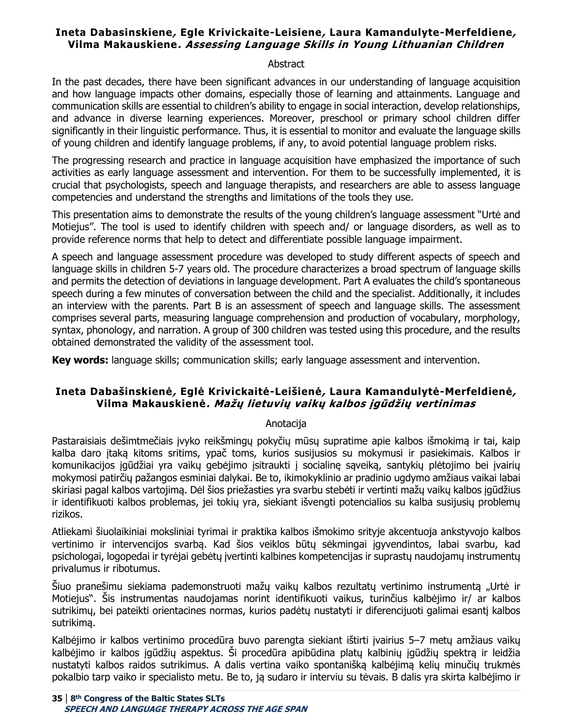# <span id="page-34-0"></span>**Ineta Dabasinskiene, Egle Krivickaite-Leisiene, Laura Kamandulyte-Merfeldiene, Vilma Makauskiene. Assessing Language Skills in Young Lithuanian Children**

#### **Abstract**

In the past decades, there have been significant advances in our understanding of language acquisition and how language impacts other domains, especially those of learning and attainments. Language and communication skills are essential to children's ability to engage in social interaction, develop relationships, and advance in diverse learning experiences. Moreover, preschool or primary school children differ significantly in their linguistic performance. Thus, it is essential to monitor and evaluate the language skills of young children and identify language problems, if any, to avoid potential language problem risks.

The progressing research and practice in language acquisition have emphasized the importance of such activities as early language assessment and intervention. For them to be successfully implemented, it is crucial that psychologists, speech and language therapists, and researchers are able to assess language competencies and understand the strengths and limitations of the tools they use.

This presentation aims to demonstrate the results of the young children's language assessment "Urtė and Motiejus". The tool is used to identify children with speech and/ or language disorders, as well as to provide reference norms that help to detect and differentiate possible language impairment.

A speech and language assessment procedure was developed to study different aspects of speech and language skills in children 5-7 years old. The procedure characterizes a broad spectrum of language skills and permits the detection of deviations in language development. Part A evaluates the child's spontaneous speech during a few minutes of conversation between the child and the specialist. Additionally, it includes an interview with the parents. Part B is an assessment of speech and language skills. The assessment comprises several parts, measuring language comprehension and production of vocabulary, morphology, syntax, phonology, and narration. A group of 300 children was tested using this procedure, and the results obtained demonstrated the validity of the assessment tool.

**Key words:** language skills; communication skills; early language assessment and intervention.

# <span id="page-34-1"></span>**Ineta Dabašinskienė, Eglė Krivickaitė-Leišienė, Laura Kamandulytė-Merfeldienė, Vilma Makauskienė. Mažų lietuvių vaikų kalbos įgūdžių vertinimas**

#### Anotacija

Pastaraisiais dešimtmečiais įvyko reikšmingų pokyčių mūsų supratime apie kalbos išmokimą ir tai, kaip kalba daro įtaką kitoms sritims, ypač toms, kurios susijusios su mokymusi ir pasiekimais. Kalbos ir komunikacijos įgūdžiai yra vaikų gebėjimo įsitraukti į socialinę sąveiką, santykių plėtojimo bei įvairių mokymosi patirčių pažangos esminiai dalykai. Be to, ikimokyklinio ar pradinio ugdymo amžiaus vaikai labai skiriasi pagal kalbos vartojimą. Dėl šios priežasties yra svarbu stebėti ir vertinti mažų vaikų kalbos įgūdžius ir identifikuoti kalbos problemas, jei tokių yra, siekiant išvengti potencialios su kalba susijusių problemų rizikos.

Atliekami šiuolaikiniai moksliniai tyrimai ir praktika kalbos išmokimo srityje akcentuoja ankstyvojo kalbos vertinimo ir intervencijos svarbą. Kad šios veiklos būtų sėkmingai įgyvendintos, labai svarbu, kad psichologai, logopedai ir tyrėjai gebėtų įvertinti kalbines kompetencijas ir suprastų naudojamų instrumentų privalumus ir ribotumus.

Šiuo pranešimu siekiama pademonstruoti mažų vaikų kalbos rezultatų vertinimo instrumentą "Urtė ir Motiejus". Šis instrumentas naudojamas norint identifikuoti vaikus, turinčius kalbėjimo ir/ ar kalbos sutrikimų, bei pateikti orientacines normas, kurios padėtų nustatyti ir diferencijuoti galimai esantį kalbos sutrikimą.

Kalbėjimo ir kalbos vertinimo procedūra buvo parengta siekiant ištirti įvairius 5–7 metų amžiaus vaikų kalbėjimo ir kalbos įgūdžių aspektus. Ši procedūra apibūdina platų kalbinių įgūdžių spektrą ir leidžia nustatyti kalbos raidos sutrikimus. A dalis vertina vaiko spontanišką kalbėjimą kelių minučių trukmės pokalbio tarp vaiko ir specialisto metu. Be to, ją sudaro ir interviu su tėvais. B dalis yra skirta kalbėjimo ir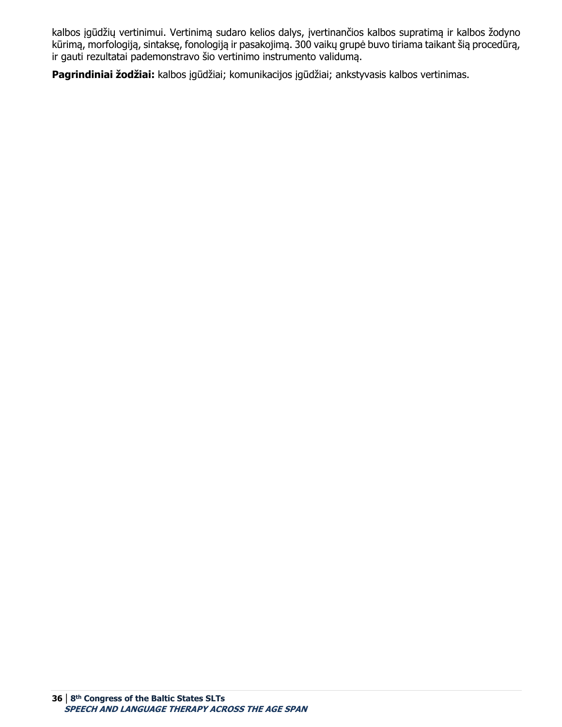kalbos įgūdžių vertinimui. Vertinimą sudaro kelios dalys, įvertinančios kalbos supratimą ir kalbos žodyno kūrimą, morfologiją, sintaksę, fonologiją ir pasakojimą. 300 vaikų grupė buvo tiriama taikant šią procedūrą, ir gauti rezultatai pademonstravo šio vertinimo instrumento validumą.

**Pagrindiniai žodžiai:** kalbos įgūdžiai; komunikacijos įgūdžiai; ankstyvasis kalbos vertinimas.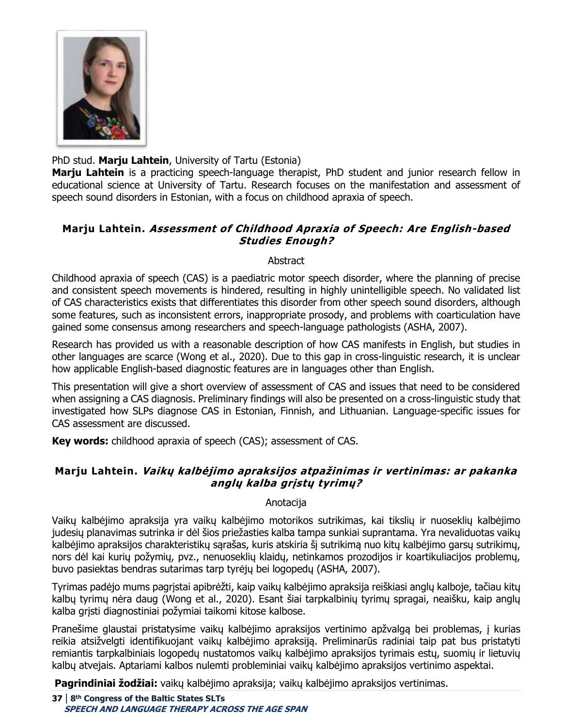

PhD stud. **Marju Lahtein**, University of Tartu (Estonia)

**Marju Lahtein** is a practicing speech-language therapist, PhD student and junior research fellow in educational science at University of Tartu. Research focuses on the manifestation and assessment of speech sound disorders in Estonian, with a focus on childhood apraxia of speech.

# **Marju Lahtein. Assessment of Childhood Apraxia of Speech: Are English-based Studies Enough?**

### Abstract

Childhood apraxia of speech (CAS) is a paediatric motor speech disorder, where the planning of precise and consistent speech movements is hindered, resulting in highly unintelligible speech. No validated list of CAS characteristics exists that differentiates this disorder from other speech sound disorders, although some features, such as inconsistent errors, inappropriate prosody, and problems with coarticulation have gained some consensus among researchers and speech-language pathologists (ASHA, 2007).

Research has provided us with a reasonable description of how CAS manifests in English, but studies in other languages are scarce (Wong et al., 2020). Due to this gap in cross-linguistic research, it is unclear how applicable English-based diagnostic features are in languages other than English.

This presentation will give a short overview of assessment of CAS and issues that need to be considered when assigning a CAS diagnosis. Preliminary findings will also be presented on a cross-linguistic study that investigated how SLPs diagnose CAS in Estonian, Finnish, and Lithuanian. Language-specific issues for CAS assessment are discussed.

**Key words:** childhood apraxia of speech (CAS); assessment of CAS.

# **Marju Lahtein. Vaikų kalbėjimo apraksijos atpažinimas ir vertinimas: ar pakanka anglų kalba grįstų tyrimų?**

# Anotacija

Vaikų kalbėjimo apraksija yra vaikų kalbėjimo motorikos sutrikimas, kai tikslių ir nuoseklių kalbėjimo judesių planavimas sutrinka ir dėl šios priežasties kalba tampa sunkiai suprantama. Yra nevaliduotas vaikų kalbėjimo apraksijos charakteristikų sąrašas, kuris atskiria šį sutrikimą nuo kitų kalbėjimo garsų sutrikimų, nors dėl kai kurių požymių, pvz., nenuoseklių klaidų, netinkamos prozodijos ir koartikuliacijos problemų, buvo pasiektas bendras sutarimas tarp tyrėjų bei logopedų (ASHA, 2007).

Tyrimas padėjo mums pagrįstai apibrėžti, kaip vaikų kalbėjimo apraksija reiškiasi anglų kalboje, tačiau kitų kalbų tyrimų nėra daug (Wong et al., 2020). Esant šiai tarpkalbinių tyrimų spragai, neaišku, kaip anglų kalba grįsti diagnostiniai požymiai taikomi kitose kalbose.

Pranešime glaustai pristatysime vaikų kalbėjimo apraksijos vertinimo apžvalgą bei problemas, į kurias reikia atsižvelgti identifikuojant vaikų kalbėjimo apraksiją. Preliminarūs radiniai taip pat bus pristatyti remiantis tarpkalbiniais logopedų nustatomos vaikų kalbėjimo apraksijos tyrimais estų, suomių ir lietuvių kalbų atvejais. Aptariami kalbos nulemti probleminiai vaikų kalbėjimo apraksijos vertinimo aspektai.

**Pagrindiniai žodžiai:** vaikų kalbėjimo apraksija; vaikų kalbėjimo apraksijos vertinimas.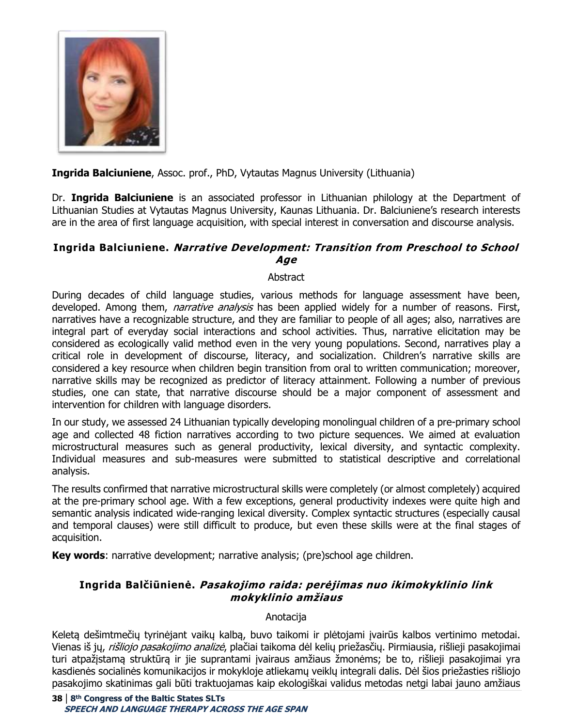

**Ingrida Balciuniene**, Assoc. prof., PhD, Vytautas Magnus University (Lithuania)

Dr. **Ingrida Balciuniene** is an associated professor in Lithuanian philology at the Department of Lithuanian Studies at Vytautas Magnus University, Kaunas Lithuania. Dr. Balciuniene's research interests are in the area of first language acquisition, with special interest in conversation and discourse analysis.

### **Ingrida Balciuniene. Narrative Development: Transition from Preschool to School Age**

#### **Abstract**

During decades of child language studies, various methods for language assessment have been, developed. Among them, *narrative analysis* has been applied widely for a number of reasons. First, narratives have a recognizable structure, and they are familiar to people of all ages; also, narratives are integral part of everyday social interactions and school activities. Thus, narrative elicitation may be considered as ecologically valid method even in the very young populations. Second, narratives play a critical role in development of discourse, literacy, and socialization. Children's narrative skills are considered a key resource when children begin transition from oral to written communication; moreover, narrative skills may be recognized as predictor of literacy attainment. Following a number of previous studies, one can state, that narrative discourse should be a major component of assessment and intervention for children with language disorders.

In our study, we assessed 24 Lithuanian typically developing monolingual children of a pre-primary school age and collected 48 fiction narratives according to two picture sequences. We aimed at evaluation microstructural measures such as general productivity, lexical diversity, and syntactic complexity. Individual measures and sub-measures were submitted to statistical descriptive and correlational analysis.

The results confirmed that narrative microstructural skills were completely (or almost completely) acquired at the pre-primary school age. With a few exceptions, general productivity indexes were quite high and semantic analysis indicated wide-ranging lexical diversity. Complex syntactic structures (especially causal and temporal clauses) were still difficult to produce, but even these skills were at the final stages of acquisition.

**Key words**: narrative development; narrative analysis; (pre)school age children.

# **Ingrida Balčiūnienė. Pasakojimo raida: perėjimas nuo ikimokyklinio link mokyklinio amžiaus**

#### Anotacija

Keletą dešimtmečių tyrinėjant vaikų kalbą, buvo taikomi ir plėtojami įvairūs kalbos vertinimo metodai. Vienas iš jų, *rišliojo pasakojimo analizė*, plačiai taikoma dėl kelių priežasčių. Pirmiausia, rišlieji pasakojimai turi atpažįstamą struktūrą ir jie suprantami įvairaus amžiaus žmonėms; be to, rišlieji pasakojimai yra kasdienės socialinės komunikacijos ir mokykloje atliekamų veiklų integrali dalis. Dėl šios priežasties rišliojo pasakojimo skatinimas gali būti traktuojamas kaip ekologiškai validus metodas netgi labai jauno amžiaus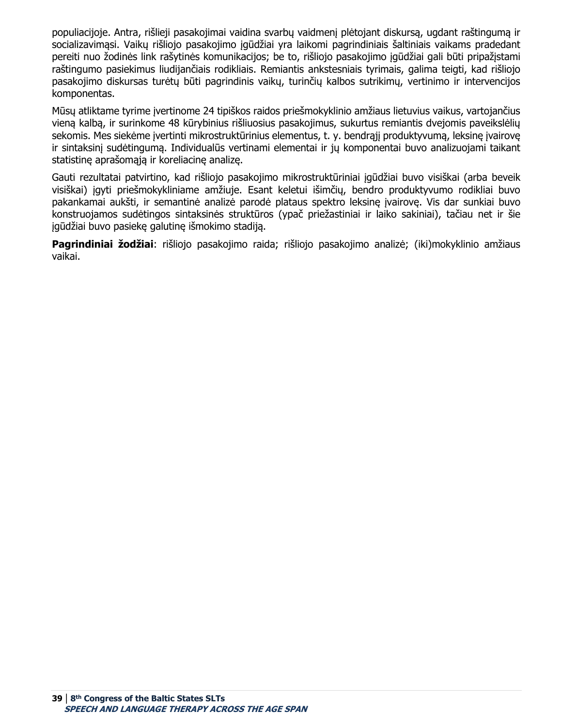populiacijoje. Antra, rišlieji pasakojimai vaidina svarbų vaidmenį plėtojant diskursą, ugdant raštingumą ir socializavimąsi. Vaikų rišliojo pasakojimo įgūdžiai yra laikomi pagrindiniais šaltiniais vaikams pradedant pereiti nuo žodinės link rašytinės komunikacijos; be to, rišliojo pasakojimo įgūdžiai gali būti pripažįstami raštingumo pasiekimus liudijančiais rodikliais. Remiantis ankstesniais tyrimais, galima teigti, kad rišliojo pasakojimo diskursas turėtų būti pagrindinis vaikų, turinčių kalbos sutrikimų, vertinimo ir intervencijos komponentas.

Mūsų atliktame tyrime įvertinome 24 tipiškos raidos priešmokyklinio amžiaus lietuvius vaikus, vartojančius vieną kalbą, ir surinkome 48 kūrybinius rišliuosius pasakojimus, sukurtus remiantis dvejomis paveikslėlių sekomis. Mes siekėme įvertinti mikrostruktūrinius elementus, t. y. bendrąjį produktyvumą, leksinę įvairovę ir sintaksinį sudėtingumą. Individualūs vertinami elementai ir jų komponentai buvo analizuojami taikant statistinę aprašomąją ir koreliacinę analizę.

Gauti rezultatai patvirtino, kad rišliojo pasakojimo mikrostruktūriniai įgūdžiai buvo visiškai (arba beveik visiškai) įgyti priešmokykliniame amžiuje. Esant keletui išimčių, bendro produktyvumo rodikliai buvo pakankamai aukšti, ir semantinė analizė parodė plataus spektro leksinę įvairovę. Vis dar sunkiai buvo konstruojamos sudėtingos sintaksinės struktūros (ypač priežastiniai ir laiko sakiniai), tačiau net ir šie įgūdžiai buvo pasiekę galutinę išmokimo stadiją.

**Pagrindiniai žodžiai**: rišliojo pasakojimo raida; rišliojo pasakojimo analizė; (iki)mokyklinio amžiaus vaikai.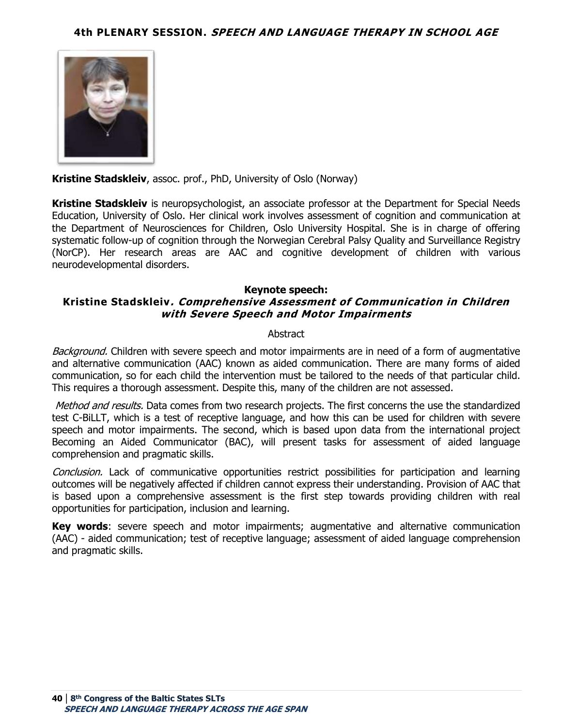

**Kristine Stadskleiv**, assoc. prof., PhD, University of Oslo (Norway)

**Kristine Stadskleiv** is neuropsychologist, an associate professor at the Department for Special Needs Education, University of Oslo. Her clinical work involves assessment of cognition and communication at the Department of Neurosciences for Children, Oslo University Hospital. She is in charge of offering systematic follow-up of cognition through the Norwegian Cerebral Palsy Quality and Surveillance Registry (NorCP). Her research areas are AAC and cognitive development of children with various neurodevelopmental disorders.

#### **Keynote speech:**

## **Kristine Stadskleiv. Comprehensive Assessment of Communication in Children with Severe Speech and Motor Impairments**

#### **Abstract**

Background. Children with severe speech and motor impairments are in need of a form of augmentative and alternative communication (AAC) known as aided communication. There are many forms of aided communication, so for each child the intervention must be tailored to the needs of that particular child. This requires a thorough assessment. Despite this, many of the children are not assessed.

Method and results. Data comes from two research projects. The first concerns the use the standardized test C-BiLLT, which is a test of receptive language, and how this can be used for children with severe speech and motor impairments. The second, which is based upon data from the international project Becoming an Aided Communicator (BAC), will present tasks for assessment of aided language comprehension and pragmatic skills.

Conclusion. Lack of communicative opportunities restrict possibilities for participation and learning outcomes will be negatively affected if children cannot express their understanding. Provision of AAC that is based upon a comprehensive assessment is the first step towards providing children with real opportunities for participation, inclusion and learning.

**Key words:** severe speech and motor impairments; augmentative and alternative communication (AAC) - aided communication; test of receptive language; assessment of aided language comprehension and pragmatic skills.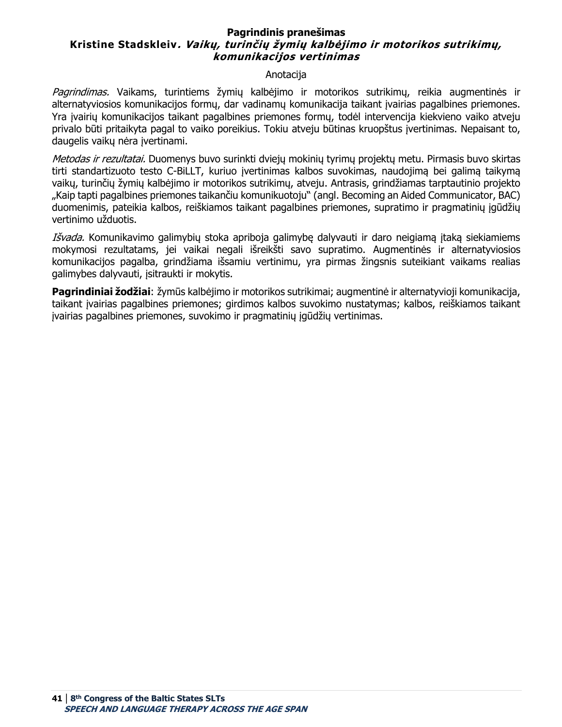### **Pagrindinis pranešimas Kristine Stadskleiv. Vaikų, turinčių žymių kalbėjimo ir motorikos sutrikimų, komunikacijos vertinimas**

#### Anotacija

Pagrindimas. Vaikams, turintiems žymių kalbėjimo ir motorikos sutrikimų, reikia augmentinės ir alternatyviosios komunikacijos formų, dar vadinamų komunikacija taikant įvairias pagalbines priemones. Yra įvairių komunikacijos taikant pagalbines priemones formų, todėl intervencija kiekvieno vaiko atveju privalo būti pritaikyta pagal to vaiko poreikius. Tokiu atveju būtinas kruopštus įvertinimas. Nepaisant to, daugelis vaikų nėra įvertinami.

Metodas ir rezultatai. Duomenys buvo surinkti dviejų mokinių tyrimų projektų metu. Pirmasis buvo skirtas tirti standartizuoto testo C-BiLLT, kuriuo įvertinimas kalbos suvokimas, naudojimą bei galimą taikymą vaikų, turinčių žymių kalbėjimo ir motorikos sutrikimų, atveju. Antrasis, grindžiamas tarptautinio projekto "Kaip tapti pagalbines priemones taikančiu komunikuotoju" (angl. Becoming an Aided Communicator, BAC) duomenimis, pateikia kalbos, reiškiamos taikant pagalbines priemones, supratimo ir pragmatinių įgūdžių vertinimo užduotis.

Išvada. Komunikavimo galimybių stoka apriboja galimybę dalyvauti ir daro neigiamą įtaką siekiamiems mokymosi rezultatams, jei vaikai negali išreikšti savo supratimo. Augmentinės ir alternatyviosios komunikacijos pagalba, grindžiama išsamiu vertinimu, yra pirmas žingsnis suteikiant vaikams realias galimybes dalyvauti, įsitraukti ir mokytis.

**Pagrindiniai žodžiai**: žymūs kalbėjimo ir motorikos sutrikimai; augmentinė ir alternatyvioji komunikacija, taikant įvairias pagalbines priemones; girdimos kalbos suvokimo nustatymas; kalbos, reiškiamos taikant įvairias pagalbines priemones, suvokimo ir pragmatinių įgūdžių vertinimas.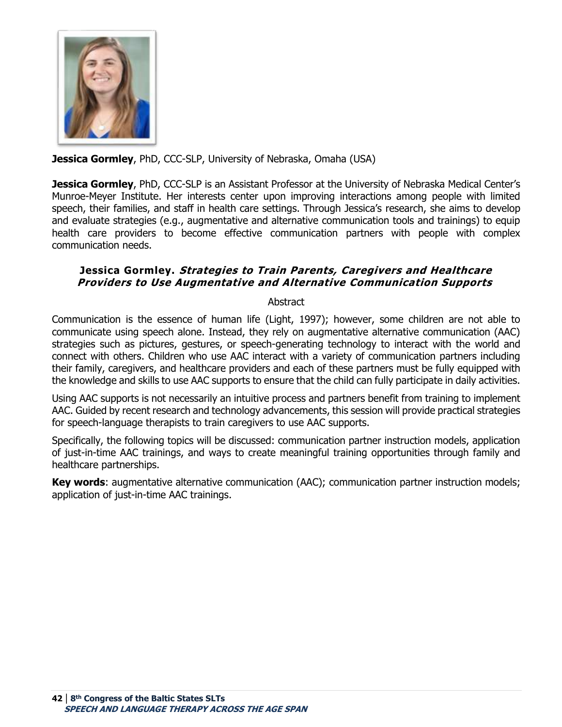

**Jessica Gormley**, PhD, CCC-SLP, University of Nebraska, Omaha (USA)

**Jessica Gormley**, PhD, CCC-SLP is an Assistant Professor at the University of Nebraska Medical Center's Munroe-Meyer Institute. Her interests center upon improving interactions among people with limited speech, their families, and staff in health care settings. Through Jessica's research, she aims to develop and evaluate strategies (e.g., augmentative and alternative communication tools and trainings) to equip health care providers to become effective communication partners with people with complex communication needs.

## **Jessica Gormley. Strategies to Train Parents, Caregivers and Healthcare Providers to Use Augmentative and Alternative Communication Supports**

Abstract

Communication is the essence of human life (Light, 1997); however, some children are not able to communicate using speech alone. Instead, they rely on augmentative alternative communication (AAC) strategies such as pictures, gestures, or speech-generating technology to interact with the world and connect with others. Children who use AAC interact with a variety of communication partners including their family, caregivers, and healthcare providers and each of these partners must be fully equipped with the knowledge and skills to use AAC supports to ensure that the child can fully participate in daily activities.

Using AAC supports is not necessarily an intuitive process and partners benefit from training to implement AAC. Guided by recent research and technology advancements, this session will provide practical strategies for speech-language therapists to train caregivers to use AAC supports.

Specifically, the following topics will be discussed: communication partner instruction models, application of just-in-time AAC trainings, and ways to create meaningful training opportunities through family and healthcare partnerships.

**Key words**: augmentative alternative communication (AAC); communication partner instruction models; application of just-in-time AAC trainings.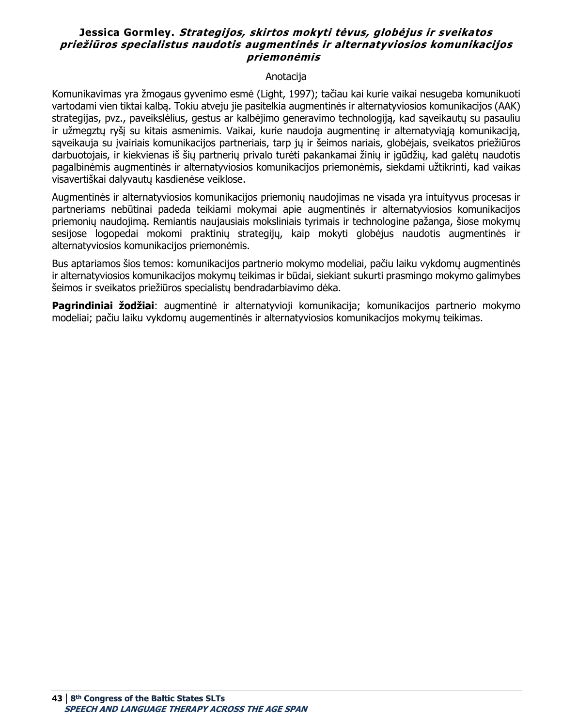### **Jessica Gormley. Strategijos, skirtos mokyti tėvus, globėjus ir sveikatos priežiūros specialistus naudotis augmentinės ir alternatyviosios komunikacijos priemonėmis**

#### Anotacija

Komunikavimas yra žmogaus gyvenimo esmė (Light, 1997); tačiau kai kurie vaikai nesugeba komunikuoti vartodami vien tiktai kalbą. Tokiu atveju jie pasitelkia augmentinės ir alternatyviosios komunikacijos (AAK) strategijas, pvz., paveikslėlius, gestus ar kalbėjimo generavimo technologiją, kad sąveikautų su pasauliu ir užmegztų ryšį su kitais asmenimis. Vaikai, kurie naudoja augmentinę ir alternatyviąją komunikaciją, saveikauja su įvairiais komunikacijos partneriais, tarp jų ir šeimos nariais, globėjais, sveikatos priežiūros darbuotojais, ir kiekvienas iš šių partnerių privalo turėti pakankamai žinių ir įgūdžių, kad galėtų naudotis pagalbinėmis augmentinės ir alternatyviosios komunikacijos priemonėmis, siekdami užtikrinti, kad vaikas visavertiškai dalyvautų kasdienėse veiklose.

Augmentinės ir alternatyviosios komunikacijos priemonių naudojimas ne visada yra intuityvus procesas ir partneriams nebūtinai padeda teikiami mokymai apie augmentinės ir alternatyviosios komunikacijos priemonių naudojimą. Remiantis naujausiais moksliniais tyrimais ir technologine pažanga, šiose mokymų sesijose logopedai mokomi praktinių strategijų, kaip mokyti globėjus naudotis augmentinės ir alternatyviosios komunikacijos priemonėmis.

Bus aptariamos šios temos: komunikacijos partnerio mokymo modeliai, pačiu laiku vykdomų augmentinės ir alternatyviosios komunikacijos mokymų teikimas ir būdai, siekiant sukurti prasmingo mokymo galimybes šeimos ir sveikatos priežiūros specialistų bendradarbiavimo dėka.

**Pagrindiniai žodžiai**: augmentinė ir alternatyvioji komunikacija; komunikacijos partnerio mokymo modeliai; pačiu laiku vykdomų augementinės ir alternatyviosios komunikacijos mokymų teikimas.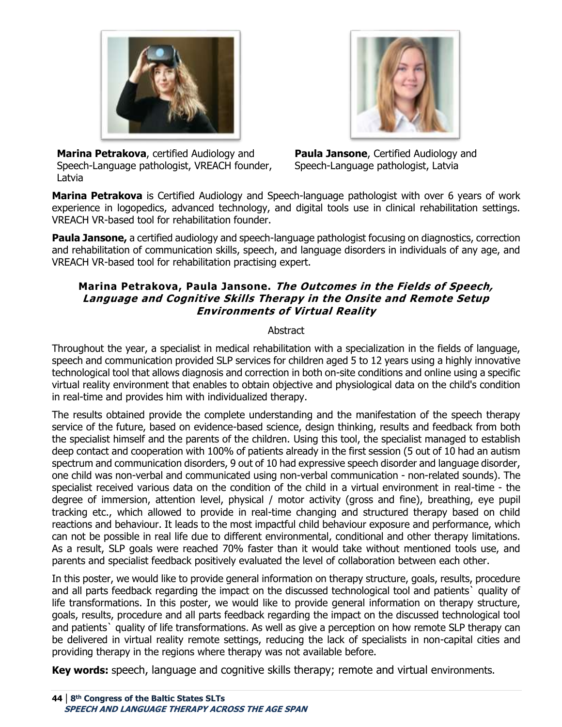

**Marina Petrakova**, certified Audiology and Speech-Language pathologist, VREACH founder, Latvia

**Paula Jansone**, Certified Audiology and Speech-Language pathologist, Latvia

**Marina Petrakova** is Certified Audiology and Speech-language pathologist with over 6 years of work experience in logopedics, advanced technology, and digital tools use in clinical rehabilitation settings. VREACH VR-based tool for rehabilitation founder.   

Paula Jansone, a certified audiology and speech-language pathologist focusing on diagnostics, correction and rehabilitation of communication skills, speech, and language disorders in individuals of any age, and VREACH VR-based tool for rehabilitation practising expert.  

### **Marina Petrakova, Paula Jansone. The Outcomes in the Fields of Speech, Language and Cognitive Skills Therapy in the Onsite and Remote Setup Environments of Virtual Reality**

### **Abstract**

Throughout the year, a specialist in medical rehabilitation with a specialization in the fields of language, speech and communication provided SLP services for children aged 5 to 12 years using a highly innovative technological tool that allows diagnosis and correction in both on-site conditions and online using a specific virtual reality environment that enables to obtain objective and physiological data on the child's condition in real-time and provides him with individualized therapy.

The results obtained provide the complete understanding and the manifestation of the speech therapy service of the future, based on evidence-based science, design thinking, results and feedback from both the specialist himself and the parents of the children. Using this tool, the specialist managed to establish deep contact and cooperation with 100% of patients already in the first session (5 out of 10 had an autism spectrum and communication disorders, 9 out of 10 had expressive speech disorder and language disorder, one child was non-verbal and communicated using non-verbal communication - non-related sounds). The specialist received various data on the condition of the child in a virtual environment in real-time - the degree of immersion, attention level, physical / motor activity (gross and fine), breathing, eye pupil tracking etc., which allowed to provide in real-time changing and structured therapy based on child reactions and behaviour. It leads to the most impactful child behaviour exposure and performance, which can not be possible in real life due to different environmental, conditional and other therapy limitations. As a result, SLP goals were reached 70% faster than it would take without mentioned tools use, and parents and specialist feedback positively evaluated the level of collaboration between each other.

In this poster, we would like to provide general information on therapy structure, goals, results, procedure and all parts feedback regarding the impact on the discussed technological tool and patients` quality of life transformations. In this poster, we would like to provide general information on therapy structure, goals, results, procedure and all parts feedback regarding the impact on the discussed technological tool and patients` quality of life transformations. As well as give a perception on how remote SLP therapy can be delivered in virtual reality remote settings, reducing the lack of specialists in non-capital cities and providing therapy in the regions where therapy was not available before.

**Key words:** speech, language and cognitive skills therapy; remote and virtual environments.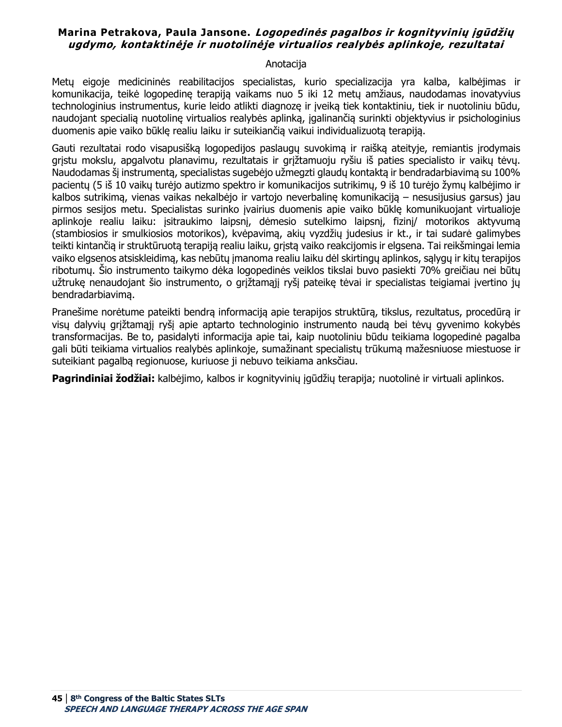### **Marina Petrakova, Paula Jansone. Logopedinės pagalbos ir kognityvinių įgūdžių ugdymo, kontaktinėje ir nuotolinėje virtualios realybės aplinkoje, rezultatai**

#### Anotacija

Metų eigoje medicininės reabilitacijos specialistas, kurio specializacija yra kalba, kalbėjimas ir komunikacija, teikė logopedinę terapiją vaikams nuo 5 iki 12 metų amžiaus, naudodamas inovatyvius technologinius instrumentus, kurie leido atlikti diagnozę ir įveiką tiek kontaktiniu, tiek ir nuotoliniu būdu, naudojant specialią nuotolinę virtualios realybės aplinką, įgalinančią surinkti objektyvius ir psichologinius duomenis apie vaiko būklę realiu laiku ir suteikiančią vaikui individualizuotą terapiją.

Gauti rezultatai rodo visapusišką logopedijos paslaugų suvokimą ir raišką ateityje, remiantis įrodymais grįstu mokslu, apgalvotu planavimu, rezultatais ir grįžtamuoju ryšiu iš paties specialisto ir vaikų tėvų. Naudodamas šį instrumentą, specialistas sugebėjo užmegzti glaudų kontaktą ir bendradarbiavimą su 100% pacientų (5 iš 10 vaikų turėjo autizmo spektro ir komunikacijos sutrikimų, 9 iš 10 turėjo žymų kalbėjimo ir kalbos sutrikimą, vienas vaikas nekalbėjo ir vartojo neverbalinę komunikaciją – nesusijusius garsus) jau pirmos sesijos metu. Specialistas surinko įvairius duomenis apie vaiko būklę komunikuojant virtualioje aplinkoje realiu laiku: įsitraukimo laipsnį, dėmesio sutelkimo laipsnį, fizinį/ motorikos aktyvumą (stambiosios ir smulkiosios motorikos), kvėpavimą, akių vyzdžių judesius ir kt., ir tai sudarė galimybes teikti kintančią ir struktūruotą terapiją realiu laiku, grįstą vaiko reakcijomis ir elgsena. Tai reikšmingai lemia vaiko elgsenos atsiskleidimą, kas nebūtų įmanoma realiu laiku dėl skirtingų aplinkos, sąlygų ir kitų terapijos ribotumų. Šio instrumento taikymo dėka logopedinės veiklos tikslai buvo pasiekti 70% greičiau nei būtų užtrukę nenaudojant šio instrumento, o grįžtamąjį ryšį pateikę tėvai ir specialistas teigiamai įvertino jų bendradarbiavimą.

Pranešime norėtume pateikti bendrą informaciją apie terapijos struktūrą, tikslus, rezultatus, procedūrą ir visų dalyvių grįžtamąjį ryšį apie aptarto technologinio instrumento naudą bei tėvų gyvenimo kokybės transformacijas. Be to, pasidalyti informacija apie tai, kaip nuotoliniu būdu teikiama logopedinė pagalba gali būti teikiama virtualios realybės aplinkoje, sumažinant specialistų trūkumą mažesniuose miestuose ir suteikiant pagalbą regionuose, kuriuose ji nebuvo teikiama anksčiau.

**Pagrindiniai žodžiai:** kalbėjimo, kalbos ir kognityvinių įgūdžių terapija; nuotolinė ir virtuali aplinkos.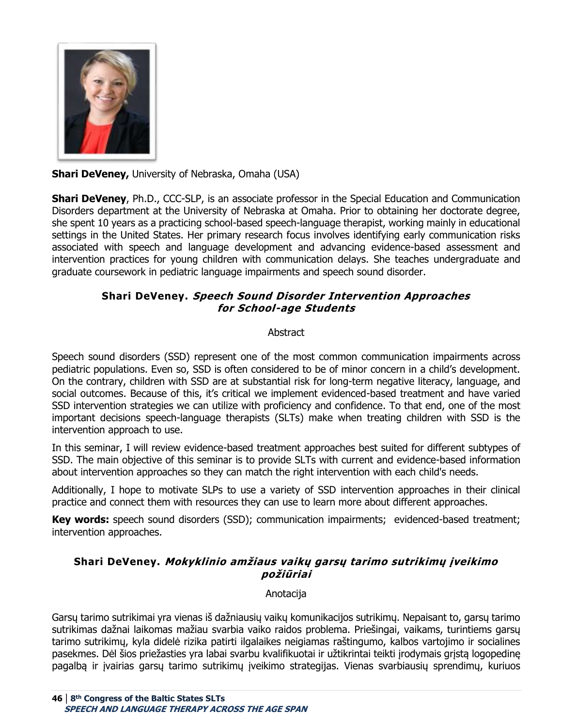

**Shari DeVeney,** University of Nebraska, Omaha (USA)

**Shari DeVeney**, Ph.D., CCC-SLP, is an associate professor in the Special Education and Communication Disorders department at the University of Nebraska at Omaha. Prior to obtaining her doctorate degree, she spent 10 years as a practicing school-based speech-language therapist, working mainly in educational settings in the United States. Her primary research focus involves identifying early communication risks associated with speech and language development and advancing evidence-based assessment and intervention practices for young children with communication delays. She teaches undergraduate and graduate coursework in pediatric language impairments and speech sound disorder.

# **Shari DeVeney. Speech Sound Disorder Intervention Approaches for School-age Students**

### **Abstract**

Speech sound disorders (SSD) represent one of the most common communication impairments across pediatric populations. Even so, SSD is often considered to be of minor concern in a child's development. On the contrary, children with SSD are at substantial risk for long-term negative literacy, language, and social outcomes. Because of this, it's critical we implement evidenced-based treatment and have varied SSD intervention strategies we can utilize with proficiency and confidence. To that end, one of the most important decisions speech-language therapists (SLTs) make when treating children with SSD is the intervention approach to use.

In this seminar, I will review evidence-based treatment approaches best suited for different subtypes of SSD. The main objective of this seminar is to provide SLTs with current and evidence-based information about intervention approaches so they can match the right intervention with each child's needs.

Additionally, I hope to motivate SLPs to use a variety of SSD intervention approaches in their clinical practice and connect them with resources they can use to learn more about different approaches.

Key words: speech sound disorders (SSD); communication impairments; evidenced-based treatment; intervention approaches.

## **Shari DeVeney. Mokyklinio amžiaus vaikų garsų tarimo sutrikimų įveikimo požiūriai**

### Anotacija

Garsų tarimo sutrikimai yra vienas iš dažniausių vaikų komunikacijos sutrikimų. Nepaisant to, garsų tarimo sutrikimas dažnai laikomas mažiau svarbia vaiko raidos problema. Priešingai, vaikams, turintiems garsų tarimo sutrikimų, kyla didelė rizika patirti ilgalaikes neigiamas raštingumo, kalbos vartojimo ir socialines pasekmes. Dėl šios priežasties yra labai svarbu kvalifikuotai ir užtikrintai teikti įrodymais grįstą logopedinę pagalbą ir įvairias garsų tarimo sutrikimų įveikimo strategijas. Vienas svarbiausių sprendimų, kuriuos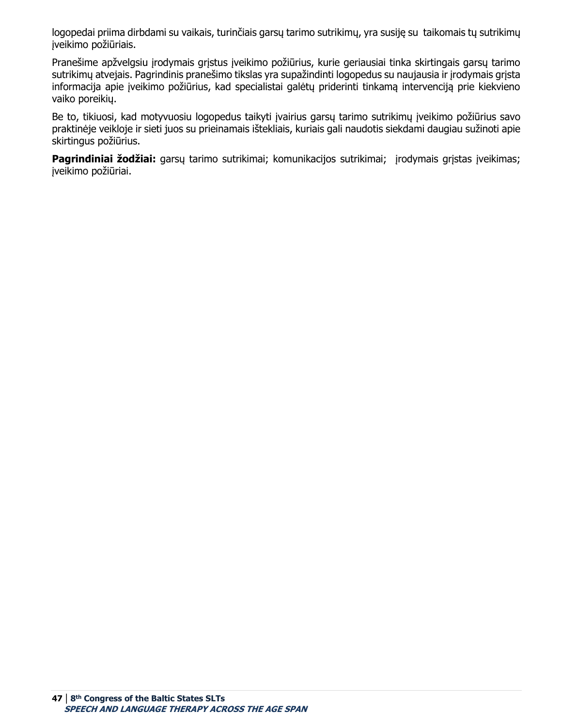logopedai priima dirbdami su vaikais, turinčiais garsų tarimo sutrikimų, yra susiję su taikomais tų sutrikimų įveikimo požiūriais.

Pranešime apžvelgsiu įrodymais grįstus įveikimo požiūrius, kurie geriausiai tinka skirtingais garsų tarimo sutrikimų atvejais. Pagrindinis pranešimo tikslas yra supažindinti logopedus su naujausia ir įrodymais grįsta informacija apie įveikimo požiūrius, kad specialistai galėtų priderinti tinkamą intervenciją prie kiekvieno vaiko poreikių.

Be to, tikiuosi, kad motyvuosiu logopedus taikyti įvairius garsų tarimo sutrikimų įveikimo požiūrius savo praktinėje veikloje ir sieti juos su prieinamais ištekliais, kuriais gali naudotis siekdami daugiau sužinoti apie skirtingus požiūrius.

**Pagrindiniai žodžiai:** garsų tarimo sutrikimai; komunikacijos sutrikimai; jrodymais grįstas įveikimas; įveikimo požiūriai.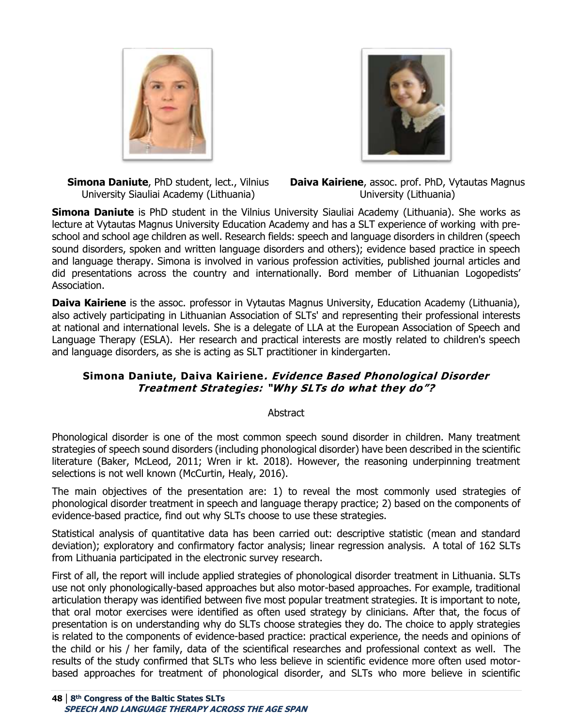



**Simona Daniute**, PhD student, lect., Vilnius University Siauliai Academy (Lithuania)

**Daiva Kairiene**, assoc. prof. PhD, Vytautas Magnus University (Lithuania)

**Simona Daniute** is PhD student in the Vilnius University Siauliai Academy (Lithuania). She works as lecture at Vytautas Magnus University Education Academy and has a SLT experience of working  with preschool and school age children as well. Research fields: speech and language disorders in children (speech sound disorders, spoken and written language disorders and others); evidence based practice in speech and language therapy. Simona is involved in various profession activities, published journal articles and did presentations across the country and internationally. Bord member of Lithuanian Logopedists' Association.

**Daiva Kairiene** is the assoc. professor in Vytautas Magnus University, Education Academy (Lithuania), also actively participating in Lithuanian Association of SLTs' and representing their professional interests at national and international levels. She is a delegate of LLA at the European Association of Speech and Language Therapy (ESLA). Her research and practical interests are mostly related to children's speech and language disorders, as she is acting as SLT practitioner in kindergarten. 

## **Simona Daniute, Daiva Kairiene. Evidence Based Phonological Disorder Treatment Strategies: "Why SLTs do what they do"?**

#### Abstract

Phonological disorder is one of the most common speech sound disorder in children. Many treatment strategies of speech sound disorders (including phonological disorder) have been described in the scientific literature (Baker, McLeod, 2011; Wren ir kt. 2018). However, the reasoning underpinning treatment selections is not well known (McCurtin, Healy, 2016).

The main objectives of the presentation are: 1) to reveal the most commonly used strategies of phonological disorder treatment in speech and language therapy practice; 2) based on the components of evidence-based practice, find out why SLTs choose to use these strategies.

Statistical analysis of quantitative data has been carried out: descriptive statistic (mean and standard deviation); exploratory and confirmatory factor analysis; linear regression analysis. A total of 162 SLTs from Lithuania participated in the electronic survey research.

First of all, the report will include applied strategies of phonological disorder treatment in Lithuania. SLTs use not only phonologically-based approaches but also motor-based approaches. For example, traditional articulation therapy was identified between five most popular treatment strategies. It is important to note, that oral motor exercises were identified as often used strategy by clinicians. After that, the focus of presentation is on understanding why do SLTs choose strategies they do. The choice to apply strategies is related to the components of evidence-based practice: practical experience, the needs and opinions of the child or his / her family, data of the scientifical researches and professional context as well. The results of the study confirmed that SLTs who less believe in scientific evidence more often used motorbased approaches for treatment of phonological disorder, and SLTs who more believe in scientific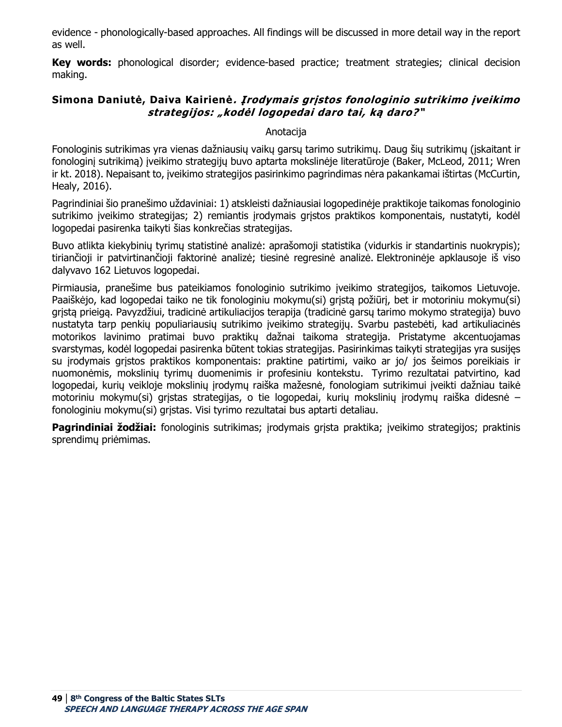evidence - phonologically-based approaches. All findings will be discussed in more detail way in the report as well.

**Key words:** phonological disorder; evidence-based practice; treatment strategies; clinical decision making.

### **Simona Daniutė, Daiva Kairienė. Įrodymais grįstos fonologinio sutrikimo įveikimo strategijos: "kodėl logopedai daro tai, ką daro?"**

#### Anotacija

Fonologinis sutrikimas yra vienas dažniausių vaikų garsų tarimo sutrikimų. Daug šių sutrikimų (įskaitant ir fonologinį sutrikimą) įveikimo strategijų buvo aptarta mokslinėje literatūroje (Baker, McLeod, 2011; Wren ir kt. 2018). Nepaisant to, įveikimo strategijos pasirinkimo pagrindimas nėra pakankamai ištirtas (McCurtin, Healy, 2016).

Pagrindiniai šio pranešimo uždaviniai: 1) atskleisti dažniausiai logopedinėje praktikoje taikomas fonologinio sutrikimo įveikimo strategijas; 2) remiantis įrodymais grįstos praktikos komponentais, nustatyti, kodėl logopedai pasirenka taikyti šias konkrečias strategijas.

Buvo atlikta kiekybinių tyrimų statistinė analizė: aprašomoji statistika (vidurkis ir standartinis nuokrypis); tiriančioji ir patvirtinančioji faktorinė analizė; tiesinė regresinė analizė. Elektroninėje apklausoje iš viso dalyvavo 162 Lietuvos logopedai.

Pirmiausia, pranešime bus pateikiamos fonologinio sutrikimo įveikimo strategijos, taikomos Lietuvoje. Paaiškėjo, kad logopedai taiko ne tik fonologiniu mokymu(si) gristą požiūrį, bet ir motoriniu mokymu(si) grįstą prieigą. Pavyzdžiui, tradicinė artikuliacijos terapija (tradicinė garsų tarimo mokymo strategija) buvo nustatyta tarp penkių populiariausių sutrikimo įveikimo strategijų. Svarbu pastebėti, kad artikuliacinės motorikos lavinimo pratimai buvo praktikų dažnai taikoma strategija. Pristatyme akcentuojamas svarstymas, kodėl logopedai pasirenka būtent tokias strategijas. Pasirinkimas taikyti strategijas yra susijęs su įrodymais grįstos praktikos komponentais: praktine patirtimi, vaiko ar jo/ jos šeimos poreikiais ir nuomonėmis, mokslinių tyrimų duomenimis ir profesiniu kontekstu. Tyrimo rezultatai patvirtino, kad logopedai, kurių veikloje mokslinių įrodymų raiška mažesnė, fonologiam sutrikimui įveikti dažniau taikė motoriniu mokymu(si) grįstas strategijas, o tie logopedai, kurių mokslinių įrodymų raiška didesnė – fonologiniu mokymu(si) grįstas. Visi tyrimo rezultatai bus aptarti detaliau.

**Pagrindiniai žodžiai:** fonologinis sutrikimas; įrodymais grįsta praktika; įveikimo strategijos; praktinis sprendimų priėmimas.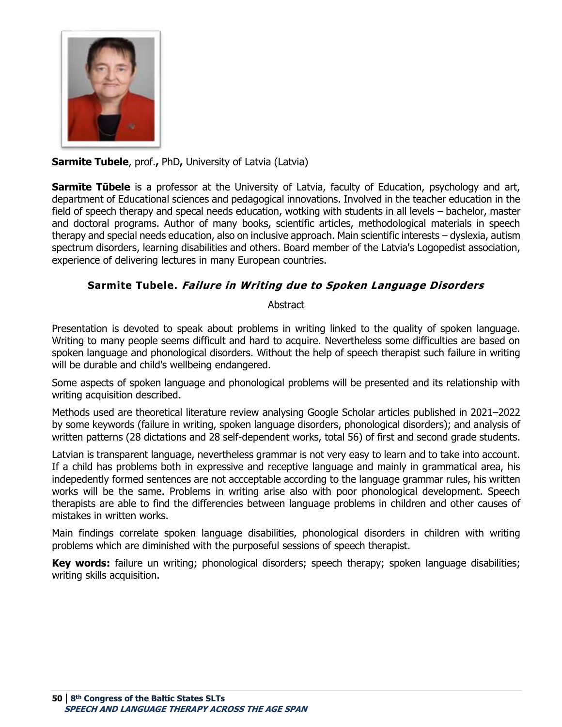

# **Sarmite Tubele**, prof., PhD, University of Latvia (Latvia)

**Sarmite Tūbele** is a professor at the University of Latvia, faculty of Education, psychology and art, department of Educational sciences and pedagogical innovations. Involved in the teacher education in the field of speech therapy and specal needs education, wotking with students in all levels – bachelor, master and doctoral programs. Author of many books, scientific articles, methodological materials in speech therapy and special needs education, also on inclusive approach. Main scientific interests – dyslexia, autism spectrum disorders, learning disabilities and others. Board member of the Latvia's Logopedist association, experience of delivering lectures in many European countries.

# **Sarmite Tubele. Failure in Writing due to Spoken Language Disorders**

#### Abstract

Presentation is devoted to speak about problems in writing linked to the quality of spoken language. Writing to many people seems difficult and hard to acquire. Nevertheless some difficulties are based on spoken language and phonological disorders. Without the help of speech therapist such failure in writing will be durable and child's wellbeing endangered.

Some aspects of spoken language and phonological problems will be presented and its relationship with writing acquisition described.

Methods used are theoretical literature review analysing Google Scholar articles published in 2021–2022 by some keywords (failure in writing, spoken language disorders, phonological disorders); and analysis of written patterns (28 dictations and 28 self-dependent works, total 56) of first and second grade students.

Latvian is transparent language, nevertheless grammar is not very easy to learn and to take into account. If a child has problems both in expressive and receptive language and mainly in grammatical area, his indepedently formed sentences are not accceptable according to the language grammar rules, his written works will be the same. Problems in writing arise also with poor phonological development. Speech therapists are able to find the differencies between language problems in children and other causes of mistakes in written works.

Main findings correlate spoken language disabilities, phonological disorders in children with writing problems which are diminished with the purposeful sessions of speech therapist.

**Key words:** failure un writing; phonological disorders; speech therapy; spoken language disabilities; writing skills acquisition.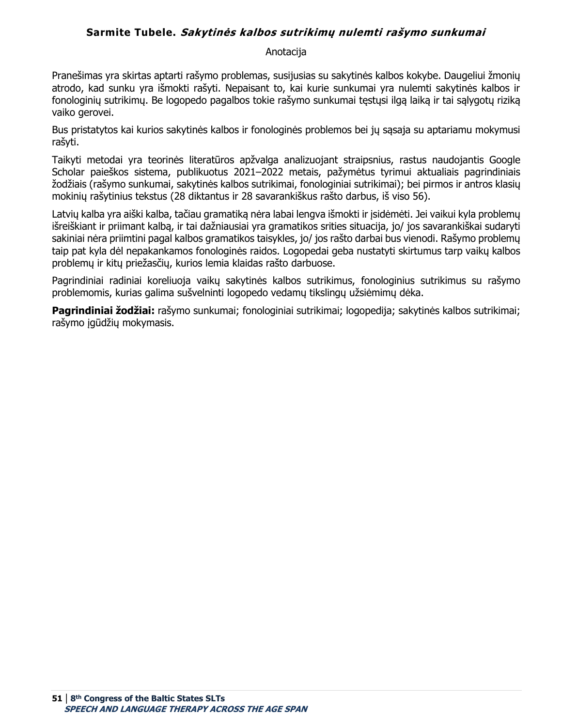## **Sarmite Tubele. Sakytinės kalbos sutrikimų nulemti rašymo sunkumai**

#### Anotacija

Pranešimas yra skirtas aptarti rašymo problemas, susijusias su sakytinės kalbos kokybe. Daugeliui žmonių atrodo, kad sunku yra išmokti rašyti. Nepaisant to, kai kurie sunkumai yra nulemti sakytinės kalbos ir fonologinių sutrikimų. Be logopedo pagalbos tokie rašymo sunkumai tęstųsi ilgą laiką ir tai sąlygotų riziką vaiko gerovei.

Bus pristatytos kai kurios sakytinės kalbos ir fonologinės problemos bei jų sąsaja su aptariamu mokymusi rašyti.

Taikyti metodai yra teorinės literatūros apžvalga analizuojant straipsnius, rastus naudojantis Google Scholar paieškos sistema, publikuotus 2021–2022 metais, pažymėtus tyrimui aktualiais pagrindiniais žodžiais (rašymo sunkumai, sakytinės kalbos sutrikimai, fonologiniai sutrikimai); bei pirmos ir antros klasių mokinių rašytinius tekstus (28 diktantus ir 28 savarankiškus rašto darbus, iš viso 56).

Latvių kalba yra aiški kalba, tačiau gramatiką nėra labai lengva išmokti ir įsidėmėti. Jei vaikui kyla problemų išreiškiant ir priimant kalbą, ir tai dažniausiai yra gramatikos srities situacija, jo/ jos savarankiškai sudaryti sakiniai nėra priimtini pagal kalbos gramatikos taisykles, jo/ jos rašto darbai bus vienodi. Rašymo problemų taip pat kyla dėl nepakankamos fonologinės raidos. Logopedai geba nustatyti skirtumus tarp vaikų kalbos problemų ir kitų priežasčių, kurios lemia klaidas rašto darbuose.

Pagrindiniai radiniai koreliuoja vaikų sakytinės kalbos sutrikimus, fonologinius sutrikimus su rašymo problemomis, kurias galima sušvelninti logopedo vedamų tikslingų užsiėmimų dėka.

**Pagrindiniai žodžiai:** rašymo sunkumai; fonologiniai sutrikimai; logopedija; sakytinės kalbos sutrikimai; rašymo įgūdžių mokymasis.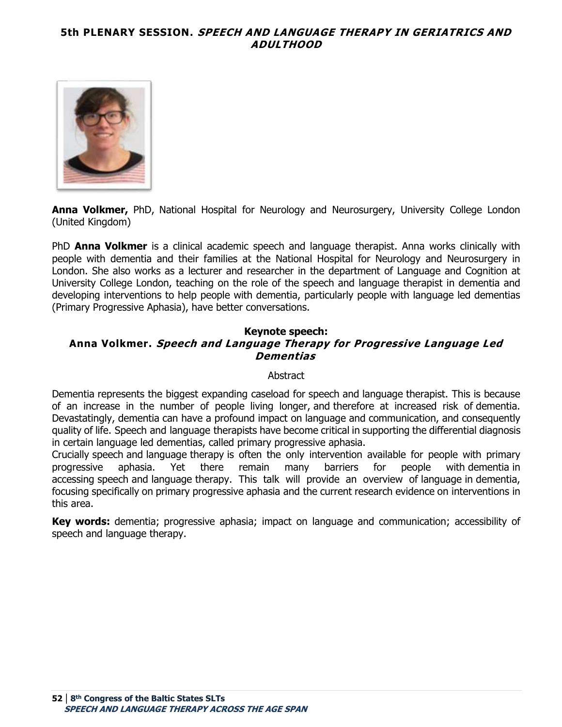### **5th PLENARY SESSION. SPEECH AND LANGUAGE THERAPY IN GERIATRICS AND ADULTHOOD**



**Anna Volkmer,** PhD, National Hospital for Neurology and Neurosurgery, University College London (United Kingdom)

PhD **Anna Volkmer** is a clinical academic speech and language therapist. Anna works clinically with people with dementia and their families at the National Hospital for Neurology and Neurosurgery in London. She also works as a lecturer and researcher in the department of Language and Cognition at University College London, teaching on the role of the speech and language therapist in dementia and developing interventions to help people with dementia, particularly people with language led dementias (Primary Progressive Aphasia), have better conversations. 

### **Keynote speech: Anna Volkmer. Speech and Language Therapy for Progressive Language Led Dementias**

#### Abstract

Dementia represents the biggest expanding caseload for speech and language therapist. This is because of an increase in the number of people living longer, and therefore at increased risk of dementia. Devastatingly, dementia can have a profound impact on language and communication, and consequently quality of life. Speech and language therapists have become critical in supporting the differential diagnosis in certain language led dementias, called primary progressive aphasia.

Crucially speech and language therapy is often the only intervention available for people with primary progressive aphasia. Yet there remain many barriers for people with dementia in accessing speech and language therapy. This talk will provide an overview of language in dementia, focusing specifically on primary progressive aphasia and the current research evidence on interventions in this area.

**Key words:** dementia; progressive aphasia; impact on language and communication; accessibility of speech and language therapy.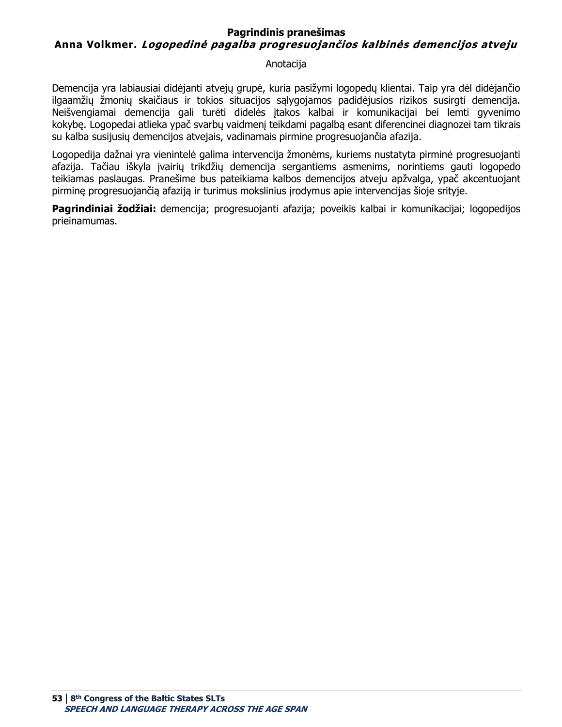### **Pagrindinis pranešimas Anna Volkmer. Logopedinė pagalba progresuojančios kalbinės demencijos atveju**

#### Anotacija

Demencija yra labiausiai didėjanti atvejų grupė, kuria pasižymi logopedų klientai. Taip yra dėl didėjančio ilgaamžių žmonių skaičiaus ir tokios situacijos sąlygojamos padidėjusios rizikos susirgti demencija. Neišvengiamai demencija gali turėti didelės įtakos kalbai ir komunikacijai bei lemti gyvenimo kokybę. Logopedai atlieka ypač svarbų vaidmenį teikdami pagalbą esant diferencinei diagnozei tam tikrais su kalba susijusių demencijos atvejais, vadinamais pirmine progresuojančia afazija.

Logopedija dažnai yra vienintelė galima intervencija žmonėms, kuriems nustatyta pirminė progresuojanti afazija. Tačiau iškyla įvairių trikdžių demencija sergantiems asmenims, norintiems gauti logopedo teikiamas paslaugas. Pranešime bus pateikiama kalbos demencijos atveju apžvalga, ypač akcentuojant pirminę progresuojančią afaziją ir turimus mokslinius įrodymus apie intervencijas šioje srityje.

**Pagrindiniai žodžiai:** demencija; progresuojanti afazija; poveikis kalbai ir komunikacijai; logopedijos prieinamumas.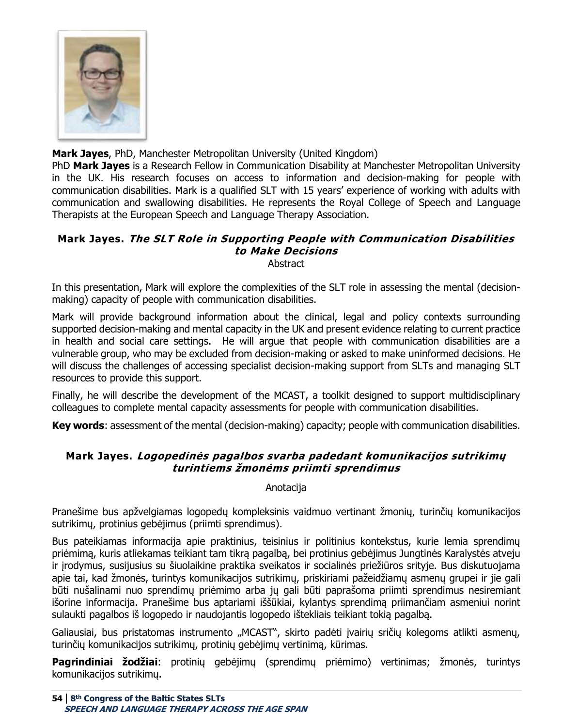

**Mark Jayes**, PhD, Manchester Metropolitan University (United Kingdom)

PhD **Mark Jayes** is a Research Fellow in Communication Disability at Manchester Metropolitan University in the UK. His research focuses on access to information and decision-making for people with communication disabilities. Mark is a qualified SLT with 15 years' experience of working with adults with communication and swallowing disabilities. He represents the Royal College of Speech and Language Therapists at the European Speech and Language Therapy Association.

#### **Mark Jayes. The SLT Role in Supporting People with Communication Disabilities to Make Decisions Abstract**

In this presentation, Mark will explore the complexities of the SLT role in assessing the mental (decisionmaking) capacity of people with communication disabilities.

Mark will provide background information about the clinical, legal and policy contexts surrounding supported decision-making and mental capacity in the UK and present evidence relating to current practice in health and social care settings. He will argue that people with communication disabilities are a vulnerable group, who may be excluded from decision-making or asked to make uninformed decisions. He will discuss the challenges of accessing specialist decision-making support from SLTs and managing SLT resources to provide this support.

Finally, he will describe the development of the MCAST, a toolkit designed to support multidisciplinary colleagues to complete mental capacity assessments for people with communication disabilities.

**Key words**: assessment of the mental (decision-making) capacity; people with communication disabilities.

## **Mark Jayes. Logopedinės pagalbos svarba padedant komunikacijos sutrikimų turintiems žmonėms priimti sprendimus**

Anotacija

Pranešime bus apžvelgiamas logopedų kompleksinis vaidmuo vertinant žmonių, turinčių komunikacijos sutrikimų, protinius gebėjimus (priimti sprendimus).

Bus pateikiamas informacija apie praktinius, teisinius ir politinius kontekstus, kurie lemia sprendimų priėmimą, kuris atliekamas teikiant tam tikrą pagalbą, bei protinius gebėjimus Jungtinės Karalystės atveju ir įrodymus, susijusius su šiuolaikine praktika sveikatos ir socialinės priežiūros srityje. Bus diskutuojama apie tai, kad žmonės, turintys komunikacijos sutrikimų, priskiriami pažeidžiamų asmenų grupei ir jie gali būti nušalinami nuo sprendimų priėmimo arba jų gali būti paprašoma priimti sprendimus nesiremiant išorine informacija. Pranešime bus aptariami iššūkiai, kylantys sprendimą priimančiam asmeniui norint sulaukti pagalbos iš logopedo ir naudojantis logopedo ištekliais teikiant tokią pagalbą.

Galiausiai, bus pristatomas instrumento "MCAST", skirto padėti įvairių sričių kolegoms atlikti asmenų, turinčių komunikacijos sutrikimų, protinių gebėjimų vertinimą, kūrimas.

**Pagrindiniai žodžiai**: protinių gebėjimų (sprendimų priėmimo) vertinimas; žmonės, turintys komunikacijos sutrikimų.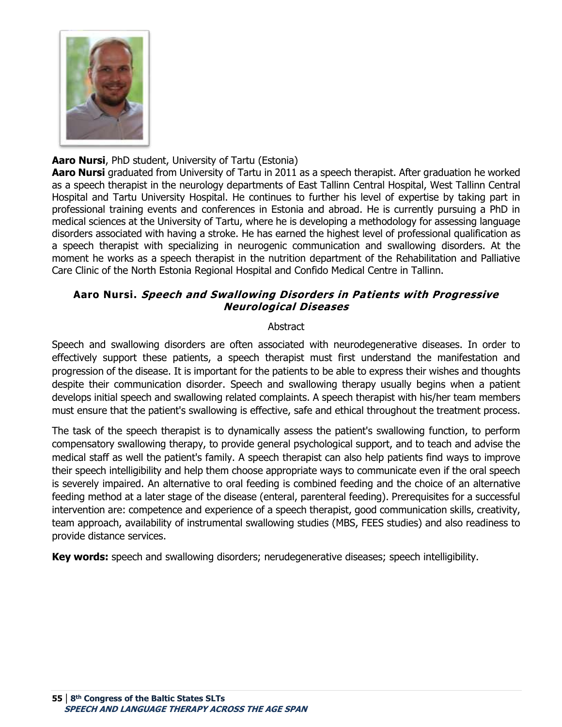

## **Aaro Nursi**, PhD student, University of Tartu (Estonia)

**Aaro Nursi** graduated from University of Tartu in 2011 as a speech therapist. After graduation he worked as a speech therapist in the neurology departments of East Tallinn Central Hospital, West Tallinn Central Hospital and Tartu University Hospital. He continues to further his level of expertise by taking part in professional training events and conferences in Estonia and abroad. He is currently pursuing a PhD in medical sciences at the University of Tartu, where he is developing a methodology for assessing language disorders associated with having a stroke. He has earned the highest level of professional qualification as a speech therapist with specializing in neurogenic communication and swallowing disorders. At the moment he works as a speech therapist in the nutrition department of the Rehabilitation and Palliative Care Clinic of the North Estonia Regional Hospital and Confido Medical Centre in Tallinn. 

## **Aaro Nursi. Speech and Swallowing Disorders in Patients with Progressive Neurological Diseases**

### **Abstract**

Speech and swallowing disorders are often associated with neurodegenerative diseases. In order to effectively support these patients, a speech therapist must first understand the manifestation and progression of the disease. It is important for the patients to be able to express their wishes and thoughts despite their communication disorder. Speech and swallowing therapy usually begins when a patient develops initial speech and swallowing related complaints. A speech therapist with his/her team members must ensure that the patient's swallowing is effective, safe and ethical throughout the treatment process.

The task of the speech therapist is to dynamically assess the patient's swallowing function, to perform compensatory swallowing therapy, to provide general psychological support, and to teach and advise the medical staff as well the patient's family. A speech therapist can also help patients find ways to improve their speech intelligibility and help them choose appropriate ways to communicate even if the oral speech is severely impaired. An alternative to oral feeding is combined feeding and the choice of an alternative feeding method at a later stage of the disease (enteral, parenteral feeding). Prerequisites for a successful intervention are: competence and experience of a speech therapist, good communication skills, creativity, team approach, availability of instrumental swallowing studies (MBS, FEES studies) and also readiness to provide distance services.

**Key words:** speech and swallowing disorders; nerudegenerative diseases; speech intelligibility.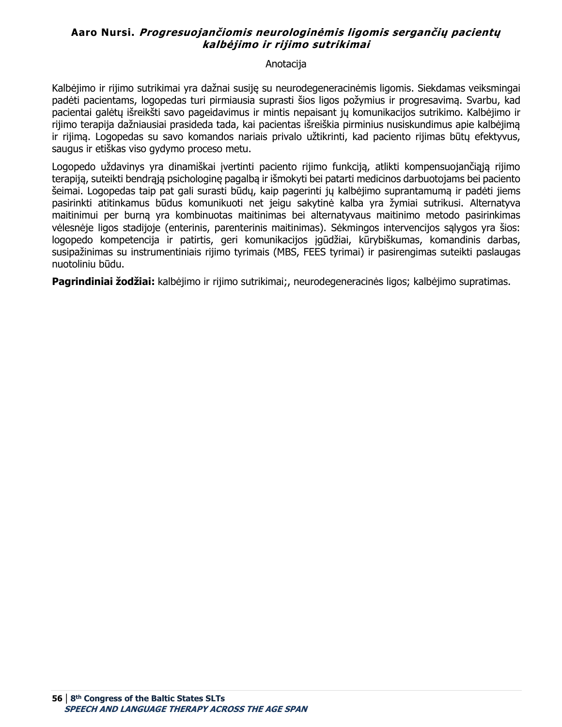### **Aaro Nursi. Progresuojančiomis neurologinėmis ligomis sergančių pacientų kalbėjimo ir rijimo sutrikimai**

#### Anotacija

Kalbėjimo ir rijimo sutrikimai yra dažnai susiję su neurodegeneracinėmis ligomis. Siekdamas veiksmingai padėti pacientams, logopedas turi pirmiausia suprasti šios ligos požymius ir progresavimą. Svarbu, kad pacientai galėtų išreikšti savo pageidavimus ir mintis nepaisant jų komunikacijos sutrikimo. Kalbėjimo ir rijimo terapija dažniausiai prasideda tada, kai pacientas išreiškia pirminius nusiskundimus apie kalbėjimą ir rijimą. Logopedas su savo komandos nariais privalo užtikrinti, kad paciento rijimas būtų efektyvus, saugus ir etiškas viso gydymo proceso metu.

Logopedo uždavinys yra dinamiškai įvertinti paciento rijimo funkciją, atlikti kompensuojančiąją rijimo terapiją, suteikti bendrąją psichologinę pagalbą ir išmokyti bei patarti medicinos darbuotojams bei paciento šeimai. Logopedas taip pat gali surasti būdų, kaip pagerinti jų kalbėjimo suprantamumą ir padėti jiems pasirinkti atitinkamus būdus komunikuoti net jeigu sakytinė kalba yra žymiai sutrikusi. Alternatyva maitinimui per burną yra kombinuotas maitinimas bei alternatyvaus maitinimo metodo pasirinkimas vėlesnėje ligos stadijoje (enterinis, parenterinis maitinimas). Sėkmingos intervencijos sąlygos yra šios: logopedo kompetencija ir patirtis, geri komunikacijos įgūdžiai, kūrybiškumas, komandinis darbas, susipažinimas su instrumentiniais rijimo tyrimais (MBS, FEES tyrimai) ir pasirengimas suteikti paslaugas nuotoliniu būdu.

**Pagrindiniai žodžiai:** kalbėjimo ir rijimo sutrikimai;, neurodegeneracinės ligos; kalbėjimo supratimas.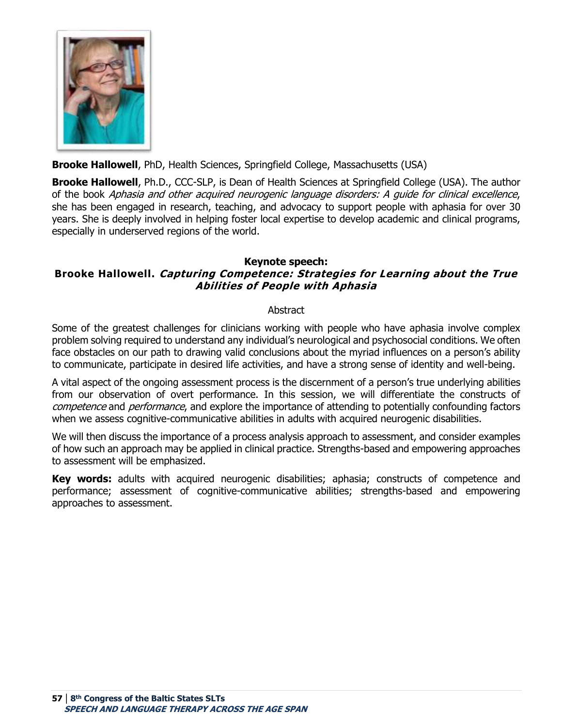

## **Brooke Hallowell**, PhD, Health Sciences, Springfield College, Massachusetts (USA)

**Brooke Hallowell**, Ph.D., CCC-SLP, is Dean of Health Sciences at Springfield College (USA). The author of the book Aphasia and other acquired neurogenic language disorders: A guide for clinical excellence, she has been engaged in research, teaching, and advocacy to support people with aphasia for over 30 years. She is deeply involved in helping foster local expertise to develop academic and clinical programs, especially in underserved regions of the world.

#### **Keynote speech:**

# **Brooke Hallowell. Capturing Competence: Strategies for Learning about the True Abilities of People with Aphasia**

#### Abstract

Some of the greatest challenges for clinicians working with people who have aphasia involve complex problem solving required to understand any individual's neurological and psychosocial conditions. We often face obstacles on our path to drawing valid conclusions about the myriad influences on a person's ability to communicate, participate in desired life activities, and have a strong sense of identity and well-being.

A vital aspect of the ongoing assessment process is the discernment of a person's true underlying abilities from our observation of overt performance. In this session, we will differentiate the constructs of competence and performance, and explore the importance of attending to potentially confounding factors when we assess cognitive-communicative abilities in adults with acquired neurogenic disabilities.

We will then discuss the importance of a process analysis approach to assessment, and consider examples of how such an approach may be applied in clinical practice. Strengths-based and empowering approaches to assessment will be emphasized.

**Key words:** adults with acquired neurogenic disabilities; aphasia; constructs of competence and performance; assessment of cognitive-communicative abilities; strengths-based and empowering approaches to assessment.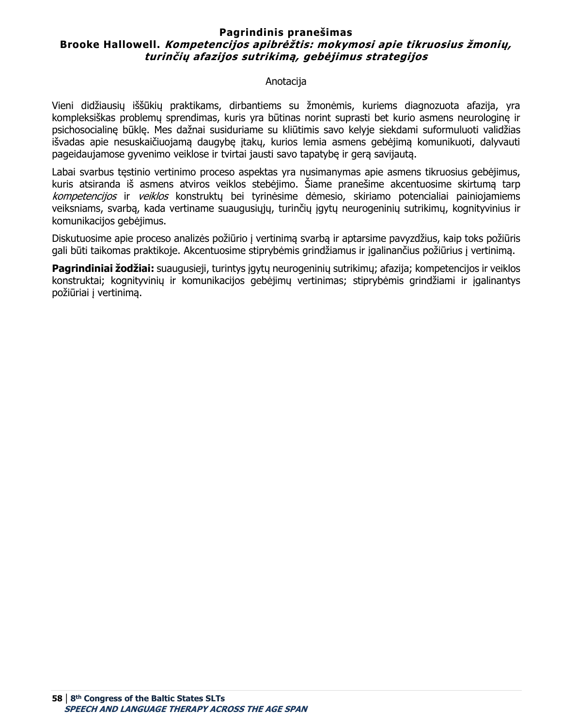### **Pagrindinis pranešimas Brooke Hallowell. Kompetencijos apibrėžtis: mokymosi apie tikruosius žmonių, turinčių afazijos sutrikimą, gebėjimus strategijos**

#### Anotacija

Vieni didžiausių iššūkių praktikams, dirbantiems su žmonėmis, kuriems diagnozuota afazija, yra kompleksiškas problemų sprendimas, kuris yra būtinas norint suprasti bet kurio asmens neurologinę ir psichosocialinę būklę. Mes dažnai susiduriame su kliūtimis savo kelyje siekdami suformuluoti validžias išvadas apie nesuskaičiuojamą daugybę įtakų, kurios lemia asmens gebėjimą komunikuoti, dalyvauti pageidaujamose gyvenimo veiklose ir tvirtai jausti savo tapatybę ir gerą savijautą.

Labai svarbus tęstinio vertinimo proceso aspektas yra nusimanymas apie asmens tikruosius gebėjimus, kuris atsiranda iš asmens atviros veiklos stebėjimo. Šiame pranešime akcentuosime skirtumą tarp kompetencijos ir veiklos konstruktų bei tyrinėsime dėmesio, skiriamo potencialiai painiojamiems veiksniams, svarbą, kada vertiname suaugusiųjų, turinčių įgytų neurogeninių sutrikimų, kognityvinius ir komunikacijos gebėjimus.

Diskutuosime apie proceso analizės požiūrio į vertinimą svarbą ir aptarsime pavyzdžius, kaip toks požiūris gali būti taikomas praktikoje. Akcentuosime stiprybėmis grindžiamus ir įgalinančius požiūrius į vertinimą.

**Pagrindiniai žodžiai:** suaugusieji, turintys įgytų neurogeninių sutrikimų; afazija; kompetencijos ir veiklos konstruktai; kognityvinių ir komunikacijos gebėjimų vertinimas; stiprybėmis grindžiami ir įgalinantys požiūriai į vertinimą.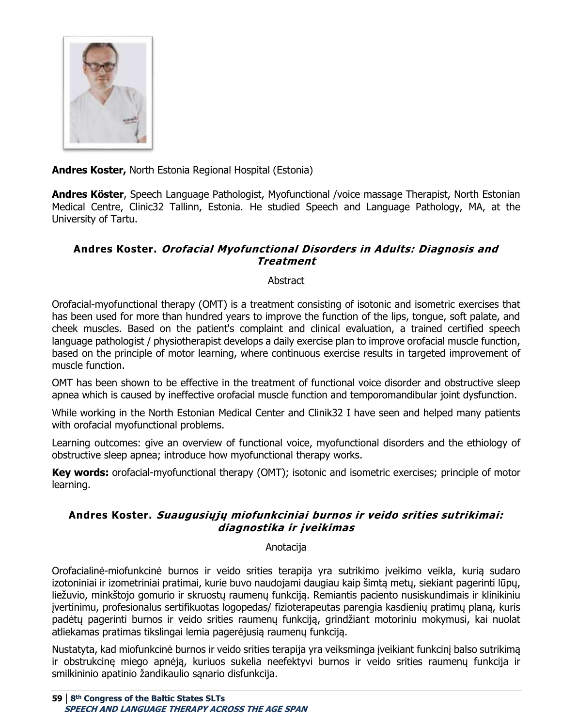

**Andres Koster,** North Estonia Regional Hospital (Estonia)

**Andres Köster**, Speech Language Pathologist, Myofunctional /voice massage Therapist, North Estonian Medical Centre, Clinic32 Tallinn, Estonia. He studied Speech and Language Pathology, MA, at the University of Tartu.

## **Andres Koster. Orofacial Myofunctional Disorders in Adults: Diagnosis and Treatment**

### **Abstract**

Orofacial-myofunctional therapy (OMT) is a treatment consisting of isotonic and isometric exercises that has been used for more than hundred years to improve the function of the lips, tongue, soft palate, and cheek muscles. Based on the patient's complaint and clinical evaluation, a trained certified speech language pathologist / physiotherapist develops a daily exercise plan to improve orofacial muscle function, based on the principle of motor learning, where continuous exercise results in targeted improvement of muscle function.

OMT has been shown to be effective in the treatment of functional voice disorder and obstructive sleep apnea which is caused by ineffective orofacial muscle function and temporomandibular joint dysfunction.

While working in the North Estonian Medical Center and Clinik32 I have seen and helped many patients with orofacial myofunctional problems.

Learning outcomes: give an overview of functional voice, myofunctional disorders and the ethiology of obstructive sleep apnea; introduce how myofunctional therapy works.

**Key words:** orofacial-myofunctional therapy (OMT); isotonic and isometric exercises; principle of motor learning.

## **Andres Koster. Suaugusiųjų miofunkciniai burnos ir veido srities sutrikimai: diagnostika ir įveikimas**

#### Anotacija

Orofacialinė-miofunkcinė burnos ir veido srities terapija yra sutrikimo įveikimo veikla, kurią sudaro izotoniniai ir izometriniai pratimai, kurie buvo naudojami daugiau kaip šimtą metų, siekiant pagerinti lūpų, liežuvio, minkštojo gomurio ir skruostų raumenų funkciją. Remiantis paciento nusiskundimais ir klinikiniu įvertinimu, profesionalus sertifikuotas logopedas/ fizioterapeutas parengia kasdienių pratimų planą, kuris padėtų pagerinti burnos ir veido srities raumenų funkciją, grindžiant motoriniu mokymusi, kai nuolat atliekamas pratimas tikslingai lemia pagerėjusią raumenų funkciją.

Nustatyta, kad miofunkcinė burnos ir veido srities terapija yra veiksminga įveikiant funkcinį balso sutrikimą ir obstrukcinę miego apnėją, kuriuos sukelia neefektyvi burnos ir veido srities raumenų funkcija ir smilkininio apatinio žandikaulio sąnario disfunkcija.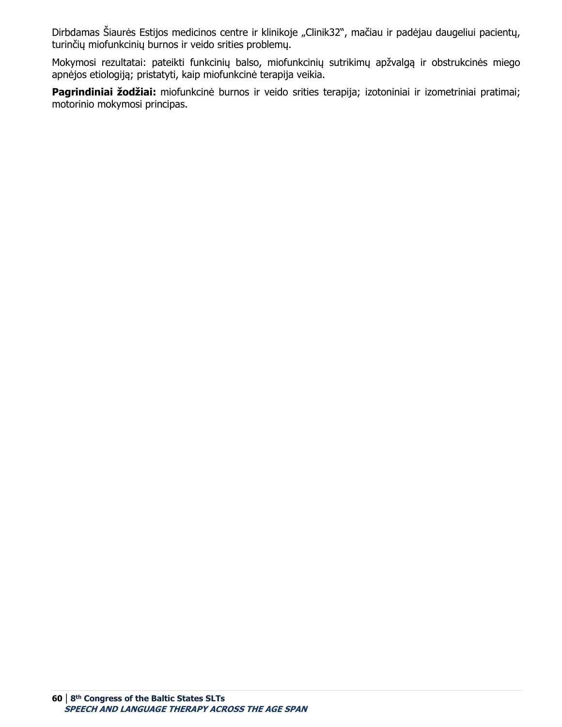Dirbdamas Šiaurės Estijos medicinos centre ir klinikoje "Clinik32", mačiau ir padėjau daugeliui pacientų, turinčių miofunkcinių burnos ir veido srities problemų.

Mokymosi rezultatai: pateikti funkcinių balso, miofunkcinių sutrikimų apžvalgą ir obstrukcinės miego apnėjos etiologiją; pristatyti, kaip miofunkcinė terapija veikia.

**Pagrindiniai žodžiai:** miofunkcinė burnos ir veido srities terapija; izotoniniai ir izometriniai pratimai; motorinio mokymosi principas.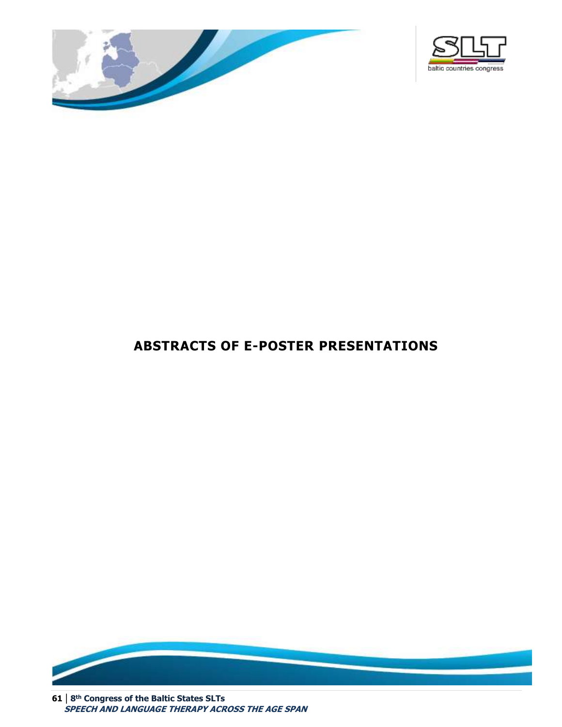



# **ABSTRACTS OF E-POSTER PRESENTATIONS**



**61 | 8 th Congress of the Baltic States SLTs SPEECH AND LANGUAGE THERAPY ACROSS THE AGE SPAN**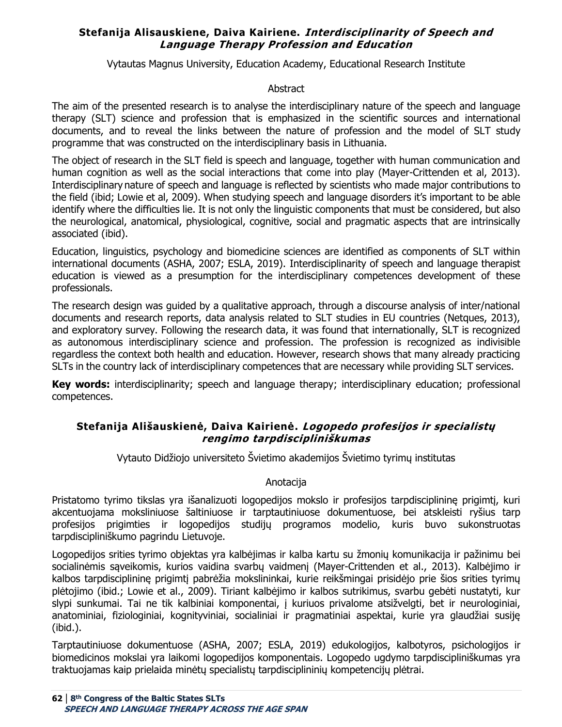### **Stefanija Alisauskiene, Daiva Kairiene. Interdisciplinarity of Speech and Language Therapy Profession and Education**

Vytautas Magnus University, Education Academy, Educational Research Institute

#### Abstract

The aim of the presented research is to analyse the interdisciplinary nature of the speech and language therapy (SLT) science and profession that is emphasized in the scientific sources and international documents, and to reveal the links between the nature of profession and the model of SLT study programme that was constructed on the interdisciplinary basis in Lithuania.

The object of research in the SLT field is speech and language, together with human communication and human cognition as well as the social interactions that come into play (Mayer-Crittenden et al, 2013). [Interdisciplinary](https://www.sciencedirect.com/topics/computer-science/interdisciplinary) nature of speech and language is reflected by scientists who made major contributions to the field (ibid; Lowie et al, 2009). When studying speech and language disorders it's important to be able identify where the difficulties lie. It is not only the linguistic components that must be considered, but also the neurological, anatomical, physiological, cognitive, social and pragmatic aspects that are intrinsically associated (ibid).

Education, linguistics, psychology and biomedicine sciences are identified as components of SLT within international documents (ASHA, 2007; ESLA, 2019). Interdisciplinarity of speech and language therapist education is viewed as a presumption for the interdisciplinary competences development of these professionals.

The research design was guided by a qualitative approach, through a discourse analysis of inter/national documents and research reports, data analysis related to SLT studies in EU countries (Netques, 2013), and exploratory survey. Following the research data, it was found that internationally, SLT is recognized as autonomous interdisciplinary science and profession. The profession is recognized as indivisible regardless the context both health and education. However, research shows that many already practicing SLTs in the country lack of interdisciplinary competences that are necessary while providing SLT services.

**Key words:** interdisciplinarity; speech and language therapy; interdisciplinary education; professional competences.

### **Stefanija Ališauskienė, Daiva Kairienė. Logopedo profesijos ir specialistų rengimo tarpdiscipliniškumas**

Vytauto Didžiojo universiteto Švietimo akademijos Švietimo tyrimų institutas

#### Anotacija

Pristatomo tyrimo tikslas yra išanalizuoti logopedijos mokslo ir profesijos tarpdisciplininę prigimtį, kuri akcentuojama moksliniuose šaltiniuose ir tarptautiniuose dokumentuose, bei atskleisti ryšius tarp profesijos prigimties ir logopedijos studijų programos modelio, kuris buvo sukonstruotas tarpdiscipliniškumo pagrindu Lietuvoje.

Logopedijos srities tyrimo objektas yra kalbėjimas ir kalba kartu su žmonių komunikacija ir pažinimu bei socialinėmis sąveikomis, kurios vaidina svarbų vaidmenį (Mayer-Crittenden et al., 2013). Kalbėjimo ir kalbos tarpdisciplininę prigimtį pabrėžia mokslininkai, kurie reikšmingai prisidėjo prie šios srities tyrimų plėtojimo (ibid.; Lowie et al., 2009). Tiriant kalbėjimo ir kalbos sutrikimus, svarbu gebėti nustatyti, kur slypi sunkumai. Tai ne tik kalbiniai komponentai, į kuriuos privalome atsižvelgti, bet ir neurologiniai, anatominiai, fiziologiniai, kognityviniai, socialiniai ir pragmatiniai aspektai, kurie yra glaudžiai susiję (ibid.).

Tarptautiniuose dokumentuose (ASHA, 2007; ESLA, 2019) edukologijos, kalbotyros, psichologijos ir biomedicinos mokslai yra laikomi logopedijos komponentais. Logopedo ugdymo tarpdiscipliniškumas yra traktuojamas kaip prielaida minėtų specialistų tarpdisciplininių kompetencijų plėtrai.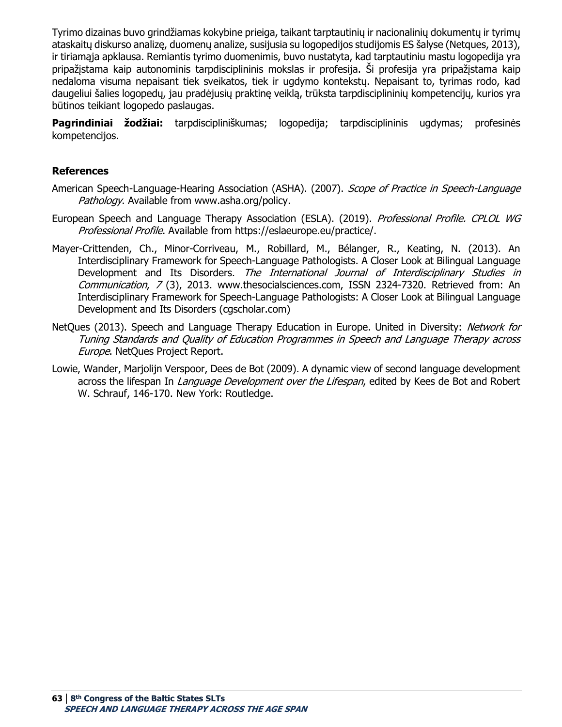Tyrimo dizainas buvo grindžiamas kokybine prieiga, taikant tarptautinių ir nacionalinių dokumentų ir tyrimų ataskaitų diskurso analizę, duomenų analize, susijusia su logopedijos studijomis ES šalyse (Netques, 2013), ir tiriamąja apklausa. Remiantis tyrimo duomenimis, buvo nustatyta, kad tarptautiniu mastu logopedija yra pripažįstama kaip autonominis tarpdisciplininis mokslas ir profesija. Ši profesija yra pripažįstama kaip nedaloma visuma nepaisant tiek sveikatos, tiek ir ugdymo kontekstų. Nepaisant to, tyrimas rodo, kad daugeliui šalies logopedų, jau pradėjusių praktinę veiklą, trūksta tarpdisciplininių kompetencijų, kurios yra būtinos teikiant logopedo paslaugas.

**Pagrindiniai žodžiai:** tarpdiscipliniškumas; logopedija; tarpdisciplininis ugdymas; profesinės kompetencijos.

#### **References**

- American Speech-Language-Hearing Association (ASHA). (2007). Scope of Practice in Speech-Language Pathology. Available from www.asha.org/policy.
- European Speech and Language Therapy Association (ESLA). (2019). Professional Profile. CPLOL WG Professional Profile. Available from https://eslaeurope.eu/practice/.
- Mayer-Crittenden, Ch., Minor-Corriveau, M., Robillard, M., Bélanger, R., Keating, N. (2013). An Interdisciplinary Framework for Speech-Language Pathologists. A Closer Look at Bilingual Language Development and Its Disorders. The International Journal of Interdisciplinary Studies in Communication, 7 (3), 2013. www.thesocialsciences.com, ISSN 2324-7320. Retrieved from: An Interdisciplinary Framework for Speech-Language Pathologists: A Closer Look at Bilingual Language Development and Its Disorders (cgscholar.com)
- NetQues (2013). Speech and Language Therapy Education in Europe. United in Diversity: Network for Tuning Standards and Quality of Education Programmes in Speech and Language Therapy across Europe. NetQues Project Report.
- Lowie, Wander, Marjolijn Verspoor, Dees de Bot (2009). A dynamic view of second language development across the lifespan In *Language Development over the Lifespan*, edited by Kees de Bot and Robert W. Schrauf, 146-170. New York: Routledge.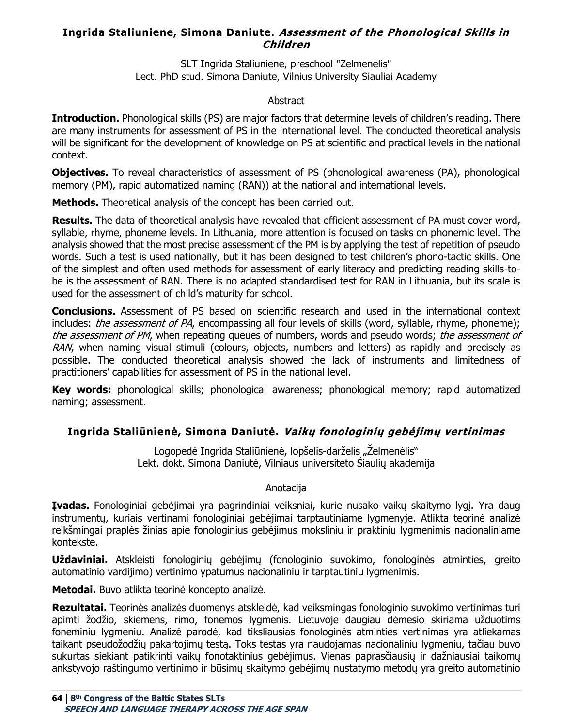### **Ingrida Staliuniene, Simona Daniute. Assessment of the Phonological Skills in Children**

SLT Ingrida Staliuniene, preschool "Zelmenelis" Lect. PhD stud. Simona Daniute, Vilnius University Siauliai Academy

#### Abstract

**Introduction.** Phonological skills (PS) are major factors that determine levels of children's reading. There are many instruments for assessment of PS in the international level. The conducted theoretical analysis will be significant for the development of knowledge on PS at scientific and practical levels in the national context.

**Objectives.** To reveal characteristics of assessment of PS (phonological awareness (PA), phonological memory (PM), rapid automatized naming (RAN)) at the national and international levels.

**Methods.** Theoretical analysis of the concept has been carried out.

**Results.** The data of theoretical analysis have revealed that efficient assessment of PA must cover word, syllable, rhyme, phoneme levels. In Lithuania, more attention is focused on tasks on phonemic level. The analysis showed that the most precise assessment of the PM is by applying the test of repetition of pseudo words. Such a test is used nationally, but it has been designed to test children's phono-tactic skills. One of the simplest and often used methods for assessment of early literacy and predicting reading skills-tobe is the assessment of RAN. There is no adapted standardised test for RAN in Lithuania, but its scale is used for the assessment of child's maturity for school.

**Conclusions.** Assessment of PS based on scientific research and used in the international context includes: *the assessment of PA*, encompassing all four levels of skills (word, syllable, rhyme, phoneme); the assessment of PM, when repeating queues of numbers, words and pseudo words; the assessment of RAN, when naming visual stimuli (colours, objects, numbers and letters) as rapidly and precisely as possible. The conducted theoretical analysis showed the lack of instruments and limitedness of practitioners' capabilities for assessment of PS in the national level.

**Key words:** phonological skills; phonological awareness; phonological memory; rapid automatized naming; assessment.

# **Ingrida Staliūnienė, Simona Daniutė. Vaikų fonologinių gebėjimų vertinimas**

Logopedė Ingrida Staliūnienė, lopšelis-darželis "Želmenėlis" Lekt. dokt. Simona Daniutė, Vilniaus universiteto Šiaulių akademija

#### Anotacija

**Įvadas.** Fonologiniai gebėjimai yra pagrindiniai veiksniai, kurie nusako vaikų skaitymo lygį. Yra daug instrumentų, kuriais vertinami fonologiniai gebėjimai tarptautiniame lygmenyje. Atlikta teorinė analizė reikšmingai praplės žinias apie fonologinius gebėjimus moksliniu ir praktiniu lygmenimis nacionaliniame kontekste.

**Uždaviniai.** Atskleisti fonologinių gebėjimų (fonologinio suvokimo, fonologinės atminties, greito automatinio vardijimo) vertinimo ypatumus nacionaliniu ir tarptautiniu lygmenimis.

**Metodai.** Buvo atlikta teorinė koncepto analizė.

**Rezultatai.** Teorinės analizės duomenys atskleidė, kad veiksmingas fonologinio suvokimo vertinimas turi apimti žodžio, skiemens, rimo, fonemos lygmenis. Lietuvoje daugiau dėmesio skiriama užduotims foneminiu lygmeniu. Analizė parodė, kad tiksliausias fonologinės atminties vertinimas yra atliekamas taikant pseudožodžių pakartojimų testą. Toks testas yra naudojamas nacionaliniu lygmeniu, tačiau buvo sukurtas siekiant patikrinti vaikų fonotaktinius gebėjimus. Vienas paprasčiausių ir dažniausiai taikomų ankstyvojo raštingumo vertinimo ir būsimų skaitymo gebėjimų nustatymo metodų yra greito automatinio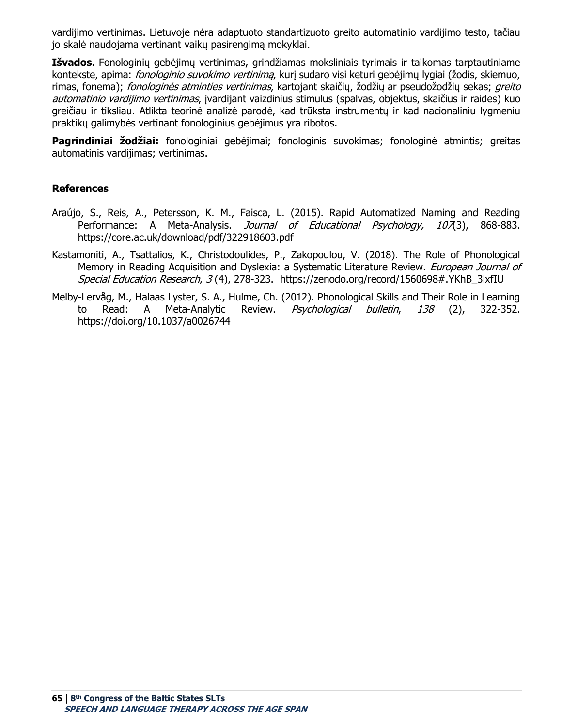vardijimo vertinimas. Lietuvoje nėra adaptuoto standartizuoto greito automatinio vardijimo testo, tačiau jo skalė naudojama vertinant vaikų pasirengimą mokyklai.

**Išvados.** Fonologinių gebėjimų vertinimas, grindžiamas moksliniais tyrimais ir taikomas tarptautiniame kontekste, apima: *fonologinio suvokimo vertinimą*, kurį sudaro visi keturi gebėjimų lygiai (žodis, skiemuo, rimas, fonema); *fonologinės atminties vertinimas*, kartojant skaičių, žodžių ar pseudožodžių sekas; *greito* automatinio vardijimo vertinimas, įvardijant vaizdinius stimulus (spalvas, objektus, skaičius ir raides) kuo greičiau ir tiksliau. Atlikta teorinė analizė parodė, kad trūksta instrumentų ir kad nacionaliniu lygmeniu praktikų galimybės vertinant fonologinius gebėjimus yra ribotos.

**Pagrindiniai žodžiai:** fonologiniai gebėjimai; fonologinis suvokimas; fonologinė atmintis; greitas automatinis vardijimas; vertinimas.

#### **References**

- Araújo, S., Reis, A., Petersson, K. M., Faisca, L. (2015). Rapid Automatized Naming and Reading Performance: A Meta-Analysis. *Journal of Educational Psychology, 107*(3), 868-883. https://core.ac.uk/download/pdf/322918603.pdf
- Kastamoniti, A., Tsattalios, K., Christodoulides, P., Zakopoulou, V. (2018). The Role of Phonological Memory in Reading Acquisition and Dyslexia: a Systematic Literature Review. European Journal of Special Education Research, 3(4), 278-323. [https://zenodo.org/record/1560698#.YKhB\\_3lxfIU](https://zenodo.org/record/1560698#.YKhB_3lxfIU)
- Melby-Lervåg, M., Halaas Lyster, S. A., Hulme, Ch. (2012). Phonological Skills and Their Role in Learning to Read: A Meta-Analytic Review. *Psychological bulletin, 138* (2), 322-352. <https://doi.org/10.1037/a0026744>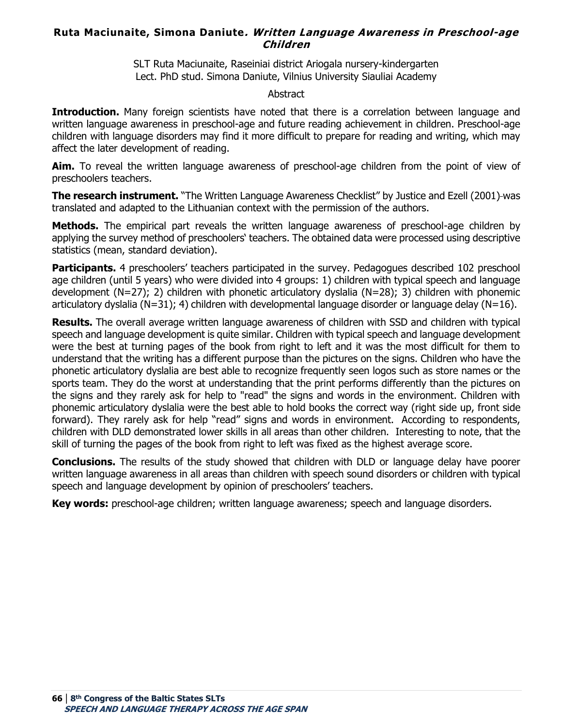### **Ruta Maciunaite, Simona Daniute. Written Language Awareness in Preschool-age Children**

SLT Ruta Maciunaite, Raseiniai district Ariogala nursery-kindergarten Lect. PhD stud. Simona Daniute, Vilnius University Siauliai Academy

#### **Abstract**

**Introduction.** Many foreign scientists have noted that there is a correlation between language and written language awareness in preschool-age and future reading achievement in children. Preschool-age children with language disorders may find it more difficult to prepare for reading and writing, which may affect the later development of reading.

**Aim.** To reveal the written language awareness of preschool-age children from the point of view of preschoolers teachers.

**The research instrument.** "The Written Language Awareness Checklist" by Justice and Ezell (2001)-was translated and adapted to the Lithuanian context with the permission of the authors.

**Methods.** The empirical part reveals the written language awareness of preschool-age children by applying the survey method of preschoolers' teachers. The obtained data were processed using descriptive statistics (mean, standard deviation).

Participants. 4 preschoolers' teachers participated in the survey. Pedagogues described 102 preschool age children (until 5 years) who were divided into 4 groups: 1) children with typical speech and language development (N=27); 2) children with phonetic articulatory dyslalia (N=28); 3) children with phonemic articulatory dyslalia (N=31); 4) children with developmental language disorder or language delay (N=16).

**Results.** The overall average written language awareness of children with SSD and children with typical speech and language development is quite similar. Children with typical speech and language development were the best at turning pages of the book from right to left and it was the most difficult for them to understand that the writing has a different purpose than the pictures on the signs. Children who have the phonetic articulatory dyslalia are best able to recognize frequently seen logos such as store names or the sports team. They do the worst at understanding that the print performs differently than the pictures on the signs and they rarely ask for help to "read" the signs and words in the environment. Children with phonemic articulatory dyslalia were the best able to hold books the correct way (right side up, front side forward). They rarely ask for help "read" signs and words in environment. According to respondents, children with DLD demonstrated lower skills in all areas than other children. Interesting to note, that the skill of turning the pages of the book from right to left was fixed as the highest average score.

**Conclusions.** The results of the study showed that children with DLD or language delay have poorer written language awareness in all areas than children with speech sound disorders or children with typical speech and language development by opinion of preschoolers' teachers.

**Key words:** preschool-age children; written language awareness; speech and language disorders.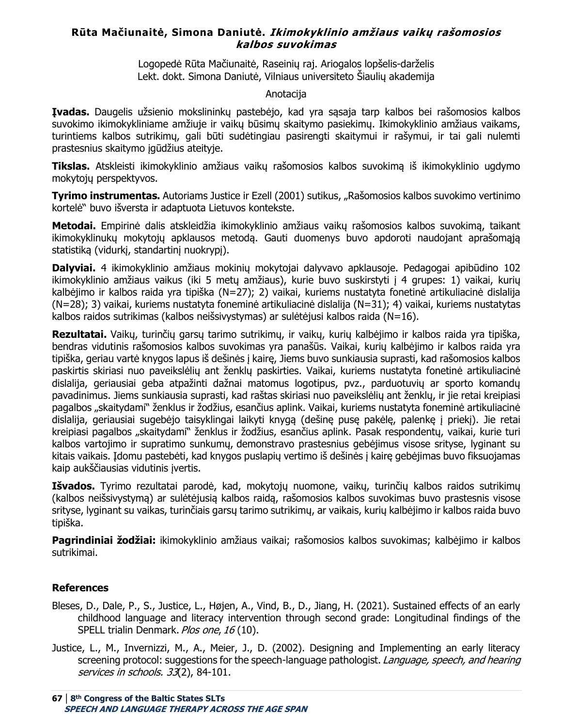### **Rūta Mačiunaitė, Simona Daniutė. Ikimokyklinio amžiaus vaikų rašomosios kalbos suvokimas**

Logopedė Rūta Mačiunaitė, Raseinių raj. Ariogalos lopšelis-darželis Lekt. dokt. Simona Daniutė, Vilniaus universiteto Šiaulių akademija

#### Anotacija

**Įvadas.** Daugelis užsienio mokslininkų pastebėjo, kad yra sąsaja tarp kalbos bei rašomosios kalbos suvokimo ikimokykliniame amžiuje ir vaikų būsimų skaitymo pasiekimų. Ikimokyklinio amžiaus vaikams, turintiems kalbos sutrikimų, gali būti sudėtingiau pasirengti skaitymui ir rašymui, ir tai gali nulemti prastesnius skaitymo įgūdžius ateityje.

**Tikslas.** Atskleisti ikimokyklinio amžiaus vaikų rašomosios kalbos suvokimą iš ikimokyklinio ugdymo mokytojų perspektyvos.

**Tyrimo instrumentas.** Autoriams Justice ir Ezell (2001) sutikus, "Rašomosios kalbos suvokimo vertinimo kortelė" buvo išversta ir adaptuota Lietuvos kontekste.

**Metodai.** Empirinė dalis atskleidžia ikimokyklinio amžiaus vaikų rašomosios kalbos suvokimą, taikant ikimokyklinukų mokytojų apklausos metodą. Gauti duomenys buvo apdoroti naudojant aprašomąją statistiką (vidurkį, standartinį nuokrypį).

**Dalyviai.** 4 ikimokyklinio amžiaus mokinių mokytojai dalyvavo apklausoje. Pedagogai apibūdino 102 ikimokyklinio amžiaus vaikus (iki 5 metų amžiaus), kurie buvo suskirstyti į 4 grupes: 1) vaikai, kurių kalbėjimo ir kalbos raida yra tipiška (N=27); 2) vaikai, kuriems nustatyta fonetinė artikuliacinė dislalija (N=28); 3) vaikai, kuriems nustatyta foneminė artikuliacinė dislalija (N=31); 4) vaikai, kuriems nustatytas kalbos raidos sutrikimas (kalbos neišsivystymas) ar sulėtėjusi kalbos raida (N=16).

**Rezultatai.** Vaikų, turinčių garsų tarimo sutrikimų, ir vaikų, kurių kalbėjimo ir kalbos raida yra tipiška, bendras vidutinis rašomosios kalbos suvokimas yra panašūs. Vaikai, kurių kalbėjimo ir kalbos raida yra tipiška, geriau vartė knygos lapus iš dešinės į kairę, Jiems buvo sunkiausia suprasti, kad rašomosios kalbos paskirtis skiriasi nuo paveikslėlių ant ženklų paskirties. Vaikai, kuriems nustatyta fonetinė artikuliacinė dislalija, geriausiai geba atpažinti dažnai matomus logotipus, pvz., parduotuvių ar sporto komandų pavadinimus. Jiems sunkiausia suprasti, kad raštas skiriasi nuo paveikslėlių ant ženklų, ir jie retai kreipiasi pagalbos "skaitydami" ženklus ir žodžius, esančius aplink. Vaikai, kuriems nustatyta foneminė artikuliacinė dislalija, geriausiai sugebėjo taisyklingai laikyti knygą (dešinę pusę pakėlę, palenkę į priekį). Jie retai kreipiasi pagalbos "skaitydami" ženklus ir žodžius, esančius aplink. Pasak respondentų, vaikai, kurie turi kalbos vartojimo ir supratimo sunkumų, demonstravo prastesnius gebėjimus visose srityse, lyginant su kitais vaikais. Įdomu pastebėti, kad knygos puslapių vertimo iš dešinės į kairę gebėjimas buvo fiksuojamas kaip aukščiausias vidutinis įvertis.

**Išvados.** Tyrimo rezultatai parodė, kad, mokytojų nuomone, vaikų, turinčių kalbos raidos sutrikimų (kalbos neišsivystymą) ar sulėtėjusią kalbos raidą, rašomosios kalbos suvokimas buvo prastesnis visose srityse, lyginant su vaikas, turinčiais garsų tarimo sutrikimų, ar vaikais, kurių kalbėjimo ir kalbos raida buvo tipiška.

**Pagrindiniai žodžiai:** ikimokyklinio amžiaus vaikai; rašomosios kalbos suvokimas; kalbėjimo ir kalbos sutrikimai.

#### **References**

- Bleses, D., Dale, P., S., Justice, L., Højen, A., Vind, B., D., Jiang, H. (2021). Sustained effects of an early childhood language and literacy intervention through second grade: Longitudinal findings of the SPELL trialin Denmark. Plos one, 16 (10).
- Justice, L., M., Invernizzi, M., A., Meier, J., D. (2002). Designing and Implementing an early literacy screening protocol: suggestions for the speech-language pathologist. Language, speech, and hearing services in schools. 33(2), 84-101.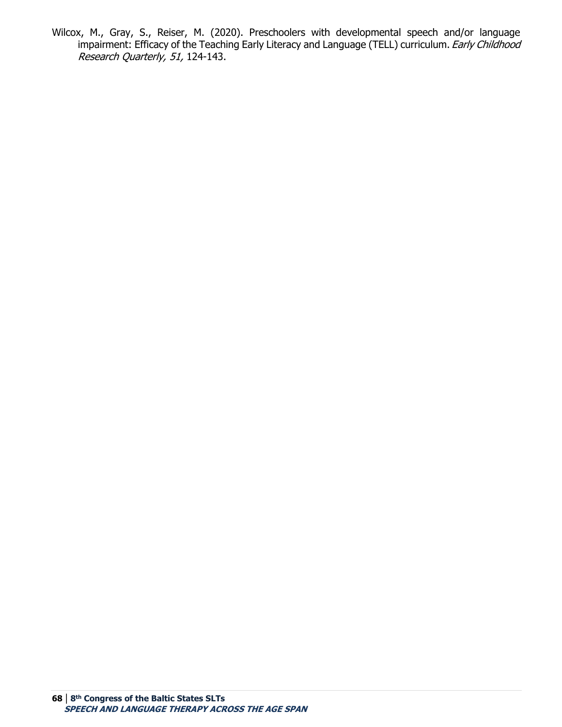Wilcox, M., Gray, S., Reiser, M. (2020). Preschoolers with developmental speech and/or language impairment: Efficacy of the Teaching Early Literacy and Language (TELL) curriculum. Early Childhood Research Quarterly, 51, 124-143.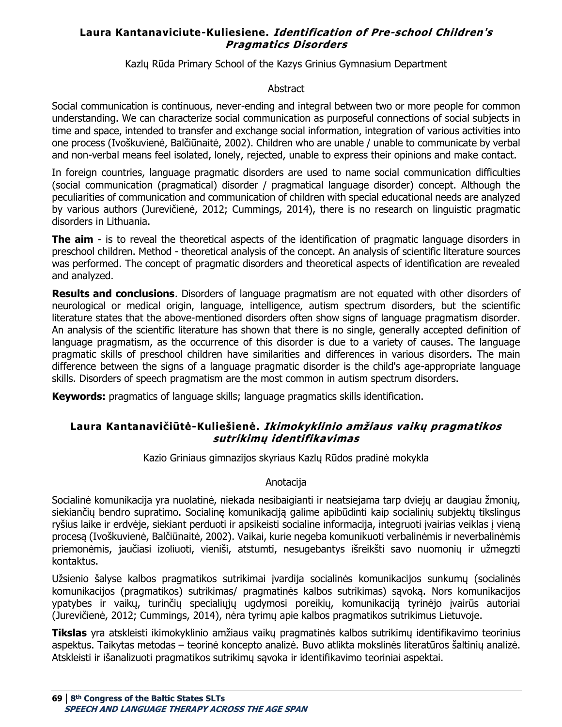### **Laura Kantanaviciute-Kuliesiene. Identification of Pre-school Children's Pragmatics Disorders**

Kazlų Rūda Primary School of the Kazys Grinius Gymnasium Department

#### **Abstract**

Social communication is continuous, never-ending and integral between two or more people for common understanding. We can characterize social communication as purposeful connections of social subjects in time and space, intended to transfer and exchange social information, integration of various activities into one process (Ivoškuvienė, Balčiūnaitė, 2002). Children who are unable / unable to communicate by verbal and non-verbal means feel isolated, lonely, rejected, unable to express their opinions and make contact.

In foreign countries, language pragmatic disorders are used to name social communication difficulties (social communication (pragmatical) disorder / pragmatical language disorder) concept. Although the peculiarities of communication and communication of children with special educational needs are analyzed by various authors (Jurevičienė, 2012; Cummings, 2014), there is no research on linguistic pragmatic disorders in Lithuania.

**The aim** - is to reveal the theoretical aspects of the identification of pragmatic language disorders in preschool children. Method - theoretical analysis of the concept. An analysis of scientific literature sources was performed. The concept of pragmatic disorders and theoretical aspects of identification are revealed and analyzed.

**Results and conclusions**. Disorders of language pragmatism are not equated with other disorders of neurological or medical origin, language, intelligence, autism spectrum disorders, but the scientific literature states that the above-mentioned disorders often show signs of language pragmatism disorder. An analysis of the scientific literature has shown that there is no single, generally accepted definition of language pragmatism, as the occurrence of this disorder is due to a variety of causes. The language pragmatic skills of preschool children have similarities and differences in various disorders. The main difference between the signs of a language pragmatic disorder is the child's age-appropriate language skills. Disorders of speech pragmatism are the most common in autism spectrum disorders.

**Keywords:** pragmatics of language skills; language pragmatics skills identification.

### **Laura Kantanavičiūtė-Kuliešienė. Ikimokyklinio amžiaus vaikų pragmatikos sutrikimų identifikavimas**

Kazio Griniaus gimnazijos skyriaus Kazlų Rūdos pradinė mokykla

#### Anotacija

Socialinė komunikacija yra nuolatinė, niekada nesibaigianti ir neatsiejama tarp dviejų ar daugiau žmonių, siekiančių bendro supratimo. Socialinę komunikaciją galime apibūdinti kaip socialinių subjektų tikslingus ryšius laike ir erdvėje, siekiant perduoti ir apsikeisti socialine informacija, integruoti įvairias veiklas į vieną procesą (Ivoškuvienė, Balčiūnaitė, 2002). Vaikai, kurie negeba komunikuoti verbalinėmis ir neverbalinėmis priemonėmis, jaučiasi izoliuoti, vieniši, atstumti, nesugebantys išreikšti savo nuomonių ir užmegzti kontaktus.

Užsienio šalyse kalbos pragmatikos sutrikimai įvardija socialinės komunikacijos sunkumų (socialinės komunikacijos (pragmatikos) sutrikimas/ pragmatinės kalbos sutrikimas) sąvoką. Nors komunikacijos ypatybes ir vaikų, turinčių specialiųjų ugdymosi poreikių, komunikaciją tyrinėjo įvairūs autoriai (Jurevičienė, 2012; Cummings, 2014), nėra tyrimų apie kalbos pragmatikos sutrikimus Lietuvoje.

**Tikslas** yra atskleisti ikimokyklinio amžiaus vaikų pragmatinės kalbos sutrikimų identifikavimo teorinius aspektus. Taikytas metodas – teorinė koncepto analizė. Buvo atlikta mokslinės literatūros šaltinių analizė. Atskleisti ir išanalizuoti pragmatikos sutrikimų sąvoka ir identifikavimo teoriniai aspektai.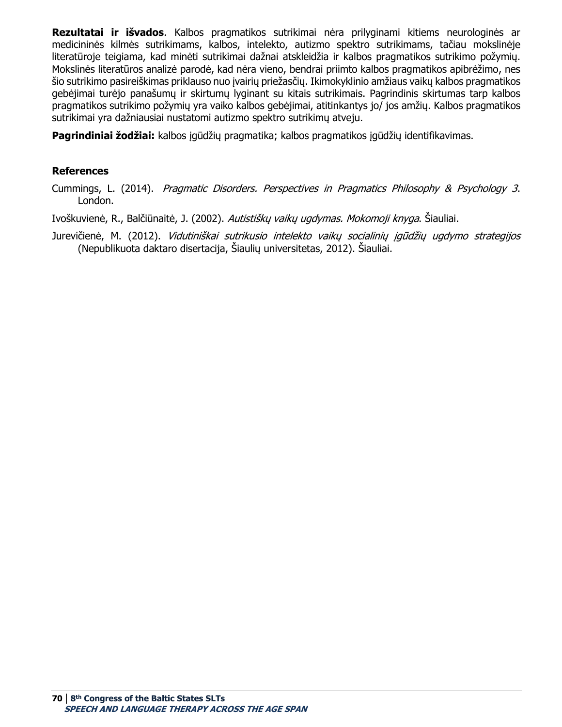**Rezultatai ir išvados**. Kalbos pragmatikos sutrikimai nėra prilyginami kitiems neurologinės ar medicininės kilmės sutrikimams, kalbos, intelekto, autizmo spektro sutrikimams, tačiau mokslinėje literatūroje teigiama, kad minėti sutrikimai dažnai atskleidžia ir kalbos pragmatikos sutrikimo požymių. Mokslinės literatūros analizė parodė, kad nėra vieno, bendrai priimto kalbos pragmatikos apibrėžimo, nes šio sutrikimo pasireiškimas priklauso nuo įvairių priežasčių. Ikimokyklinio amžiaus vaikų kalbos pragmatikos gebėjimai turėjo panašumų ir skirtumų lyginant su kitais sutrikimais. Pagrindinis skirtumas tarp kalbos pragmatikos sutrikimo požymių yra vaiko kalbos gebėjimai, atitinkantys jo/ jos amžių. Kalbos pragmatikos sutrikimai yra dažniausiai nustatomi autizmo spektro sutrikimų atveju.

**Pagrindiniai žodžiai:** kalbos įgūdžių pragmatika; kalbos pragmatikos įgūdžių identifikavimas.

### **References**

Cummings, L. (2014). Pragmatic Disorders. Perspectives in Pragmatics Philosophy & Psychology 3. London.

Ivoškuvienė, R., Balčiūnaitė, J. (2002). *Autistiškų vaikų ugdymas. Mokomoji knyga*. Šiauliai.

Jurevičienė, M. (2012). Vidutiniškai sutrikusio intelekto vaikų socialinių įgūdžių ugdymo strategijos (Nepublikuota daktaro disertacija, Šiaulių universitetas, 2012). Šiauliai.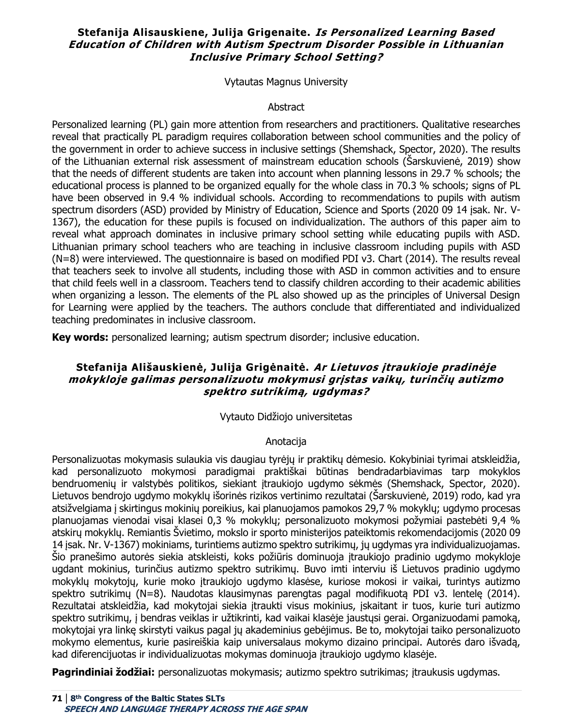### **Stefanija Alisauskiene, Julija Grigenaite. Is Personalized Learning Based Education of Children with Autism Spectrum Disorder Possible in Lithuanian Inclusive Primary School Setting?**

Vytautas Magnus University

#### Abstract

Personalized learning (PL) gain more attention from researchers and practitioners. Qualitative researches reveal that practically PL paradigm requires collaboration between school communities and the policy of the government in order to achieve success in inclusive settings (Shemshack, Spector, 2020). The results of the Lithuanian external risk assessment of mainstream education schools (Šarskuvienė, 2019) show that the needs of different students are taken into account when planning lessons in 29.7 % schools; the educational process is planned to be organized equally for the whole class in 70.3 % schools; signs of PL have been observed in 9.4 % individual schools. According to recommendations to pupils with autism spectrum disorders (ASD) provided by Ministry of Education, Science and Sports (2020 09 14 įsak. Nr. V-1367), the education for these pupils is focused on individualization. The authors of this paper aim to reveal what approach dominates in inclusive primary school setting while educating pupils with ASD. Lithuanian primary school teachers who are teaching in inclusive classroom including pupils with ASD (N=8) were interviewed. The questionnaire is based on modified PDI v3. Chart (2014). The results reveal that teachers seek to involve all students, including those with ASD in common activities and to ensure that child feels well in a classroom. Teachers tend to classify children according to their academic abilities when organizing a lesson. The elements of the PL also showed up as the principles of Universal Design for Learning were applied by the teachers. The authors conclude that differentiated and individualized teaching predominates in inclusive classroom.

**Key words:** personalized learning; autism spectrum disorder; inclusive education.

### **Stefanija Ališauskienė, Julija Grigėnaitė. Ar Lietuvos įtraukioje pradinėje mokykloje galimas personalizuotu mokymusi grįstas vaikų, turinčių autizmo spektro sutrikimą, ugdymas?**

#### Vytauto Didžiojo universitetas

#### Anotacija

Personalizuotas mokymasis sulaukia vis daugiau tyrėjų ir praktikų dėmesio. Kokybiniai tyrimai atskleidžia, kad personalizuoto mokymosi paradigmai praktiškai būtinas bendradarbiavimas tarp mokyklos bendruomenių ir valstybės politikos, siekiant įtraukiojo ugdymo sėkmės (Shemshack, Spector, 2020). Lietuvos bendrojo ugdymo mokyklų išorinės rizikos vertinimo rezultatai (Šarskuvienė, 2019) rodo, kad yra atsižvelgiama į skirtingus mokinių poreikius, kai planuojamos pamokos 29,7 % mokyklų; ugdymo procesas planuojamas vienodai visai klasei 0,3 % mokyklų; personalizuoto mokymosi požymiai pastebėti 9,4 % atskirų mokyklų. Remiantis Švietimo, mokslo ir sporto ministerijos pateiktomis rekomendacijomis (2020 09 14 įsak. Nr. V-1367) mokiniams, turintiems autizmo spektro sutrikimų, jų ugdymas yra individualizuojamas. Šio pranešimo autorės siekia atskleisti, koks požiūris dominuoja įtraukiojo pradinio ugdymo mokykloje ugdant mokinius, turinčius autizmo spektro sutrikimų. Buvo imti interviu iš Lietuvos pradinio ugdymo mokyklų mokytojų, kurie moko įtraukiojo ugdymo klasėse, kuriose mokosi ir vaikai, turintys autizmo spektro sutrikimų (N=8). Naudotas klausimynas parengtas pagal modifikuotą PDI v3. lentelę (2014). Rezultatai atskleidžia, kad mokytojai siekia įtraukti visus mokinius, įskaitant ir tuos, kurie turi autizmo spektro sutrikimų, į bendras veiklas ir užtikrinti, kad vaikai klasėje jaustųsi gerai. Organizuodami pamoką, mokytojai yra linkę skirstyti vaikus pagal jų akademinius gebėjimus. Be to, mokytojai taiko personalizuoto mokymo elementus, kurie pasireiškia kaip universalaus mokymo dizaino principai. Autorės daro išvadą, kad diferencijuotas ir individualizuotas mokymas dominuoja įtraukiojo ugdymo klasėje.

**Pagrindiniai žodžiai:** personalizuotas mokymasis; autizmo spektro sutrikimas; įtraukusis ugdymas.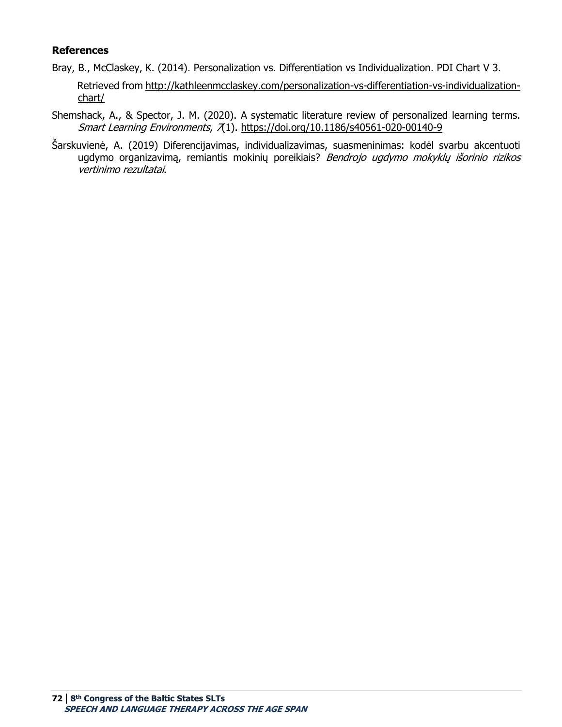#### **References**

- Bray, B., McClaskey, K. (2014). Personalization vs. Differentiation vs Individualization. PDI Chart V 3. Retrieved from [http://kathleenmcclaskey.com/personalization-vs-differentiation-vs-individualization](http://kathleenmcclaskey.com/personalization-vs-differentiation-vs-individualization-chart/)[chart/](http://kathleenmcclaskey.com/personalization-vs-differentiation-vs-individualization-chart/)
- Shemshack, A., & Spector, J. M. (2020). A systematic literature review of personalized learning terms. Smart Learning Environments, 7(1).<https://doi.org/10.1186/s40561-020-00140-9>
- Šarskuvienė, A. (2019) Diferencijavimas, individualizavimas, suasmeninimas: kodėl svarbu akcentuoti ugdymo organizavimą, remiantis mokinių poreikiais? Bendrojo ugdymo mokyklų išorinio rizikos vertinimo rezultatai.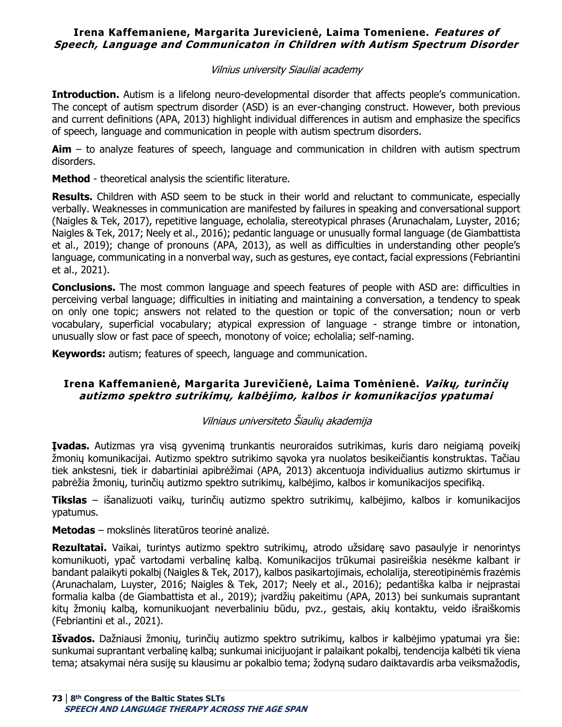### **Irena Kaffemaniene, Margarita Jurevicienė, Laima Tomeniene. Features of Speech, Language and Communicaton in Children with Autism Spectrum Disorder**

### Vilnius university Siauliai academy

**Introduction.** Autism is a lifelong neuro-developmental disorder that affects people's communication. The concept of autism spectrum disorder (ASD) is an ever-changing construct. However, both previous and current definitions (APA, 2013) highlight individual differences in autism and emphasize the specifics of speech, language and communication in people with autism spectrum disorders.

**Aim** – to analyze features of speech, language and communication in children with autism spectrum disorders.

**Method** - theoretical analysis the scientific literature.

**Results.** Children with ASD seem to be stuck in their world and reluctant to communicate, especially verbally. Weaknesses in communication are manifested by failures in speaking and conversational support (Naigles & Tek, 2017), repetitive language, echolalia, stereotypical phrases (Arunachalam, Luyster, 2016; Naigles & Tek, 2017; Neely et al., 2016); pedantic language or unusually formal language (de Giambattista et al., 2019); change of pronouns (APA, 2013), as well as difficulties in understanding other people's language, communicating in a nonverbal way, such as gestures, eye contact, facial expressions (Febriantini et al., 2021).

**Conclusions.** The most common language and speech features of people with ASD are: difficulties in perceiving verbal language; difficulties in initiating and maintaining a conversation, a tendency to speak on only one topic; answers not related to the question or topic of the conversation; noun or verb vocabulary, superficial vocabulary; atypical expression of language - strange timbre or intonation, unusually slow or fast pace of speech, monotony of voice; echolalia; self-naming.

**Keywords:** autism; features of speech, language and communication.

# **Irena Kaffemanienė, Margarita Jurevičienė, Laima Tomėnienė. Vaikų, turinčių autizmo spektro sutrikimų, kalbėjimo, kalbos ir komunikacijos ypatumai**

# Vilniaus universiteto Šiaulių akademija

**Įvadas.** Autizmas yra visą gyvenimą trunkantis neuroraidos sutrikimas, kuris daro neigiamą poveikį žmonių komunikacijai. Autizmo spektro sutrikimo sąvoka yra nuolatos besikeičiantis konstruktas. Tačiau tiek ankstesni, tiek ir dabartiniai apibrėžimai (APA, 2013) akcentuoja individualius autizmo skirtumus ir pabrėžia žmonių, turinčių autizmo spektro sutrikimų, kalbėjimo, kalbos ir komunikacijos specifiką.

**Tikslas** – išanalizuoti vaikų, turinčių autizmo spektro sutrikimų, kalbėjimo, kalbos ir komunikacijos ypatumus.

**Metodas** – mokslinės literatūros teorinė analizė.

**Rezultatai.** Vaikai, turintys autizmo spektro sutrikimų, atrodo užsidarę savo pasaulyje ir nenorintys komunikuoti, ypač vartodami verbalinę kalbą. Komunikacijos trūkumai pasireiškia nesėkme kalbant ir bandant palaikyti pokalbį (Naigles & Tek, 2017), kalbos pasikartojimais, echolalija, stereotipinėmis frazėmis (Arunachalam, Luyster, 2016; Naigles & Tek, 2017; Neely et al., 2016); pedantiška kalba ir neįprastai formalia kalba (de Giambattista et al., 2019); įvardžių pakeitimu (APA, 2013) bei sunkumais suprantant kitų žmonių kalbą, komunikuojant neverbaliniu būdu, pvz., gestais, akių kontaktu, veido išraiškomis (Febriantini et al., 2021).

**Išvados.** Dažniausi žmonių, turinčių autizmo spektro sutrikimų, kalbos ir kalbėjimo ypatumai yra šie: sunkumai suprantant verbalinę kalbą; sunkumai inicijuojant ir palaikant pokalbį, tendencija kalbėti tik viena tema; atsakymai nėra susiję su klausimu ar pokalbio tema; žodyną sudaro daiktavardis arba veiksmažodis,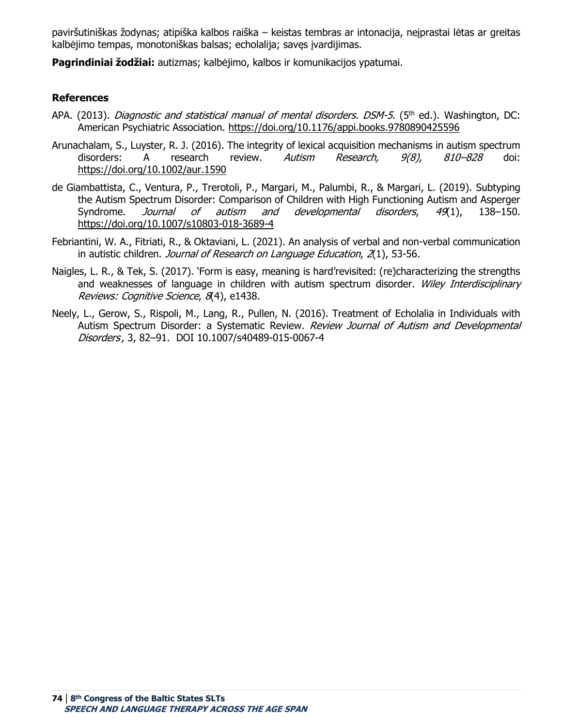paviršutiniškas žodynas; atipiška kalbos raiška – keistas tembras ar intonacija, neįprastai lėtas ar greitas kalbėjimo tempas, monotoniškas balsas; echolalija; savęs įvardijimas.

**Pagrindiniai žodžiai:** autizmas; kalbėjimo, kalbos ir komunikacijos ypatumai.

### **References**

- APA. (2013). *Diagnostic and statistical manual of mental disorders. DSM-5*. (5<sup>th</sup> ed.). Washington, DC: American Psychiatric Association. <https://doi.org/10.1176/appi.books.9780890425596>
- Arunachalam, S., Luyster, R. J. (2016). The integrity of lexical acquisition mechanisms in autism spectrum disorders: A research review. *Autism Research, 9(8), 810–828* doi: <https://doi.org/10.1002/aur.1590>
- de Giambattista, C., Ventura, P., Trerotoli, P., Margari, M., Palumbi, R., & Margari, L. (2019). Subtyping the Autism Spectrum Disorder: Comparison of Children with High Functioning Autism and Asperger Syndrome. *Journal of autism and developmental disorders*, 49(1), 138–150. <https://doi.org/10.1007/s10803-018-3689-4>
- Febriantini, W. A., Fitriati, R., & Oktaviani, L. (2021). An analysis of verbal and non-verbal communication in autistic children. Journal of Research on Language Education, 2(1), 53-56.
- Naigles, L. R., & Tek, S. (2017). 'Form is easy, meaning is hard'revisited: (re)characterizing the strengths and weaknesses of language in children with autism spectrum disorder. Wiley Interdisciplinary Reviews: Cognitive Science, 8(4), e1438.
- Neely, L., Gerow, S., Rispoli, M., Lang, R., Pullen, N. (2016). Treatment of Echolalia in Individuals with Autism Spectrum Disorder: a Systematic Review. Review Journal of Autism and Developmental Disorders, 3, 82-91. DOI 10.1007/s40489-015-0067-4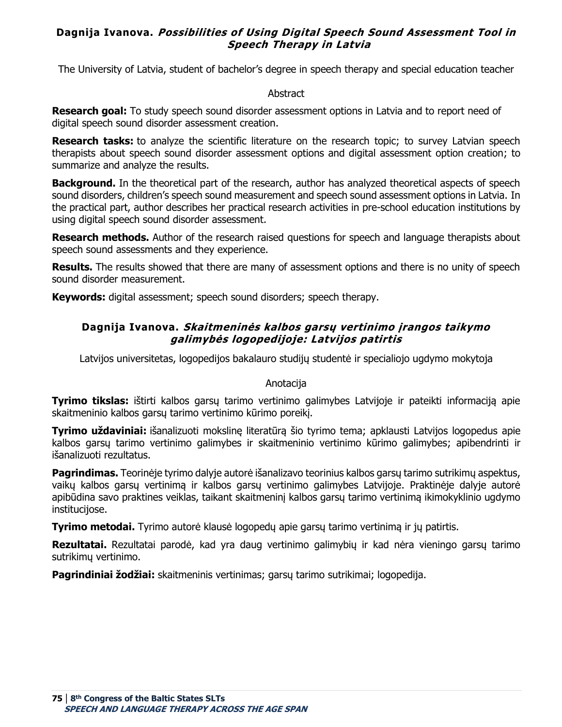# **Dagnija Ivanova. Possibilities of Using Digital Speech Sound Assessment Tool in Speech Therapy in Latvia**

The University of Latvia, student of bachelor's degree in speech therapy and special education teacher

#### Abstract

**Research goal:** To study speech sound disorder assessment options in Latvia and to report need of digital speech sound disorder assessment creation.

**Research tasks:** to analyze the scientific literature on the research topic; to survey Latvian speech therapists about speech sound disorder assessment options and digital assessment option creation; to summarize and analyze the results.

**Background.** In the theoretical part of the research, author has analyzed theoretical aspects of speech sound disorders, children's speech sound measurement and speech sound assessment options in Latvia. In the practical part, author describes her practical research activities in pre-school education institutions by using digital speech sound disorder assessment.

**Research methods.** Author of the research raised questions for speech and language therapists about speech sound assessments and they experience.

**Results.** The results showed that there are many of assessment options and there is no unity of speech sound disorder measurement.

**Keywords:** digital assessment; speech sound disorders; speech therapy.

# **Dagnija Ivanova. Skaitmeninės kalbos garsų vertinimo įrangos taikymo galimybės logopedijoje: Latvijos patirtis**

Latvijos universitetas, logopedijos bakalauro studijų studentė ir specialiojo ugdymo mokytoja

### Anotacija

**Tyrimo tikslas:** ištirti kalbos garsų tarimo vertinimo galimybes Latvijoje ir pateikti informaciją apie skaitmeninio kalbos garsų tarimo vertinimo kūrimo poreikį.

**Tyrimo uždaviniai:** išanalizuoti mokslinę literatūrą šio tyrimo tema; apklausti Latvijos logopedus apie kalbos garsų tarimo vertinimo galimybes ir skaitmeninio vertinimo kūrimo galimybes; apibendrinti ir išanalizuoti rezultatus.

**Pagrindimas.** Teorinėje tyrimo dalyje autorė išanalizavo teorinius kalbos garsų tarimo sutrikimų aspektus, vaikų kalbos garsų vertinimą ir kalbos garsų vertinimo galimybes Latvijoje. Praktinėje dalyje autorė apibūdina savo praktines veiklas, taikant skaitmeninį kalbos garsų tarimo vertinimą ikimokyklinio ugdymo institucijose.

**Tyrimo metodai.** Tyrimo autorė klausė logopedų apie garsų tarimo vertinimą ir jų patirtis.

**Rezultatai.** Rezultatai parodė, kad yra daug vertinimo galimybių ir kad nėra vieningo garsų tarimo sutrikimų vertinimo.

**Pagrindiniai žodžiai:** skaitmeninis vertinimas; garsų tarimo sutrikimai; logopedija.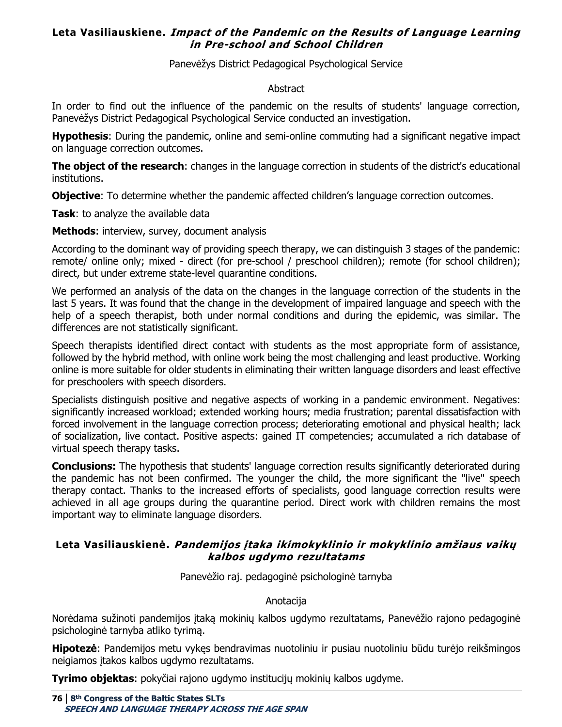# **Leta Vasiliauskiene. Impact of the Pandemic on the Results of Language Learning in Pre-school and School Children**

Panevėžys District Pedagogical Psychological Service

#### Abstract

In order to find out the influence of the pandemic on the results of students' language correction, Panevėžys District Pedagogical Psychological Service conducted an investigation.

**Hypothesis**: During the pandemic, online and semi-online commuting had a significant negative impact on language correction outcomes.

**The object of the research**: changes in the language correction in students of the district's educational institutions.

**Objective**: To determine whether the pandemic affected children's language correction outcomes.

**Task**: to analyze the available data

**Methods**: interview, survey, document analysis

According to the dominant way of providing speech therapy, we can distinguish 3 stages of the pandemic: remote/ online only; mixed - direct (for pre-school / preschool children); remote (for school children); direct, but under extreme state-level quarantine conditions.

We performed an analysis of the data on the changes in the language correction of the students in the last 5 years. It was found that the change in the development of impaired language and speech with the help of a speech therapist, both under normal conditions and during the epidemic, was similar. The differences are not statistically significant.

Speech therapists identified direct contact with students as the most appropriate form of assistance, followed by the hybrid method, with online work being the most challenging and least productive. Working online is more suitable for older students in eliminating their written language disorders and least effective for preschoolers with speech disorders.

Specialists distinguish positive and negative aspects of working in a pandemic environment. Negatives: significantly increased workload; extended working hours; media frustration; parental dissatisfaction with forced involvement in the language correction process; deteriorating emotional and physical health; lack of socialization, live contact. Positive aspects: gained IT competencies; accumulated a rich database of virtual speech therapy tasks.

**Conclusions:** The hypothesis that students' language correction results significantly deteriorated during the pandemic has not been confirmed. The younger the child, the more significant the "live" speech therapy contact. Thanks to the increased efforts of specialists, good language correction results were achieved in all age groups during the quarantine period. Direct work with children remains the most important way to eliminate language disorders.

### **Leta Vasiliauskienė. Pandemijos įtaka ikimokyklinio ir mokyklinio amžiaus vaikų kalbos ugdymo rezultatams**

Panevėžio raj. pedagoginė psichologinė tarnyba

### Anotacija

Norėdama sužinoti pandemijos įtaką mokinių kalbos ugdymo rezultatams, Panevėžio rajono pedagoginė psichologinė tarnyba atliko tyrimą.

**Hipotezė**: Pandemijos metu vykęs bendravimas nuotoliniu ir pusiau nuotoliniu būdu turėjo reikšmingos neigiamos įtakos kalbos ugdymo rezultatams.

**Tyrimo objektas**: pokyčiai rajono ugdymo institucijų mokinių kalbos ugdyme.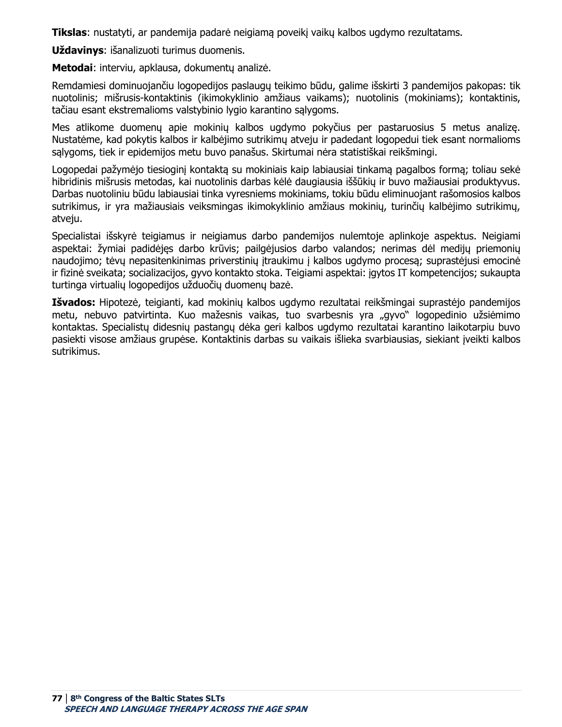**Tikslas**: nustatyti, ar pandemija padarė neigiamą poveikį vaikų kalbos ugdymo rezultatams.

**Uždavinys**: išanalizuoti turimus duomenis.

**Metodai**: interviu, apklausa, dokumentų analizė.

Remdamiesi dominuojančiu logopedijos paslaugų teikimo būdu, galime išskirti 3 pandemijos pakopas: tik nuotolinis; mišrusis-kontaktinis (ikimokyklinio amžiaus vaikams); nuotolinis (mokiniams); kontaktinis, tačiau esant ekstremalioms valstybinio lygio karantino sąlygoms.

Mes atlikome duomenų apie mokinių kalbos ugdymo pokyčius per pastaruosius 5 metus analizę. Nustatėme, kad pokytis kalbos ir kalbėjimo sutrikimų atveju ir padedant logopedui tiek esant normalioms sąlygoms, tiek ir epidemijos metu buvo panašus. Skirtumai nėra statistiškai reikšmingi.

Logopedai pažymėjo tiesioginį kontaktą su mokiniais kaip labiausiai tinkamą pagalbos formą; toliau sekė hibridinis mišrusis metodas, kai nuotolinis darbas kėlė daugiausia iššūkių ir buvo mažiausiai produktyvus. Darbas nuotoliniu būdu labiausiai tinka vyresniems mokiniams, tokiu būdu eliminuojant rašomosios kalbos sutrikimus, ir yra mažiausiais veiksmingas ikimokyklinio amžiaus mokinių, turinčių kalbėjimo sutrikimų, atveju.

Specialistai išskyrė teigiamus ir neigiamus darbo pandemijos nulemtoje aplinkoje aspektus. Neigiami aspektai: žymiai padidėjęs darbo krūvis; pailgėjusios darbo valandos; nerimas dėl medijų priemonių naudojimo; tėvų nepasitenkinimas priverstinių įtraukimu į kalbos ugdymo procesą; suprastėjusi emocinė ir fizinė sveikata; socializacijos, gyvo kontakto stoka. Teigiami aspektai: įgytos IT kompetencijos; sukaupta turtinga virtualių logopedijos užduočių duomenų bazė.

**Išvados:** Hipotezė, teigianti, kad mokinių kalbos ugdymo rezultatai reikšmingai suprastėjo pandemijos metu, nebuvo patvirtinta. Kuo mažesnis vaikas, tuo svarbesnis yra "gyvo" logopedinio užsiėmimo kontaktas. Specialistų didesnių pastangų dėka geri kalbos ugdymo rezultatai karantino laikotarpiu buvo pasiekti visose amžiaus grupėse. Kontaktinis darbas su vaikais išlieka svarbiausias, siekiant įveikti kalbos sutrikimus.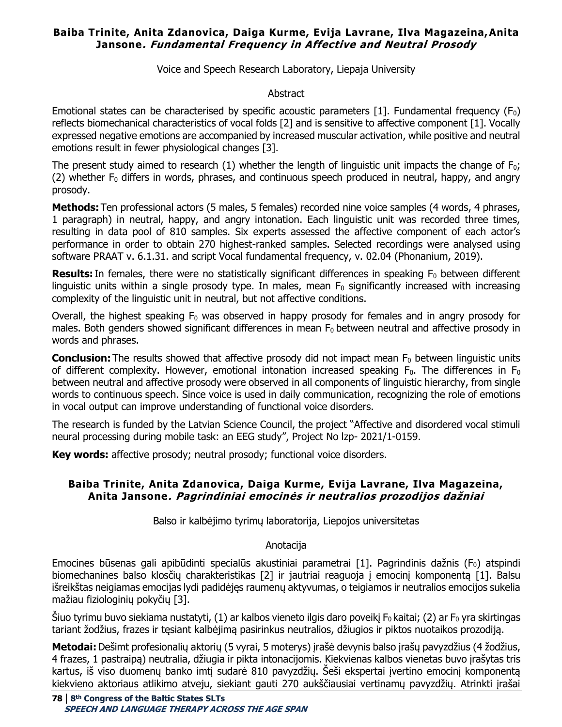## **Baiba Trinite, Anita Zdanovica, Daiga Kurme, Evija Lavrane, Ilva Magazeina,Anita Jansone. Fundamental Frequency in Affective and Neutral Prosody**

Voice and Speech Research Laboratory, Liepaja University

#### Abstract

Emotional states can be characterised by specific acoustic parameters [1]. Fundamental frequency ( $F_0$ ) reflects biomechanical characteristics of vocal folds [2] and is sensitive to affective component [1]. Vocally expressed negative emotions are accompanied by increased muscular activation, while positive and neutral emotions result in fewer physiological changes [3].

The present study aimed to research (1) whether the length of linguistic unit impacts the change of  $F_0$ ; (2) whether  $F_0$  differs in words, phrases, and continuous speech produced in neutral, happy, and angry prosody. 

**Methods:** Ten professional actors (5 males, 5 females) recorded nine voice samples (4 words, 4 phrases, 1 paragraph) in neutral, happy, and angry intonation. Each linguistic unit was recorded three times, resulting in data pool of 810 samples. Six experts assessed the affective component of each actor's performance in order to obtain 270 highest-ranked samples. Selected recordings were analysed using software PRAAT v. 6.1.31. and script Vocal fundamental frequency, v. 02.04 (Phonanium, 2019).

**Results:** In females, there were no statistically significant differences in speaking F<sub>0</sub> between different linguistic units within a single prosody type. In males, mean  $F_0$  significantly increased with increasing complexity of the linguistic unit in neutral, but not affective conditions. 

Overall, the highest speaking  $F_0$  was observed in happy prosody for females and in angry prosody for males. Both genders showed significant differences in mean  $F_0$  between neutral and affective prosody in words and phrases.

**Conclusion:** The results showed that affective prosody did not impact mean F<sub>0</sub> between linguistic units of different complexity. However, emotional intonation increased speaking  $F_0$ . The differences in  $F_0$ between neutral and affective prosody were observed in all components of linguistic hierarchy, from single words to continuous speech. Since voice is used in daily communication, recognizing the role of emotions in vocal output can improve understanding of functional voice disorders.

The research is funded by the Latvian Science Council, the project "Affective and disordered vocal stimuli neural processing during mobile task: an EEG study", Project No lzp- 2021/1-0159.

**Key words:** affective prosody; neutral prosody; functional voice disorders.

### **Baiba Trinite, Anita Zdanovica, Daiga Kurme, Evija Lavrane, Ilva Magazeina, Anita Jansone. Pagrindiniai emocinės ir neutralios prozodijos dažniai**

Balso ir kalbėjimo tyrimų laboratorija, Liepojos universitetas

### Anotacija

Emocines būsenas gali apibūdinti specialūs akustiniai parametrai [1]. Pagrindinis dažnis ( $F_0$ ) atspindi biomechanines balso klosčių charakteristikas [2] ir jautriai reaguoja į emocinį komponentą [1]. Balsu išreikštas neigiamas emocijas lydi padidėjęs raumenų aktyvumas, o teigiamos ir neutralios emocijos sukelia mažiau fiziologinių pokyčių [3].

Šiuo tyrimu buvo siekiama nustatyti, (1) ar kalbos vieneto ilgis daro poveikį F0 kaitai; (2) ar F0 yra skirtingas tariant žodžius, frazes ir tęsiant kalbėjimą pasirinkus neutralios, džiugios ir piktos nuotaikos prozodiją.

**Metodai:**Dešimt profesionalių aktorių (5 vyrai, 5 moterys) įrašė devynis balso įrašų pavyzdžius (4 žodžius, 4 frazes, 1 pastraipą) neutralia, džiugia ir pikta intonacijomis. Kiekvienas kalbos vienetas buvo įrašytas tris kartus, iš viso duomenų banko imtį sudarė 810 pavyzdžių. Šeši ekspertai įvertino emocinį komponentą kiekvieno aktoriaus atlikimo atveju, siekiant gauti 270 aukščiausiai vertinamų pavyzdžių. Atrinkti įrašai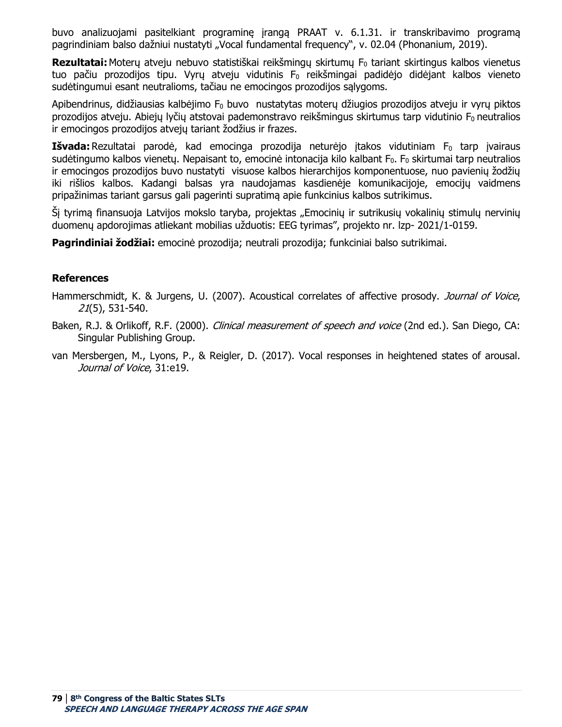buvo analizuojami pasitelkiant programinę įrangą PRAAT v. 6.1.31. ir transkribavimo programą pagrindiniam balso dažniui nustatyti "Vocal fundamental frequency", v. 02.04 (Phonanium, 2019).

**Rezultatai:** Moterų atveju nebuvo statistiškai reikšmingų skirtumų F<sub>0</sub> tariant skirtingus kalbos vienetus tuo pačiu prozodijos tipu. Vyrų atveju vidutinis F<sub>0</sub> reikšmingai padidėjo didėjant kalbos vieneto sudėtingumui esant neutralioms, tačiau ne emocingos prozodijos sąlygoms.

Apibendrinus, didžiausias kalbėjimo  $F_0$  buvo nustatytas moterų džiugios prozodijos atveju ir vyrų piktos prozodijos atveju. Abiejų lyčių atstovai pademonstravo reikšmingus skirtumus tarp vidutinio  $F_0$  neutralios ir emocingos prozodijos atvejų tariant žodžius ir frazes.

Išvada: Rezultatai parodė, kad emocinga prozodija neturėjo įtakos vidutiniam F<sub>0</sub> tarp įvairaus sudėtingumo kalbos vienetų. Nepaisant to, emocinė intonacija kilo kalbant F<sub>0</sub>. F<sub>0</sub> skirtumai tarp neutralios ir emocingos prozodijos buvo nustatyti visuose kalbos hierarchijos komponentuose, nuo pavienių žodžių iki rišlios kalbos. Kadangi balsas yra naudojamas kasdienėje komunikacijoje, emocijų vaidmens pripažinimas tariant garsus gali pagerinti supratimą apie funkcinius kalbos sutrikimus.

Šį tyrimą finansuoja Latvijos mokslo taryba, projektas "Emocinių ir sutrikusių vokalinių stimulų nervinių duomenų apdorojimas atliekant mobilias užduotis: EEG tyrimas", projekto nr. lzp- 2021/1-0159.

**Pagrindiniai žodžiai:** emocinė prozodija; neutrali prozodija; funkciniai balso sutrikimai.

#### **References**

Hammerschmidt, K. & Jurgens, U. (2007). Acoustical correlates of affective prosody. Journal of Voice, 21(5), 531-540.

- Baken, R.J. & Orlikoff, R.F. (2000). *Clinical measurement of speech and voice* (2nd ed.). San Diego, CA: Singular Publishing Group.
- van Mersbergen, M., Lyons, P., & Reigler, D. (2017). Vocal responses in heightened states of arousal. Journal of Voice, 31:e19.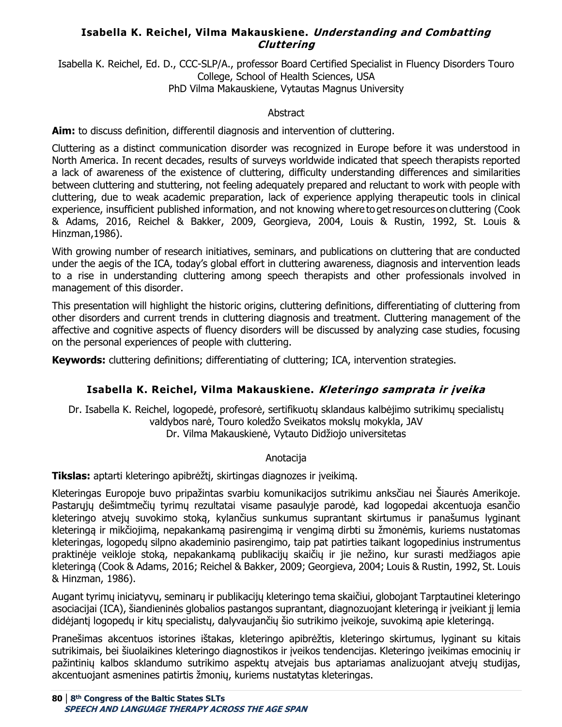# **Isabella K. Reichel, Vilma Makauskiene. Understanding and Combatting Cluttering**

Isabella K. Reichel, Ed. D., CCC-SLP/A., professor Board Certified Specialist in Fluency Disorders Touro College, School of Health Sciences, USA PhD Vilma Makauskiene, Vytautas Magnus University

### **Abstract**

**Aim:** to discuss definition, differentil diagnosis and intervention of cluttering.

Cluttering as a distinct communication disorder was recognized in Europe before it was understood in North America. In recent decades, results of surveys worldwide  indicated that speech therapists reported a lack of awareness of the existence of cluttering, difficulty understanding differences and similarities between cluttering and stuttering, not feeling adequately prepared and reluctant to work with people with cluttering, due to weak academic preparation, lack of experience applying therapeutic tools in clinical experience, insufficient published information, and not knowing where to get resources on cluttering (Cook & Adams, 2016, Reichel & Bakker, 2009, Georgieva, 2004, Louis & Rustin, 1992, St. Louis & Hinzman,1986).

With growing number of research initiatives, seminars, and publications on cluttering that are conducted under the aegis of the ICA, today's global effort in cluttering awareness, diagnosis and intervention leads to a rise in understanding cluttering among speech therapists and other professionals involved in management of this disorder.

This presentation will highlight the historic origins, cluttering definitions, differentiating of cluttering from other disorders and current trends in cluttering diagnosis and treatment. Cluttering management of the affective and cognitive aspects of fluency disorders will be discussed by analyzing case studies, focusing on the personal experiences of people with cluttering.

**Keywords:** cluttering definitions; differentiating of cluttering; ICA, intervention strategies.

# **Isabella K. Reichel, Vilma Makauskiene. Kleteringo samprata ir įveika**

Dr. Isabella K. Reichel, logopedė, profesorė, sertifikuotų sklandaus kalbėjimo sutrikimų specialistų valdybos narė, Touro koledžo Sveikatos mokslų mokykla, JAV Dr. Vilma Makauskienė, Vytauto Didžiojo universitetas

### Anotacija

**Tikslas:** aptarti kleteringo apibrėžtį, skirtingas diagnozes ir įveikimą.

Kleteringas Europoje buvo pripažintas svarbiu komunikacijos sutrikimu anksčiau nei Šiaurės Amerikoje. Pastarųjų dešimtmečių tyrimų rezultatai visame pasaulyje parodė, kad logopedai akcentuoja esančio kleteringo atvejų suvokimo stoką, kylančius sunkumus suprantant skirtumus ir panašumus lyginant kleteringą ir mikčiojimą, nepakankamą pasirengimą ir vengimą dirbti su žmonėmis, kuriems nustatomas kleteringas, logopedų silpno akademinio pasirengimo, taip pat patirties taikant logopedinius instrumentus praktinėje veikloje stoką, nepakankamą publikacijų skaičių ir jie nežino, kur surasti medžiagos apie kleteringą (Cook & Adams, 2016; Reichel & Bakker, 2009; Georgieva, 2004; Louis & Rustin, 1992, St. Louis & Hinzman, 1986).

Augant tyrimų iniciatyvų, seminarų ir publikacijų kleteringo tema skaičiui, globojant Tarptautinei kleteringo asociacijai (ICA), šiandieninės globalios pastangos suprantant, diagnozuojant kleteringą ir įveikiant jį lemia didėjantį logopedų ir kitų specialistų, dalyvaujančių šio sutrikimo įveikoje, suvokimą apie kleteringą.

Pranešimas akcentuos istorines ištakas, kleteringo apibrėžtis, kleteringo skirtumus, lyginant su kitais sutrikimais, bei šiuolaikines kleteringo diagnostikos ir įveikos tendencijas. Kleteringo įveikimas emocinių ir pažintinių kalbos sklandumo sutrikimo aspektų atvejais bus aptariamas analizuojant atvejų studijas, akcentuojant asmenines patirtis žmonių, kuriems nustatytas kleteringas.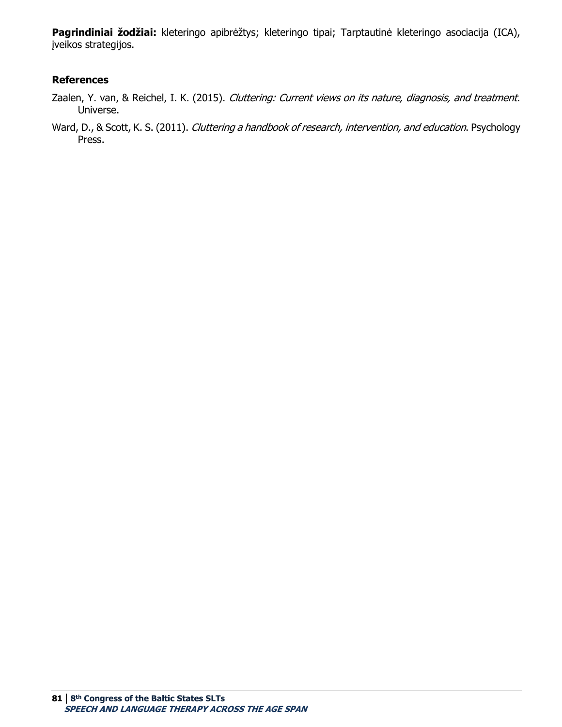**Pagrindiniai žodžiai:** kleteringo apibrėžtys; kleteringo tipai; Tarptautinė kleteringo asociacija (ICA), įveikos strategijos.

#### **References**

- Zaalen, Y. van, & Reichel, I. K. (2015). Cluttering: Current views on its nature, diagnosis, and treatment. Universe.
- Ward, D., & Scott, K. S. (2011). Cluttering a handbook of research, intervention, and education. Psychology Press.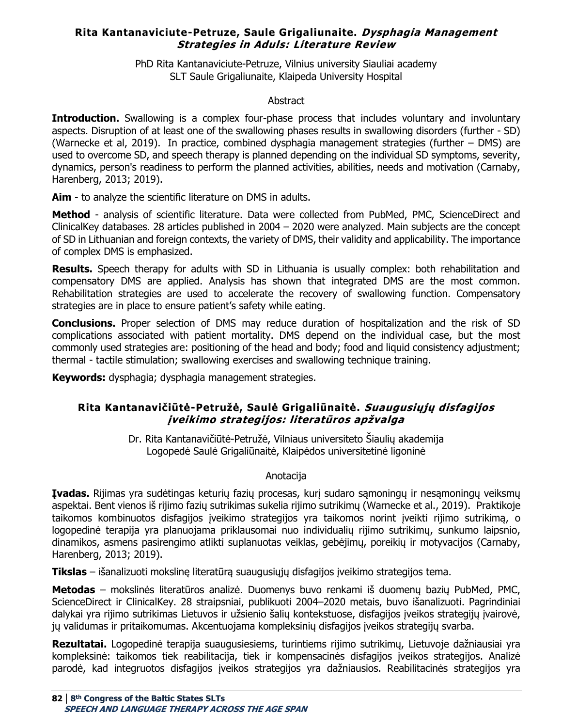# **Rita Kantanaviciute-Petruze, Saule Grigaliunaite. Dysphagia Management Strategies in Aduls: Literature Review**

PhD Rita Kantanaviciute-Petruze, Vilnius university Siauliai academy SLT Saule Grigaliunaite, Klaipeda University Hospital

### **Abstract**

**Introduction.** Swallowing is a complex four-phase process that includes voluntary and involuntary aspects. Disruption of at least one of the swallowing phases results in swallowing disorders (further - SD) (Warnecke et al, 2019). In practice, combined dysphagia management strategies (further – DMS) are used to overcome SD, and speech therapy is planned depending on the individual SD symptoms, severity, dynamics, person's readiness to perform the planned activities, abilities, needs and motivation (Carnaby, Harenberg, 2013; 2019).

**Aim** - to analyze the scientific literature on DMS in adults.

**Method** - analysis of scientific literature. Data were collected from PubMed, PMC, ScienceDirect and ClinicalKey databases. 28 articles published in 2004 – 2020 were analyzed. Main subjects are the concept of SD in Lithuanian and foreign contexts, the variety of DMS, their validity and applicability. The importance of complex DMS is emphasized.

**Results.** Speech therapy for adults with SD in Lithuania is usually complex: both rehabilitation and compensatory DMS are applied. Analysis has shown that integrated DMS are the most common. Rehabilitation strategies are used to accelerate the recovery of swallowing function. Compensatory strategies are in place to ensure patient's safety while eating.

**Conclusions.** Proper selection of DMS may reduce duration of hospitalization and the risk of SD complications associated with patient mortality. DMS depend on the individual case, but the most commonly used strategies are: positioning of the head and body; food and liquid consistency adjustment; thermal - tactile stimulation; swallowing exercises and swallowing technique training.

**Keywords:** dysphagia; dysphagia management strategies.

# **Rita Kantanavičiūtė-Petružė, Saulė Grigaliūnaitė. Suaugusiųjų disfagijos įveikimo strategijos: literatūros apžvalga**

Dr. Rita Kantanavičiūtė-Petružė, Vilniaus universiteto Šiaulių akademija Logopedė Saulė Grigaliūnaitė, Klaipėdos universitetinė ligoninė

# **Anotacija**

**Įvadas.** Rijimas yra sudėtingas keturių fazių procesas, kurį sudaro sąmoningų ir nesąmoningų veiksmų aspektai. Bent vienos iš rijimo fazių sutrikimas sukelia rijimo sutrikimų (Warnecke et al., 2019). Praktikoje taikomos kombinuotos disfagijos įveikimo strategijos yra taikomos norint įveikti rijimo sutrikimą, o logopedinė terapija yra planuojama priklausomai nuo individualių rijimo sutrikimų, sunkumo laipsnio, dinamikos, asmens pasirengimo atlikti suplanuotas veiklas, gebėjimų, poreikių ir motyvacijos (Carnaby, Harenberg, 2013; 2019).

**Tikslas** – išanalizuoti mokslinę literatūrą suaugusiųjų disfagijos įveikimo strategijos tema.

**Metodas** – mokslinės literatūros analizė. Duomenys buvo renkami iš duomenų bazių PubMed, PMC, ScienceDirect ir ClinicalKey. 28 straipsniai, publikuoti 2004–2020 metais, buvo išanalizuoti. Pagrindiniai dalykai yra rijimo sutrikimas Lietuvos ir užsienio šalių kontekstuose, disfagijos įveikos strategijų įvairovė, jų validumas ir pritaikomumas. Akcentuojama kompleksinių disfagijos įveikos strategijų svarba.

**Rezultatai.** Logopedinė terapija suaugusiesiems, turintiems rijimo sutrikimų, Lietuvoje dažniausiai yra kompleksinė: taikomos tiek reabilitacija, tiek ir kompensacinės disfagijos įveikos strategijos. Analizė parodė, kad integruotos disfagijos įveikos strategijos yra dažniausios. Reabilitacinės strategijos yra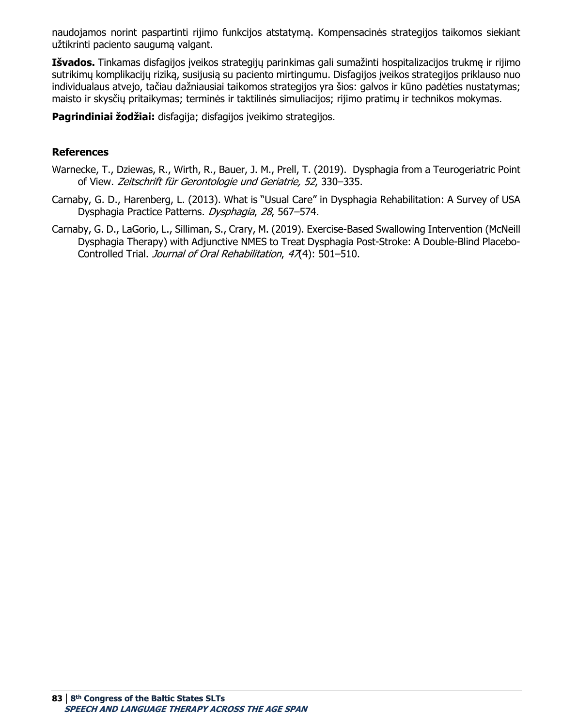naudojamos norint paspartinti rijimo funkcijos atstatymą. Kompensacinės strategijos taikomos siekiant užtikrinti paciento saugumą valgant.

**Išvados.** Tinkamas disfagijos įveikos strategijų parinkimas gali sumažinti hospitalizacijos trukmę ir rijimo sutrikimų komplikacijų riziką, susijusią su paciento mirtingumu. Disfagijos įveikos strategijos priklauso nuo individualaus atvejo, tačiau dažniausiai taikomos strategijos yra šios: galvos ir kūno padėties nustatymas; maisto ir skysčių pritaikymas; terminės ir taktilinės simuliacijos; rijimo pratimų ir technikos mokymas.

**Pagrindiniai žodžiai:** disfagija; disfagijos įveikimo strategijos.

## **References**

- Warnecke, T., Dziewas, R., Wirth, R., Bauer, J. M., Prell, T. (2019). Dysphagia from a Тeurogeriatric Point of View. Zeitschrift für Gerontologie und Geriatrie, 52, 330–335.
- Carnaby, G. D., Harenberg, L. (2013). What is "Usual Care" in Dysphagia Rehabilitation: A Survey of USA Dysphagia Practice Patterns. Dysphagia, 28, 567–574.
- Carnaby, G. D., LaGorio, L., Silliman, S., Crary, M. (2019). Exercise‐Based Swallowing Intervention (McNeill Dysphagia Therapy) with Adjunctive NMES to Treat Dysphagia Post‐Stroke: A Double‐Blind Placebo‐ Controlled Trial. Journal of Oral Rehabilitation, 47(4): 501-510.